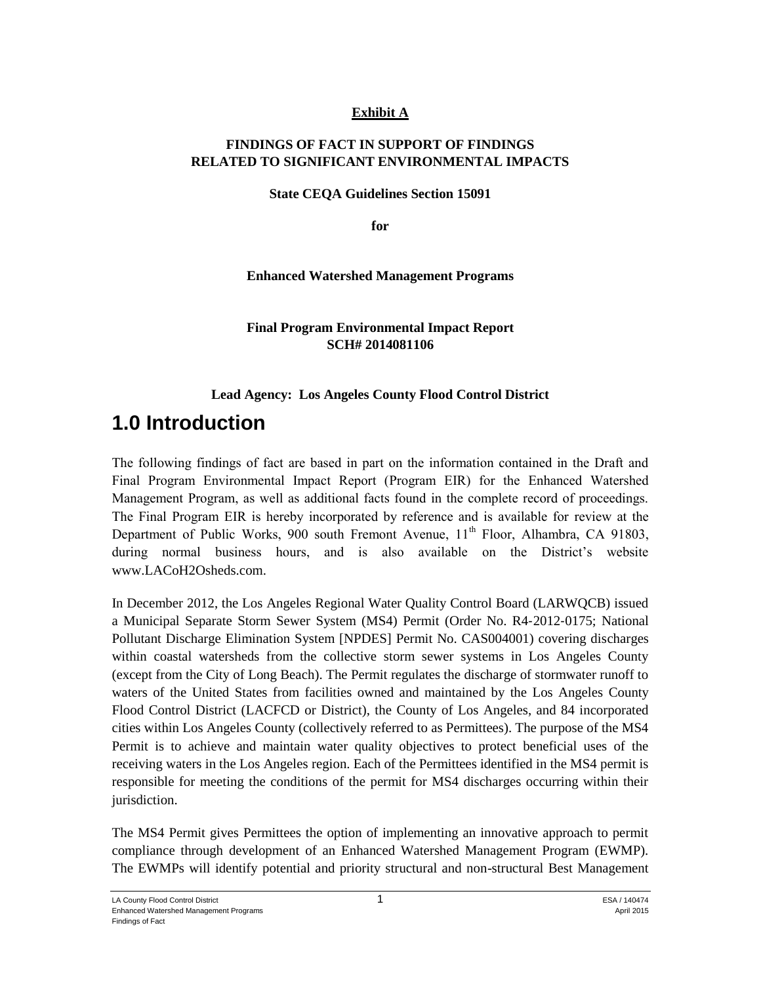#### **Exhibit A**

#### **FINDINGS OF FACT IN SUPPORT OF FINDINGS RELATED TO SIGNIFICANT ENVIRONMENTAL IMPACTS**

**State CEQA Guidelines Section 15091**

**for**

**Enhanced Watershed Management Programs**

#### **Final Program Environmental Impact Report SCH# 2014081106**

#### **Lead Agency: Los Angeles County Flood Control District**

# **1.0 Introduction**

The following findings of fact are based in part on the information contained in the Draft and Final Program Environmental Impact Report (Program EIR) for the Enhanced Watershed Management Program, as well as additional facts found in the complete record of proceedings. The Final Program EIR is hereby incorporated by reference and is available for review at the Department of Public Works, 900 south Fremont Avenue,  $11<sup>th</sup>$  Floor, Alhambra, CA 91803, during normal business hours, and is also available on the District's website www.LACoH2Osheds.com.

In December 2012, the Los Angeles Regional Water Quality Control Board (LARWQCB) issued a Municipal Separate Storm Sewer System (MS4) Permit (Order No. R4‐2012‐0175; National Pollutant Discharge Elimination System [NPDES] Permit No. CAS004001) covering discharges within coastal watersheds from the collective storm sewer systems in Los Angeles County (except from the City of Long Beach). The Permit regulates the discharge of stormwater runoff to waters of the United States from facilities owned and maintained by the Los Angeles County Flood Control District (LACFCD or District), the County of Los Angeles, and 84 incorporated cities within Los Angeles County (collectively referred to as Permittees). The purpose of the MS4 Permit is to achieve and maintain water quality objectives to protect beneficial uses of the receiving waters in the Los Angeles region. Each of the Permittees identified in the MS4 permit is responsible for meeting the conditions of the permit for MS4 discharges occurring within their jurisdiction.

The MS4 Permit gives Permittees the option of implementing an innovative approach to permit compliance through development of an Enhanced Watershed Management Program (EWMP). The EWMPs will identify potential and priority structural and non-structural Best Management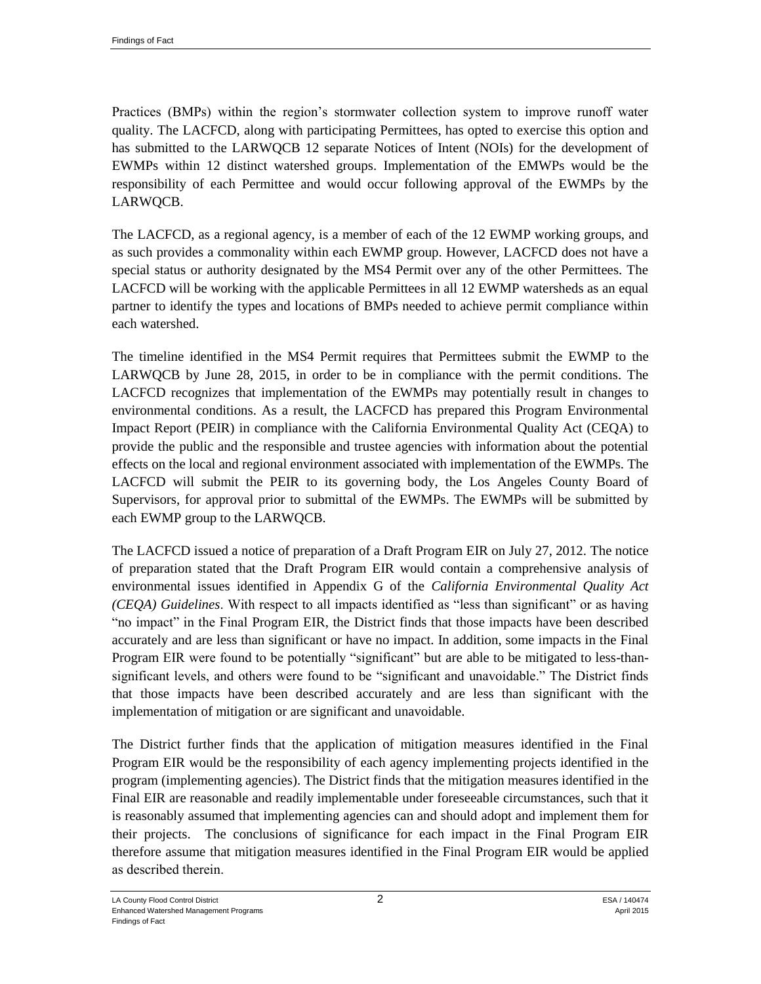Practices (BMPs) within the region's stormwater collection system to improve runoff water quality. The LACFCD, along with participating Permittees, has opted to exercise this option and has submitted to the LARWQCB 12 separate Notices of Intent (NOIs) for the development of EWMPs within 12 distinct watershed groups. Implementation of the EMWPs would be the responsibility of each Permittee and would occur following approval of the EWMPs by the LARWQCB.

The LACFCD, as a regional agency, is a member of each of the 12 EWMP working groups, and as such provides a commonality within each EWMP group. However, LACFCD does not have a special status or authority designated by the MS4 Permit over any of the other Permittees. The LACFCD will be working with the applicable Permittees in all 12 EWMP watersheds as an equal partner to identify the types and locations of BMPs needed to achieve permit compliance within each watershed.

The timeline identified in the MS4 Permit requires that Permittees submit the EWMP to the LARWQCB by June 28, 2015, in order to be in compliance with the permit conditions. The LACFCD recognizes that implementation of the EWMPs may potentially result in changes to environmental conditions. As a result, the LACFCD has prepared this Program Environmental Impact Report (PEIR) in compliance with the California Environmental Quality Act (CEQA) to provide the public and the responsible and trustee agencies with information about the potential effects on the local and regional environment associated with implementation of the EWMPs. The LACFCD will submit the PEIR to its governing body, the Los Angeles County Board of Supervisors, for approval prior to submittal of the EWMPs. The EWMPs will be submitted by each EWMP group to the LARWQCB.

The LACFCD issued a notice of preparation of a Draft Program EIR on July 27, 2012. The notice of preparation stated that the Draft Program EIR would contain a comprehensive analysis of environmental issues identified in Appendix G of the *California Environmental Quality Act (CEQA) Guidelines*. With respect to all impacts identified as "less than significant" or as having "no impact" in the Final Program EIR, the District finds that those impacts have been described accurately and are less than significant or have no impact. In addition, some impacts in the Final Program EIR were found to be potentially "significant" but are able to be mitigated to less-thansignificant levels, and others were found to be "significant and unavoidable." The District finds that those impacts have been described accurately and are less than significant with the implementation of mitigation or are significant and unavoidable.

The District further finds that the application of mitigation measures identified in the Final Program EIR would be the responsibility of each agency implementing projects identified in the program (implementing agencies). The District finds that the mitigation measures identified in the Final EIR are reasonable and readily implementable under foreseeable circumstances, such that it is reasonably assumed that implementing agencies can and should adopt and implement them for their projects. The conclusions of significance for each impact in the Final Program EIR therefore assume that mitigation measures identified in the Final Program EIR would be applied as described therein.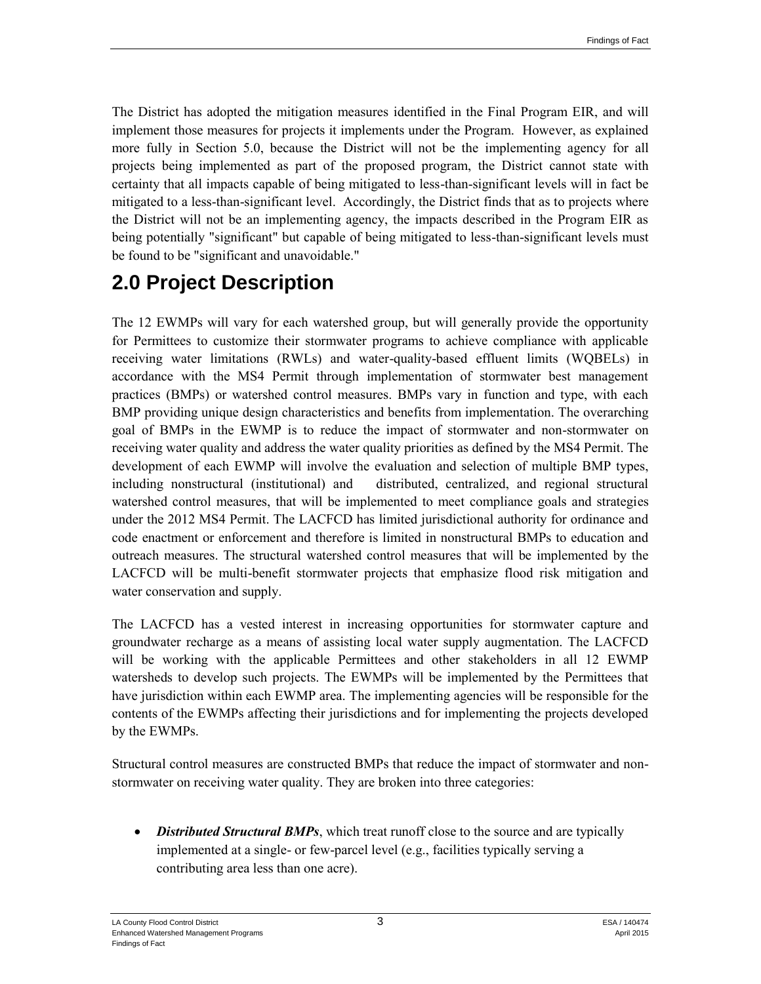The District has adopted the mitigation measures identified in the Final Program EIR, and will implement those measures for projects it implements under the Program. However, as explained more fully in Section 5.0, because the District will not be the implementing agency for all projects being implemented as part of the proposed program, the District cannot state with certainty that all impacts capable of being mitigated to less-than-significant levels will in fact be mitigated to a less-than-significant level. Accordingly, the District finds that as to projects where the District will not be an implementing agency, the impacts described in the Program EIR as being potentially "significant" but capable of being mitigated to less-than-significant levels must be found to be "significant and unavoidable."

# **2.0 Project Description**

The 12 EWMPs will vary for each watershed group, but will generally provide the opportunity for Permittees to customize their stormwater programs to achieve compliance with applicable receiving water limitations (RWLs) and water-quality-based effluent limits (WQBELs) in accordance with the MS4 Permit through implementation of stormwater best management practices (BMPs) or watershed control measures. BMPs vary in function and type, with each BMP providing unique design characteristics and benefits from implementation. The overarching goal of BMPs in the EWMP is to reduce the impact of stormwater and non-stormwater on receiving water quality and address the water quality priorities as defined by the MS4 Permit. The development of each EWMP will involve the evaluation and selection of multiple BMP types, including nonstructural (institutional) and distributed, centralized, and regional structural watershed control measures, that will be implemented to meet compliance goals and strategies under the 2012 MS4 Permit. The LACFCD has limited jurisdictional authority for ordinance and code enactment or enforcement and therefore is limited in nonstructural BMPs to education and outreach measures. The structural watershed control measures that will be implemented by the LACFCD will be multi-benefit stormwater projects that emphasize flood risk mitigation and water conservation and supply.

The LACFCD has a vested interest in increasing opportunities for stormwater capture and groundwater recharge as a means of assisting local water supply augmentation. The LACFCD will be working with the applicable Permittees and other stakeholders in all 12 EWMP watersheds to develop such projects. The EWMPs will be implemented by the Permittees that have jurisdiction within each EWMP area. The implementing agencies will be responsible for the contents of the EWMPs affecting their jurisdictions and for implementing the projects developed by the EWMPs.

Structural control measures are constructed BMPs that reduce the impact of stormwater and nonstormwater on receiving water quality. They are broken into three categories:

 *Distributed Structural BMPs*, which treat runoff close to the source and are typically implemented at a single- or few-parcel level (e.g., facilities typically serving a contributing area less than one acre).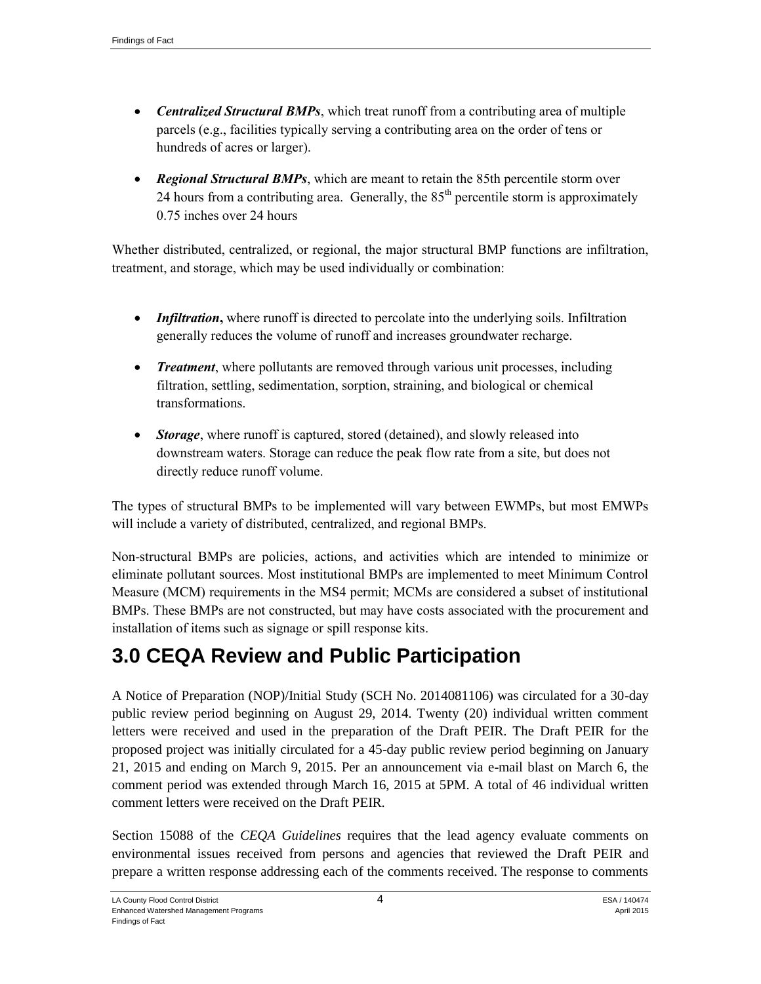- *Centralized Structural BMPs*, which treat runoff from a contributing area of multiple parcels (e.g., facilities typically serving a contributing area on the order of tens or hundreds of acres or larger).
- *Regional Structural BMPs*, which are meant to retain the 85th percentile storm over 24 hours from a contributing area. Generally, the  $85<sup>th</sup>$  percentile storm is approximately 0.75 inches over 24 hours

Whether distributed, centralized, or regional, the major structural BMP functions are infiltration, treatment, and storage, which may be used individually or combination:

- *Infiltration*, where runoff is directed to percolate into the underlying soils. Infiltration generally reduces the volume of runoff and increases groundwater recharge.
- *Treatment*, where pollutants are removed through various unit processes, including filtration, settling, sedimentation, sorption, straining, and biological or chemical transformations.
- *Storage*, where runoff is captured, stored (detained), and slowly released into downstream waters. Storage can reduce the peak flow rate from a site, but does not directly reduce runoff volume.

The types of structural BMPs to be implemented will vary between EWMPs, but most EMWPs will include a variety of distributed, centralized, and regional BMPs.

Non-structural BMPs are policies, actions, and activities which are intended to minimize or eliminate pollutant sources. Most institutional BMPs are implemented to meet Minimum Control Measure (MCM) requirements in the MS4 permit; MCMs are considered a subset of institutional BMPs. These BMPs are not constructed, but may have costs associated with the procurement and installation of items such as signage or spill response kits.

# **3.0 CEQA Review and Public Participation**

A Notice of Preparation (NOP)/Initial Study (SCH No. 2014081106) was circulated for a 30-day public review period beginning on August 29, 2014. Twenty (20) individual written comment letters were received and used in the preparation of the Draft PEIR. The Draft PEIR for the proposed project was initially circulated for a 45-day public review period beginning on January 21, 2015 and ending on March 9, 2015. Per an announcement via e-mail blast on March 6, the comment period was extended through March 16, 2015 at 5PM. A total of 46 individual written comment letters were received on the Draft PEIR.

Section 15088 of the *CEQA Guidelines* requires that the lead agency evaluate comments on environmental issues received from persons and agencies that reviewed the Draft PEIR and prepare a written response addressing each of the comments received. The response to comments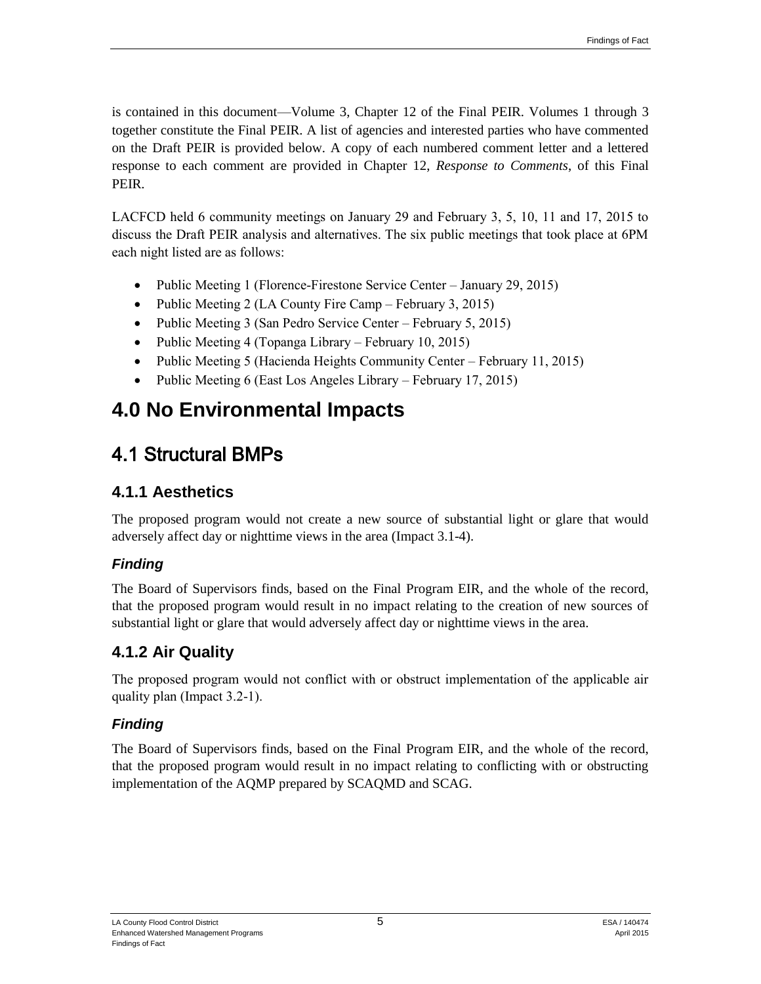is contained in this document—Volume 3, Chapter 12 of the Final PEIR. Volumes 1 through 3 together constitute the Final PEIR. A list of agencies and interested parties who have commented on the Draft PEIR is provided below. A copy of each numbered comment letter and a lettered response to each comment are provided in Chapter 12, *Response to Comments*, of this Final PEIR.

LACFCD held 6 community meetings on January 29 and February 3, 5, 10, 11 and 17, 2015 to discuss the Draft PEIR analysis and alternatives. The six public meetings that took place at 6PM each night listed are as follows:

- Public Meeting 1 (Florence-Firestone Service Center January 29, 2015)
- Public Meeting 2 (LA County Fire Camp February 3, 2015)
- Public Meeting 3 (San Pedro Service Center February 5, 2015)
- Public Meeting 4 (Topanga Library February 10, 2015)
- Public Meeting 5 (Hacienda Heights Community Center February 11, 2015)
- Public Meeting 6 (East Los Angeles Library February 17, 2015)

# **4.0 No Environmental Impacts**

# 4.1 Structural BMPs

## **4.1.1 Aesthetics**

The proposed program would not create a new source of substantial light or glare that would adversely affect day or nighttime views in the area (Impact 3.1-4).

## *Finding*

The Board of Supervisors finds, based on the Final Program EIR, and the whole of the record, that the proposed program would result in no impact relating to the creation of new sources of substantial light or glare that would adversely affect day or nighttime views in the area.

## **4.1.2 Air Quality**

The proposed program would not conflict with or obstruct implementation of the applicable air quality plan (Impact 3.2-1).

## *Finding*

The Board of Supervisors finds, based on the Final Program EIR, and the whole of the record, that the proposed program would result in no impact relating to conflicting with or obstructing implementation of the AQMP prepared by SCAQMD and SCAG.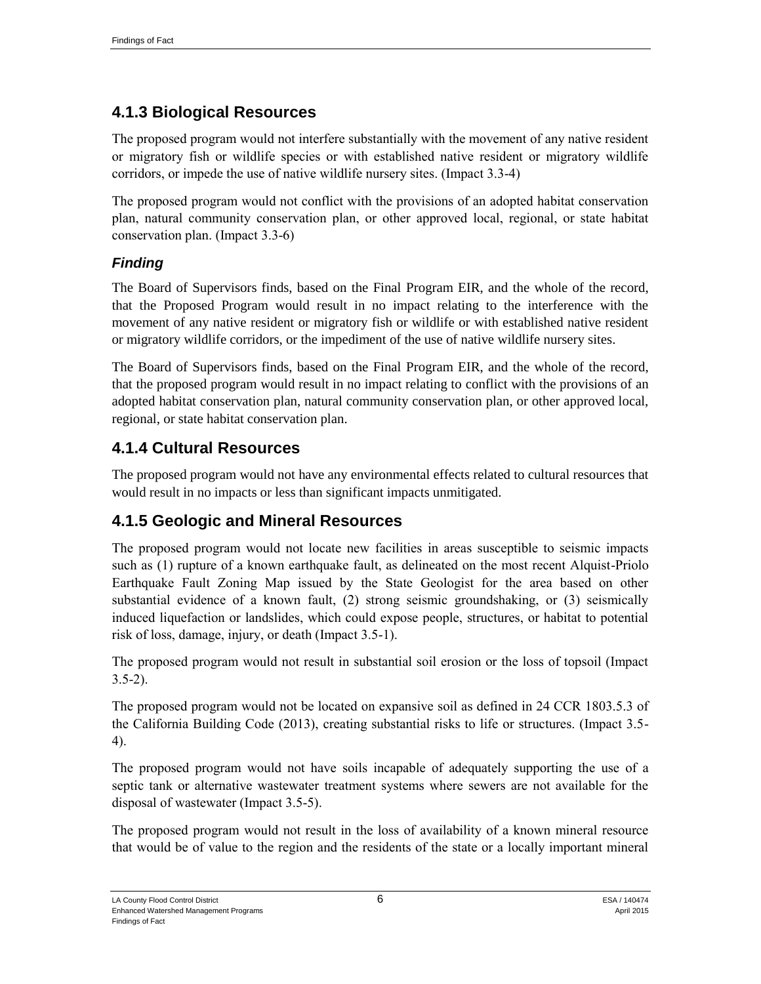## **4.1.3 Biological Resources**

The proposed program would not interfere substantially with the movement of any native resident or migratory fish or wildlife species or with established native resident or migratory wildlife corridors, or impede the use of native wildlife nursery sites. (Impact 3.3-4)

The proposed program would not conflict with the provisions of an adopted habitat conservation plan, natural community conservation plan, or other approved local, regional, or state habitat conservation plan. (Impact 3.3-6)

#### *Finding*

The Board of Supervisors finds, based on the Final Program EIR, and the whole of the record, that the Proposed Program would result in no impact relating to the interference with the movement of any native resident or migratory fish or wildlife or with established native resident or migratory wildlife corridors, or the impediment of the use of native wildlife nursery sites.

The Board of Supervisors finds, based on the Final Program EIR, and the whole of the record, that the proposed program would result in no impact relating to conflict with the provisions of an adopted habitat conservation plan, natural community conservation plan, or other approved local, regional, or state habitat conservation plan.

## **4.1.4 Cultural Resources**

The proposed program would not have any environmental effects related to cultural resources that would result in no impacts or less than significant impacts unmitigated.

## **4.1.5 Geologic and Mineral Resources**

The proposed program would not locate new facilities in areas susceptible to seismic impacts such as (1) rupture of a known earthquake fault, as delineated on the most recent Alquist-Priolo Earthquake Fault Zoning Map issued by the State Geologist for the area based on other substantial evidence of a known fault, (2) strong seismic groundshaking, or (3) seismically induced liquefaction or landslides, which could expose people, structures, or habitat to potential risk of loss, damage, injury, or death (Impact 3.5-1).

The proposed program would not result in substantial soil erosion or the loss of topsoil (Impact  $3.5-2$ ).

The proposed program would not be located on expansive soil as defined in 24 CCR 1803.5.3 of the California Building Code (2013), creating substantial risks to life or structures. (Impact 3.5- 4).

The proposed program would not have soils incapable of adequately supporting the use of a septic tank or alternative wastewater treatment systems where sewers are not available for the disposal of wastewater (Impact 3.5-5).

The proposed program would not result in the loss of availability of a known mineral resource that would be of value to the region and the residents of the state or a locally important mineral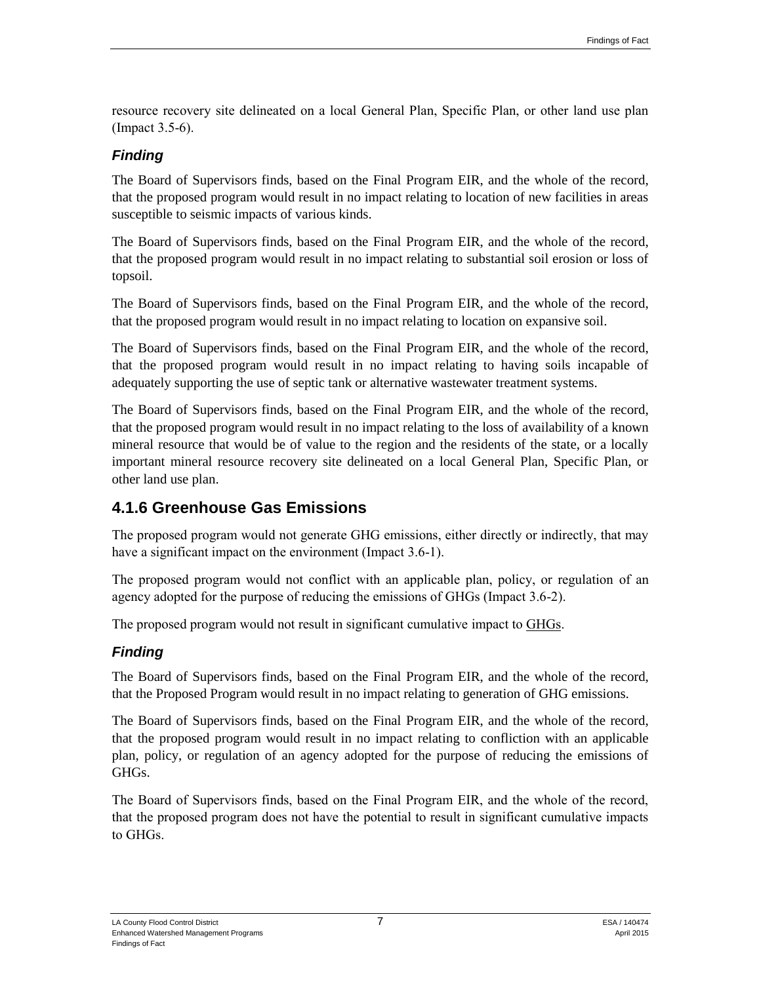resource recovery site delineated on a local General Plan, Specific Plan, or other land use plan (Impact 3.5-6).

#### *Finding*

The Board of Supervisors finds, based on the Final Program EIR, and the whole of the record, that the proposed program would result in no impact relating to location of new facilities in areas susceptible to seismic impacts of various kinds.

The Board of Supervisors finds, based on the Final Program EIR, and the whole of the record, that the proposed program would result in no impact relating to substantial soil erosion or loss of topsoil.

The Board of Supervisors finds, based on the Final Program EIR, and the whole of the record, that the proposed program would result in no impact relating to location on expansive soil.

The Board of Supervisors finds, based on the Final Program EIR, and the whole of the record, that the proposed program would result in no impact relating to having soils incapable of adequately supporting the use of septic tank or alternative wastewater treatment systems.

The Board of Supervisors finds, based on the Final Program EIR, and the whole of the record, that the proposed program would result in no impact relating to the loss of availability of a known mineral resource that would be of value to the region and the residents of the state, or a locally important mineral resource recovery site delineated on a local General Plan, Specific Plan, or other land use plan.

## **4.1.6 Greenhouse Gas Emissions**

The proposed program would not generate GHG emissions, either directly or indirectly, that may have a significant impact on the environment (Impact 3.6-1).

The proposed program would not conflict with an applicable plan, policy, or regulation of an agency adopted for the purpose of reducing the emissions of GHGs (Impact 3.6-2).

The proposed program would not result in significant cumulative impact to GHGs.

#### *Finding*

The Board of Supervisors finds, based on the Final Program EIR, and the whole of the record, that the Proposed Program would result in no impact relating to generation of GHG emissions.

The Board of Supervisors finds, based on the Final Program EIR, and the whole of the record, that the proposed program would result in no impact relating to confliction with an applicable plan, policy, or regulation of an agency adopted for the purpose of reducing the emissions of GHGs.

The Board of Supervisors finds, based on the Final Program EIR, and the whole of the record, that the proposed program does not have the potential to result in significant cumulative impacts to GHGs.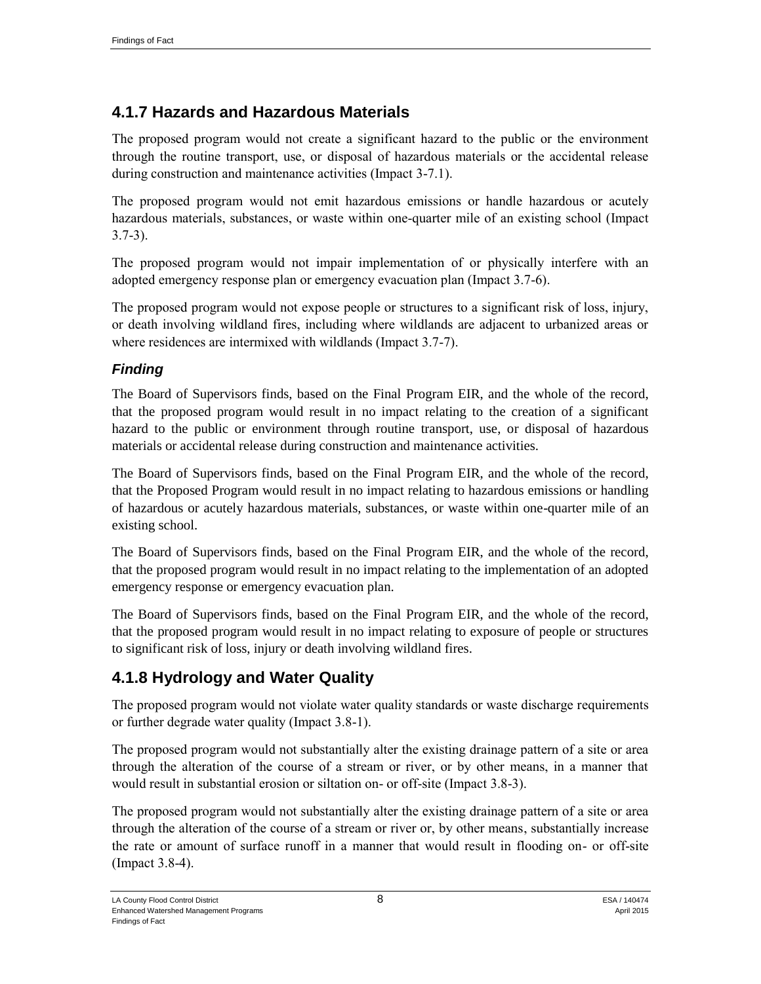## **4.1.7 Hazards and Hazardous Materials**

The proposed program would not create a significant hazard to the public or the environment through the routine transport, use, or disposal of hazardous materials or the accidental release during construction and maintenance activities (Impact 3-7.1).

The proposed program would not emit hazardous emissions or handle hazardous or acutely hazardous materials, substances, or waste within one-quarter mile of an existing school (Impact 3.7-3).

The proposed program would not impair implementation of or physically interfere with an adopted emergency response plan or emergency evacuation plan (Impact 3.7-6).

The proposed program would not expose people or structures to a significant risk of loss, injury, or death involving wildland fires, including where wildlands are adjacent to urbanized areas or where residences are intermixed with wildlands (Impact 3.7-7).

## *Finding*

The Board of Supervisors finds, based on the Final Program EIR, and the whole of the record, that the proposed program would result in no impact relating to the creation of a significant hazard to the public or environment through routine transport, use, or disposal of hazardous materials or accidental release during construction and maintenance activities.

The Board of Supervisors finds, based on the Final Program EIR, and the whole of the record, that the Proposed Program would result in no impact relating to hazardous emissions or handling of hazardous or acutely hazardous materials, substances, or waste within one-quarter mile of an existing school.

The Board of Supervisors finds, based on the Final Program EIR, and the whole of the record, that the proposed program would result in no impact relating to the implementation of an adopted emergency response or emergency evacuation plan.

The Board of Supervisors finds, based on the Final Program EIR, and the whole of the record, that the proposed program would result in no impact relating to exposure of people or structures to significant risk of loss, injury or death involving wildland fires.

## **4.1.8 Hydrology and Water Quality**

The proposed program would not violate water quality standards or waste discharge requirements or further degrade water quality (Impact 3.8-1).

The proposed program would not substantially alter the existing drainage pattern of a site or area through the alteration of the course of a stream or river, or by other means, in a manner that would result in substantial erosion or siltation on- or off-site (Impact 3.8-3).

The proposed program would not substantially alter the existing drainage pattern of a site or area through the alteration of the course of a stream or river or, by other means, substantially increase the rate or amount of surface runoff in a manner that would result in flooding on- or off-site (Impact 3.8-4).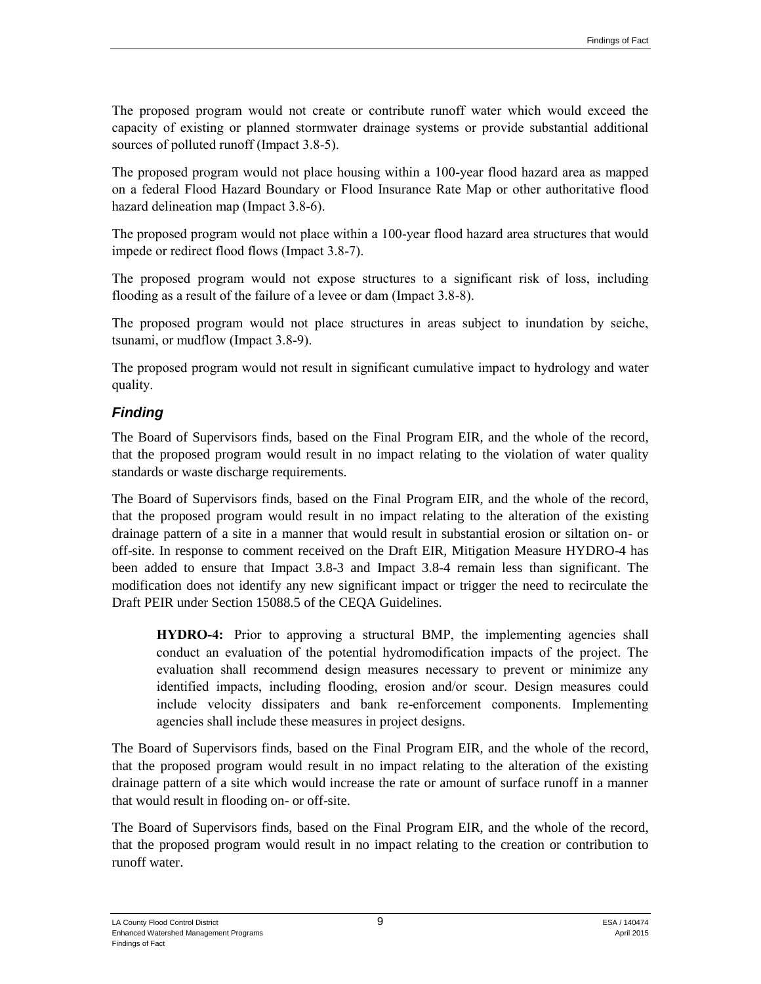The proposed program would not create or contribute runoff water which would exceed the capacity of existing or planned stormwater drainage systems or provide substantial additional sources of polluted runoff (Impact 3.8-5).

The proposed program would not place housing within a 100-year flood hazard area as mapped on a federal Flood Hazard Boundary or Flood Insurance Rate Map or other authoritative flood hazard delineation map (Impact 3.8-6).

The proposed program would not place within a 100-year flood hazard area structures that would impede or redirect flood flows (Impact 3.8-7).

The proposed program would not expose structures to a significant risk of loss, including flooding as a result of the failure of a levee or dam (Impact 3.8-8).

The proposed program would not place structures in areas subject to inundation by seiche, tsunami, or mudflow (Impact 3.8-9).

The proposed program would not result in significant cumulative impact to hydrology and water quality.

#### *Finding*

The Board of Supervisors finds, based on the Final Program EIR, and the whole of the record, that the proposed program would result in no impact relating to the violation of water quality standards or waste discharge requirements.

The Board of Supervisors finds, based on the Final Program EIR, and the whole of the record, that the proposed program would result in no impact relating to the alteration of the existing drainage pattern of a site in a manner that would result in substantial erosion or siltation on- or off-site. In response to comment received on the Draft EIR, Mitigation Measure HYDRO-4 has been added to ensure that Impact 3.8-3 and Impact 3.8-4 remain less than significant. The modification does not identify any new significant impact or trigger the need to recirculate the Draft PEIR under Section 15088.5 of the CEQA Guidelines.

**HYDRO-4:** Prior to approving a structural BMP, the implementing agencies shall conduct an evaluation of the potential hydromodification impacts of the project. The evaluation shall recommend design measures necessary to prevent or minimize any identified impacts, including flooding, erosion and/or scour. Design measures could include velocity dissipaters and bank re-enforcement components. Implementing agencies shall include these measures in project designs.

The Board of Supervisors finds, based on the Final Program EIR, and the whole of the record, that the proposed program would result in no impact relating to the alteration of the existing drainage pattern of a site which would increase the rate or amount of surface runoff in a manner that would result in flooding on- or off-site.

The Board of Supervisors finds, based on the Final Program EIR, and the whole of the record, that the proposed program would result in no impact relating to the creation or contribution to runoff water.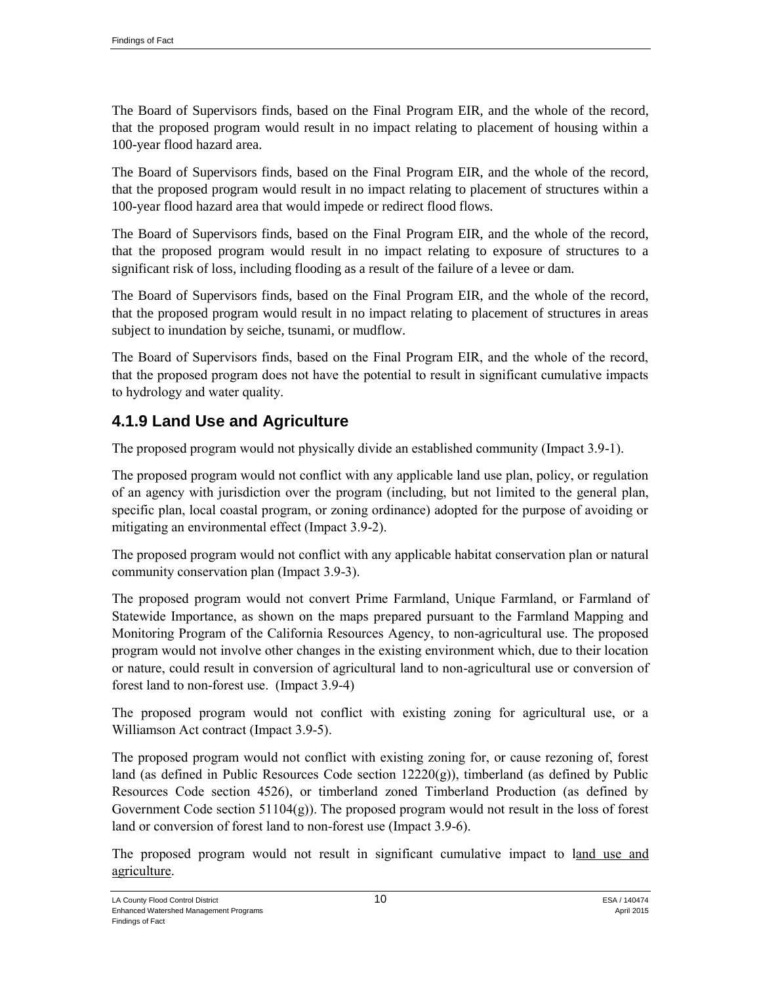The Board of Supervisors finds, based on the Final Program EIR, and the whole of the record, that the proposed program would result in no impact relating to placement of housing within a 100-year flood hazard area.

The Board of Supervisors finds, based on the Final Program EIR, and the whole of the record, that the proposed program would result in no impact relating to placement of structures within a 100-year flood hazard area that would impede or redirect flood flows.

The Board of Supervisors finds, based on the Final Program EIR, and the whole of the record, that the proposed program would result in no impact relating to exposure of structures to a significant risk of loss, including flooding as a result of the failure of a levee or dam.

The Board of Supervisors finds, based on the Final Program EIR, and the whole of the record, that the proposed program would result in no impact relating to placement of structures in areas subject to inundation by seiche, tsunami, or mudflow.

The Board of Supervisors finds, based on the Final Program EIR, and the whole of the record, that the proposed program does not have the potential to result in significant cumulative impacts to hydrology and water quality.

## **4.1.9 Land Use and Agriculture**

The proposed program would not physically divide an established community (Impact 3.9-1).

The proposed program would not conflict with any applicable land use plan, policy, or regulation of an agency with jurisdiction over the program (including, but not limited to the general plan, specific plan, local coastal program, or zoning ordinance) adopted for the purpose of avoiding or mitigating an environmental effect (Impact 3.9-2).

The proposed program would not conflict with any applicable habitat conservation plan or natural community conservation plan (Impact 3.9-3).

The proposed program would not convert Prime Farmland, Unique Farmland, or Farmland of Statewide Importance, as shown on the maps prepared pursuant to the Farmland Mapping and Monitoring Program of the California Resources Agency, to non-agricultural use. The proposed program would not involve other changes in the existing environment which, due to their location or nature, could result in conversion of agricultural land to non-agricultural use or conversion of forest land to non-forest use. (Impact 3.9-4)

The proposed program would not conflict with existing zoning for agricultural use, or a Williamson Act contract (Impact 3.9-5).

The proposed program would not conflict with existing zoning for, or cause rezoning of, forest land (as defined in Public Resources Code section  $12220(g)$ ), timberland (as defined by Public Resources Code section 4526), or timberland zoned Timberland Production (as defined by Government Code section  $51104(g)$ ). The proposed program would not result in the loss of forest land or conversion of forest land to non-forest use (Impact 3.9-6).

The proposed program would not result in significant cumulative impact to land use and agriculture.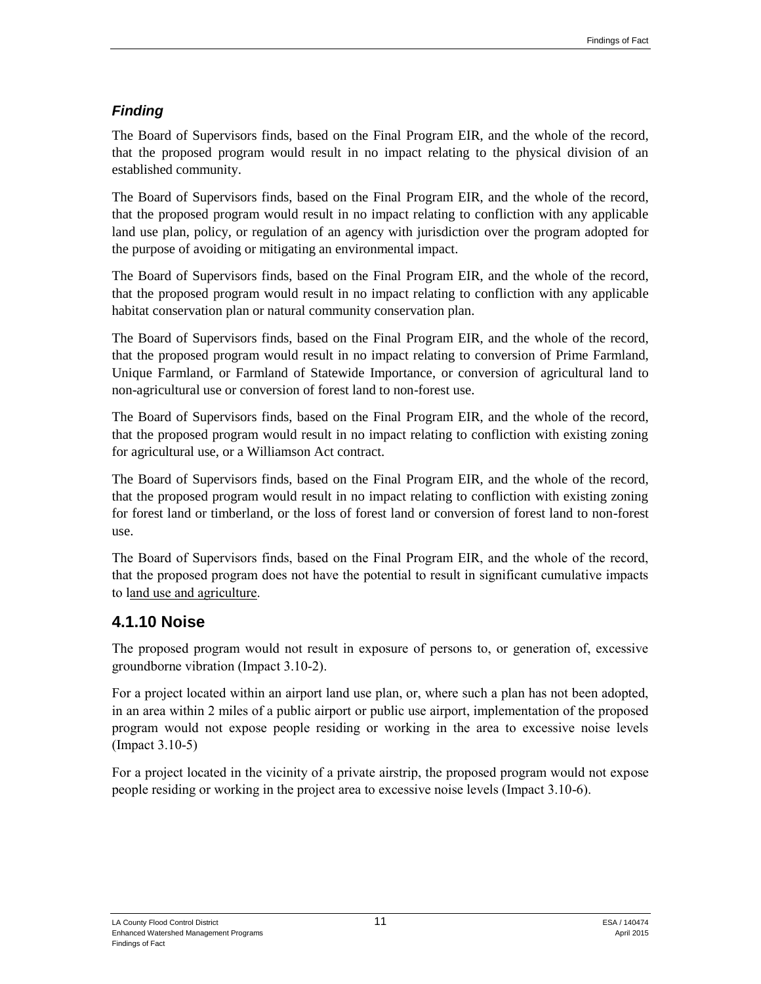### *Finding*

The Board of Supervisors finds, based on the Final Program EIR, and the whole of the record, that the proposed program would result in no impact relating to the physical division of an established community.

The Board of Supervisors finds, based on the Final Program EIR, and the whole of the record, that the proposed program would result in no impact relating to confliction with any applicable land use plan, policy, or regulation of an agency with jurisdiction over the program adopted for the purpose of avoiding or mitigating an environmental impact.

The Board of Supervisors finds, based on the Final Program EIR, and the whole of the record, that the proposed program would result in no impact relating to confliction with any applicable habitat conservation plan or natural community conservation plan.

The Board of Supervisors finds, based on the Final Program EIR, and the whole of the record, that the proposed program would result in no impact relating to conversion of Prime Farmland, Unique Farmland, or Farmland of Statewide Importance, or conversion of agricultural land to non-agricultural use or conversion of forest land to non-forest use.

The Board of Supervisors finds, based on the Final Program EIR, and the whole of the record, that the proposed program would result in no impact relating to confliction with existing zoning for agricultural use, or a Williamson Act contract.

The Board of Supervisors finds, based on the Final Program EIR, and the whole of the record, that the proposed program would result in no impact relating to confliction with existing zoning for forest land or timberland, or the loss of forest land or conversion of forest land to non-forest use.

The Board of Supervisors finds, based on the Final Program EIR, and the whole of the record, that the proposed program does not have the potential to result in significant cumulative impacts to land use and agriculture.

## **4.1.10 Noise**

The proposed program would not result in exposure of persons to, or generation of, excessive groundborne vibration (Impact 3.10-2).

For a project located within an airport land use plan, or, where such a plan has not been adopted, in an area within 2 miles of a public airport or public use airport, implementation of the proposed program would not expose people residing or working in the area to excessive noise levels (Impact 3.10-5)

For a project located in the vicinity of a private airstrip, the proposed program would not expose people residing or working in the project area to excessive noise levels (Impact 3.10-6).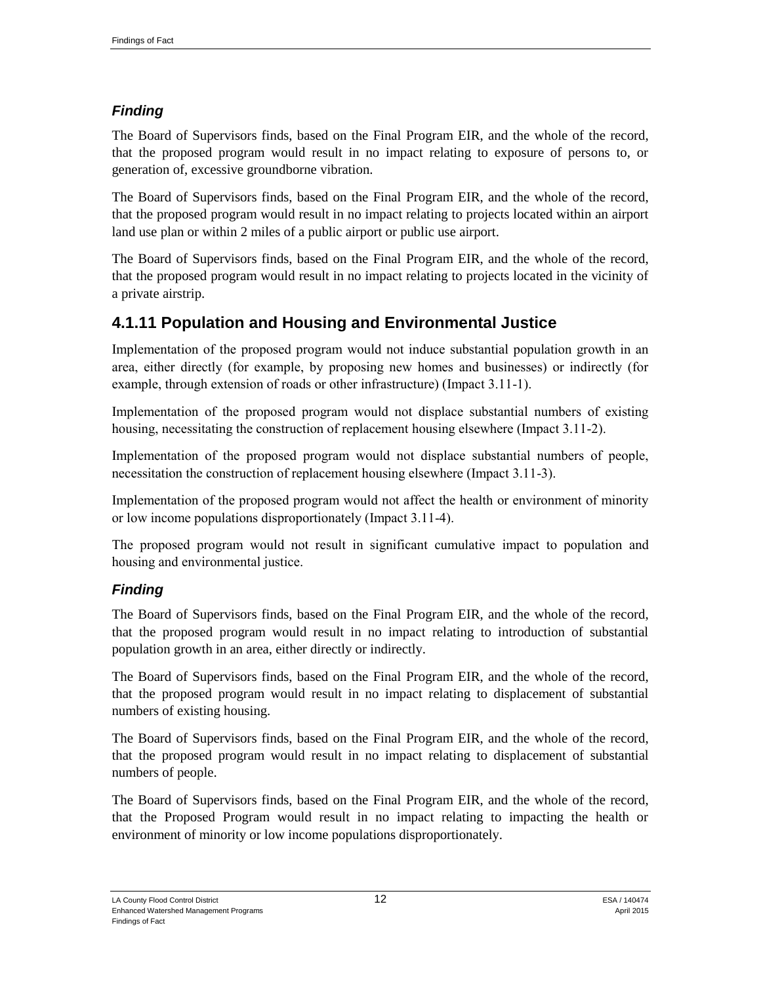## *Finding*

The Board of Supervisors finds, based on the Final Program EIR, and the whole of the record, that the proposed program would result in no impact relating to exposure of persons to, or generation of, excessive groundborne vibration.

The Board of Supervisors finds, based on the Final Program EIR, and the whole of the record, that the proposed program would result in no impact relating to projects located within an airport land use plan or within 2 miles of a public airport or public use airport.

The Board of Supervisors finds, based on the Final Program EIR, and the whole of the record, that the proposed program would result in no impact relating to projects located in the vicinity of a private airstrip.

## **4.1.11 Population and Housing and Environmental Justice**

Implementation of the proposed program would not induce substantial population growth in an area, either directly (for example, by proposing new homes and businesses) or indirectly (for example, through extension of roads or other infrastructure) (Impact 3.11-1).

Implementation of the proposed program would not displace substantial numbers of existing housing, necessitating the construction of replacement housing elsewhere (Impact 3.11-2).

Implementation of the proposed program would not displace substantial numbers of people, necessitation the construction of replacement housing elsewhere (Impact 3.11-3).

Implementation of the proposed program would not affect the health or environment of minority or low income populations disproportionately (Impact 3.11-4).

The proposed program would not result in significant cumulative impact to population and housing and environmental justice.

#### *Finding*

The Board of Supervisors finds, based on the Final Program EIR, and the whole of the record, that the proposed program would result in no impact relating to introduction of substantial population growth in an area, either directly or indirectly.

The Board of Supervisors finds, based on the Final Program EIR, and the whole of the record, that the proposed program would result in no impact relating to displacement of substantial numbers of existing housing.

The Board of Supervisors finds, based on the Final Program EIR, and the whole of the record, that the proposed program would result in no impact relating to displacement of substantial numbers of people.

The Board of Supervisors finds, based on the Final Program EIR, and the whole of the record, that the Proposed Program would result in no impact relating to impacting the health or environment of minority or low income populations disproportionately.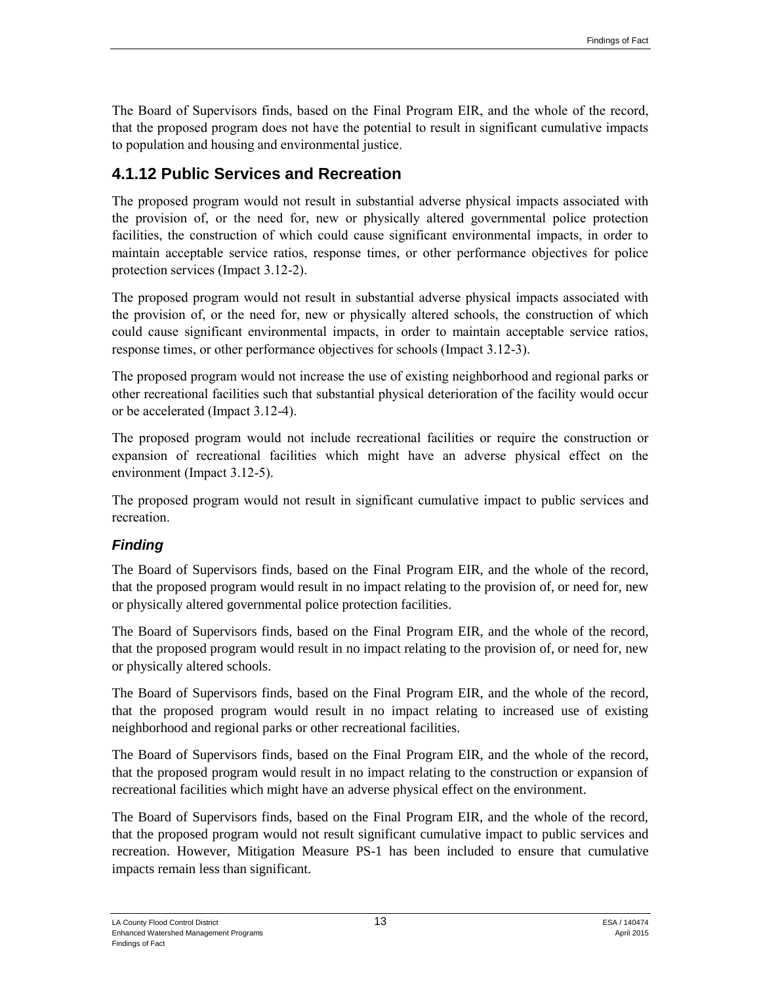The Board of Supervisors finds, based on the Final Program EIR, and the whole of the record, that the proposed program does not have the potential to result in significant cumulative impacts to population and housing and environmental justice.

## **4.1.12 Public Services and Recreation**

The proposed program would not result in substantial adverse physical impacts associated with the provision of, or the need for, new or physically altered governmental police protection facilities, the construction of which could cause significant environmental impacts, in order to maintain acceptable service ratios, response times, or other performance objectives for police protection services (Impact 3.12-2).

The proposed program would not result in substantial adverse physical impacts associated with the provision of, or the need for, new or physically altered schools, the construction of which could cause significant environmental impacts, in order to maintain acceptable service ratios, response times, or other performance objectives for schools (Impact 3.12-3).

The proposed program would not increase the use of existing neighborhood and regional parks or other recreational facilities such that substantial physical deterioration of the facility would occur or be accelerated (Impact 3.12-4).

The proposed program would not include recreational facilities or require the construction or expansion of recreational facilities which might have an adverse physical effect on the environment (Impact 3.12-5).

The proposed program would not result in significant cumulative impact to public services and recreation.

#### *Finding*

The Board of Supervisors finds, based on the Final Program EIR, and the whole of the record, that the proposed program would result in no impact relating to the provision of, or need for, new or physically altered governmental police protection facilities.

The Board of Supervisors finds, based on the Final Program EIR, and the whole of the record, that the proposed program would result in no impact relating to the provision of, or need for, new or physically altered schools.

The Board of Supervisors finds, based on the Final Program EIR, and the whole of the record, that the proposed program would result in no impact relating to increased use of existing neighborhood and regional parks or other recreational facilities.

The Board of Supervisors finds, based on the Final Program EIR, and the whole of the record, that the proposed program would result in no impact relating to the construction or expansion of recreational facilities which might have an adverse physical effect on the environment.

The Board of Supervisors finds, based on the Final Program EIR, and the whole of the record, that the proposed program would not result significant cumulative impact to public services and recreation. However, Mitigation Measure PS-1 has been included to ensure that cumulative impacts remain less than significant.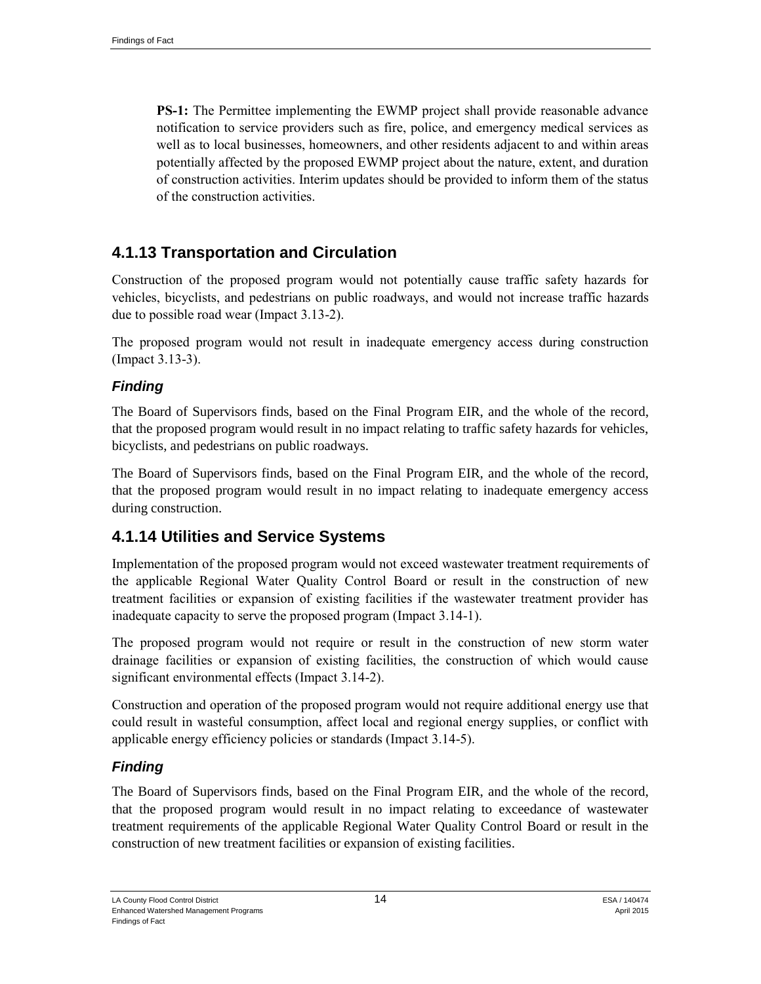**PS-1:** The Permittee implementing the EWMP project shall provide reasonable advance notification to service providers such as fire, police, and emergency medical services as well as to local businesses, homeowners, and other residents adjacent to and within areas potentially affected by the proposed EWMP project about the nature, extent, and duration of construction activities. Interim updates should be provided to inform them of the status of the construction activities.

## **4.1.13 Transportation and Circulation**

Construction of the proposed program would not potentially cause traffic safety hazards for vehicles, bicyclists, and pedestrians on public roadways, and would not increase traffic hazards due to possible road wear (Impact 3.13-2).

The proposed program would not result in inadequate emergency access during construction (Impact 3.13-3).

#### *Finding*

The Board of Supervisors finds, based on the Final Program EIR, and the whole of the record, that the proposed program would result in no impact relating to traffic safety hazards for vehicles, bicyclists, and pedestrians on public roadways.

The Board of Supervisors finds, based on the Final Program EIR, and the whole of the record, that the proposed program would result in no impact relating to inadequate emergency access during construction.

## **4.1.14 Utilities and Service Systems**

Implementation of the proposed program would not exceed wastewater treatment requirements of the applicable Regional Water Quality Control Board or result in the construction of new treatment facilities or expansion of existing facilities if the wastewater treatment provider has inadequate capacity to serve the proposed program (Impact 3.14-1).

The proposed program would not require or result in the construction of new storm water drainage facilities or expansion of existing facilities, the construction of which would cause significant environmental effects (Impact 3.14-2).

Construction and operation of the proposed program would not require additional energy use that could result in wasteful consumption, affect local and regional energy supplies, or conflict with applicable energy efficiency policies or standards (Impact 3.14-5).

#### *Finding*

The Board of Supervisors finds, based on the Final Program EIR, and the whole of the record, that the proposed program would result in no impact relating to exceedance of wastewater treatment requirements of the applicable Regional Water Quality Control Board or result in the construction of new treatment facilities or expansion of existing facilities.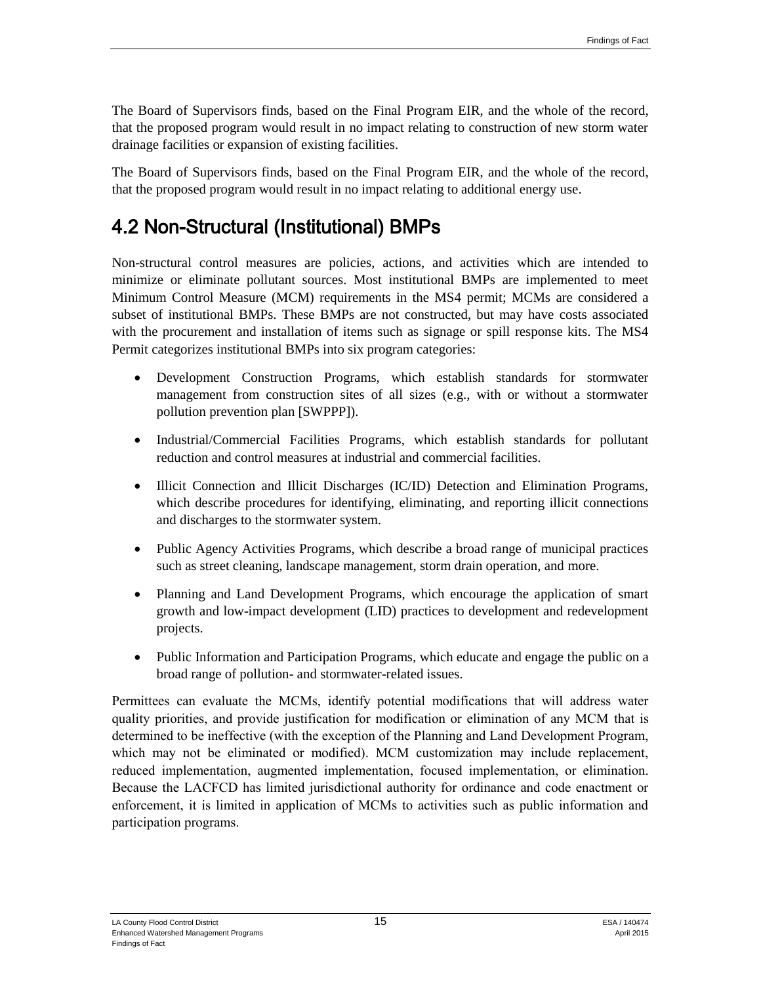The Board of Supervisors finds, based on the Final Program EIR, and the whole of the record, that the proposed program would result in no impact relating to construction of new storm water drainage facilities or expansion of existing facilities.

The Board of Supervisors finds, based on the Final Program EIR, and the whole of the record, that the proposed program would result in no impact relating to additional energy use.

# 4.2 Non-Structural (Institutional) BMPs

Non-structural control measures are policies, actions, and activities which are intended to minimize or eliminate pollutant sources. Most institutional BMPs are implemented to meet Minimum Control Measure (MCM) requirements in the MS4 permit; MCMs are considered a subset of institutional BMPs. These BMPs are not constructed, but may have costs associated with the procurement and installation of items such as signage or spill response kits. The MS4 Permit categorizes institutional BMPs into six program categories:

- Development Construction Programs, which establish standards for stormwater management from construction sites of all sizes (e.g., with or without a stormwater pollution prevention plan [SWPPP]).
- Industrial/Commercial Facilities Programs, which establish standards for pollutant reduction and control measures at industrial and commercial facilities.
- Illicit Connection and Illicit Discharges (IC/ID) Detection and Elimination Programs, which describe procedures for identifying, eliminating, and reporting illicit connections and discharges to the stormwater system.
- Public Agency Activities Programs, which describe a broad range of municipal practices such as street cleaning, landscape management, storm drain operation, and more.
- Planning and Land Development Programs, which encourage the application of smart growth and low-impact development (LID) practices to development and redevelopment projects.
- Public Information and Participation Programs, which educate and engage the public on a broad range of pollution- and stormwater-related issues.

Permittees can evaluate the MCMs, identify potential modifications that will address water quality priorities, and provide justification for modification or elimination of any MCM that is determined to be ineffective (with the exception of the Planning and Land Development Program, which may not be eliminated or modified). MCM customization may include replacement, reduced implementation, augmented implementation, focused implementation, or elimination. Because the LACFCD has limited jurisdictional authority for ordinance and code enactment or enforcement, it is limited in application of MCMs to activities such as public information and participation programs.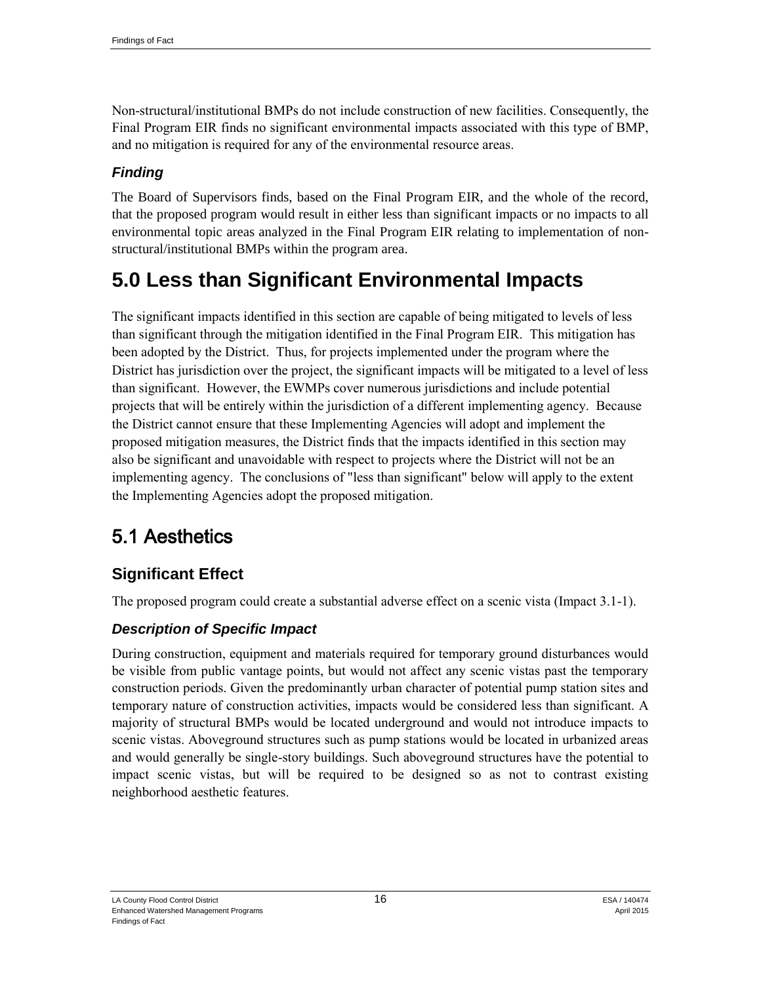Non-structural/institutional BMPs do not include construction of new facilities. Consequently, the Final Program EIR finds no significant environmental impacts associated with this type of BMP, and no mitigation is required for any of the environmental resource areas.

## *Finding*

The Board of Supervisors finds, based on the Final Program EIR, and the whole of the record, that the proposed program would result in either less than significant impacts or no impacts to all environmental topic areas analyzed in the Final Program EIR relating to implementation of nonstructural/institutional BMPs within the program area.

# **5.0 Less than Significant Environmental Impacts**

The significant impacts identified in this section are capable of being mitigated to levels of less than significant through the mitigation identified in the Final Program EIR. This mitigation has been adopted by the District. Thus, for projects implemented under the program where the District has jurisdiction over the project, the significant impacts will be mitigated to a level of less than significant. However, the EWMPs cover numerous jurisdictions and include potential projects that will be entirely within the jurisdiction of a different implementing agency. Because the District cannot ensure that these Implementing Agencies will adopt and implement the proposed mitigation measures, the District finds that the impacts identified in this section may also be significant and unavoidable with respect to projects where the District will not be an implementing agency. The conclusions of "less than significant" below will apply to the extent the Implementing Agencies adopt the proposed mitigation.

# 5.1 Aesthetics

## **Significant Effect**

The proposed program could create a substantial adverse effect on a scenic vista (Impact 3.1-1).

## *Description of Specific Impact*

During construction, equipment and materials required for temporary ground disturbances would be visible from public vantage points, but would not affect any scenic vistas past the temporary construction periods. Given the predominantly urban character of potential pump station sites and temporary nature of construction activities, impacts would be considered less than significant. A majority of structural BMPs would be located underground and would not introduce impacts to scenic vistas. Aboveground structures such as pump stations would be located in urbanized areas and would generally be single-story buildings. Such aboveground structures have the potential to impact scenic vistas, but will be required to be designed so as not to contrast existing neighborhood aesthetic features.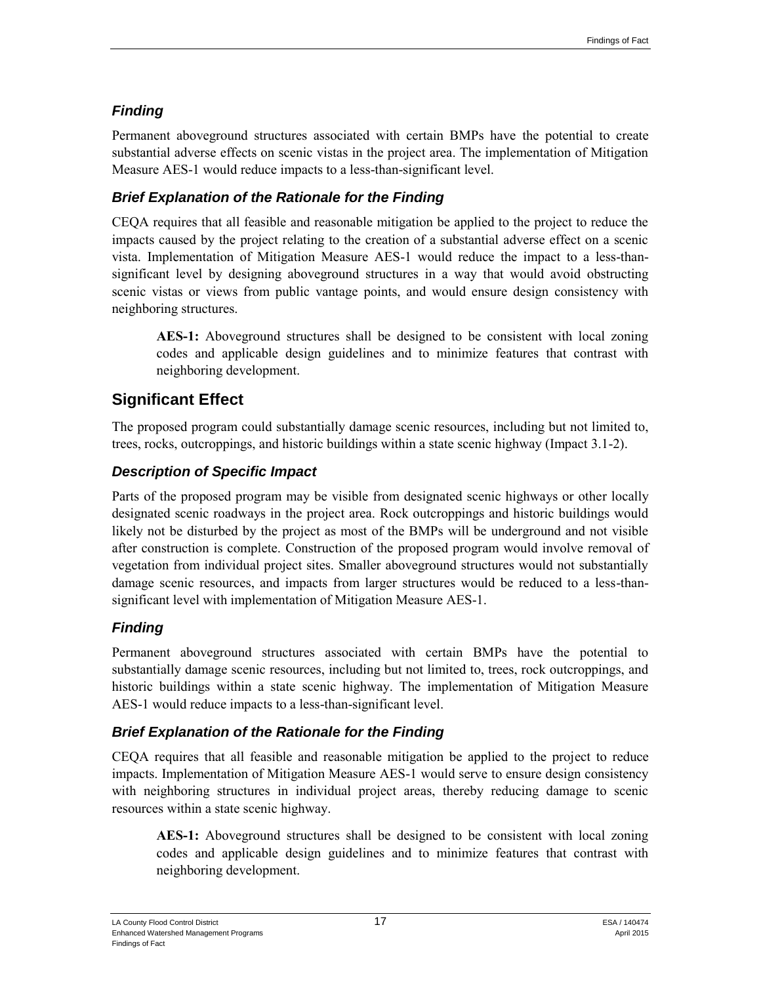## *Finding*

Permanent aboveground structures associated with certain BMPs have the potential to create substantial adverse effects on scenic vistas in the project area. The implementation of Mitigation Measure AES-1 would reduce impacts to a less-than-significant level.

## *Brief Explanation of the Rationale for the Finding*

CEQA requires that all feasible and reasonable mitigation be applied to the project to reduce the impacts caused by the project relating to the creation of a substantial adverse effect on a scenic vista. Implementation of Mitigation Measure AES-1 would reduce the impact to a less-thansignificant level by designing aboveground structures in a way that would avoid obstructing scenic vistas or views from public vantage points, and would ensure design consistency with neighboring structures.

**AES-1:** Aboveground structures shall be designed to be consistent with local zoning codes and applicable design guidelines and to minimize features that contrast with neighboring development.

## **Significant Effect**

The proposed program could substantially damage scenic resources, including but not limited to, trees, rocks, outcroppings, and historic buildings within a state scenic highway (Impact 3.1-2).

## *Description of Specific Impact*

Parts of the proposed program may be visible from designated scenic highways or other locally designated scenic roadways in the project area. Rock outcroppings and historic buildings would likely not be disturbed by the project as most of the BMPs will be underground and not visible after construction is complete. Construction of the proposed program would involve removal of vegetation from individual project sites. Smaller aboveground structures would not substantially damage scenic resources, and impacts from larger structures would be reduced to a less-thansignificant level with implementation of Mitigation Measure AES-1.

## *Finding*

Permanent aboveground structures associated with certain BMPs have the potential to substantially damage scenic resources, including but not limited to, trees, rock outcroppings, and historic buildings within a state scenic highway. The implementation of Mitigation Measure AES-1 would reduce impacts to a less-than-significant level.

## *Brief Explanation of the Rationale for the Finding*

CEQA requires that all feasible and reasonable mitigation be applied to the project to reduce impacts. Implementation of Mitigation Measure AES-1 would serve to ensure design consistency with neighboring structures in individual project areas, thereby reducing damage to scenic resources within a state scenic highway.

**AES-1:** Aboveground structures shall be designed to be consistent with local zoning codes and applicable design guidelines and to minimize features that contrast with neighboring development.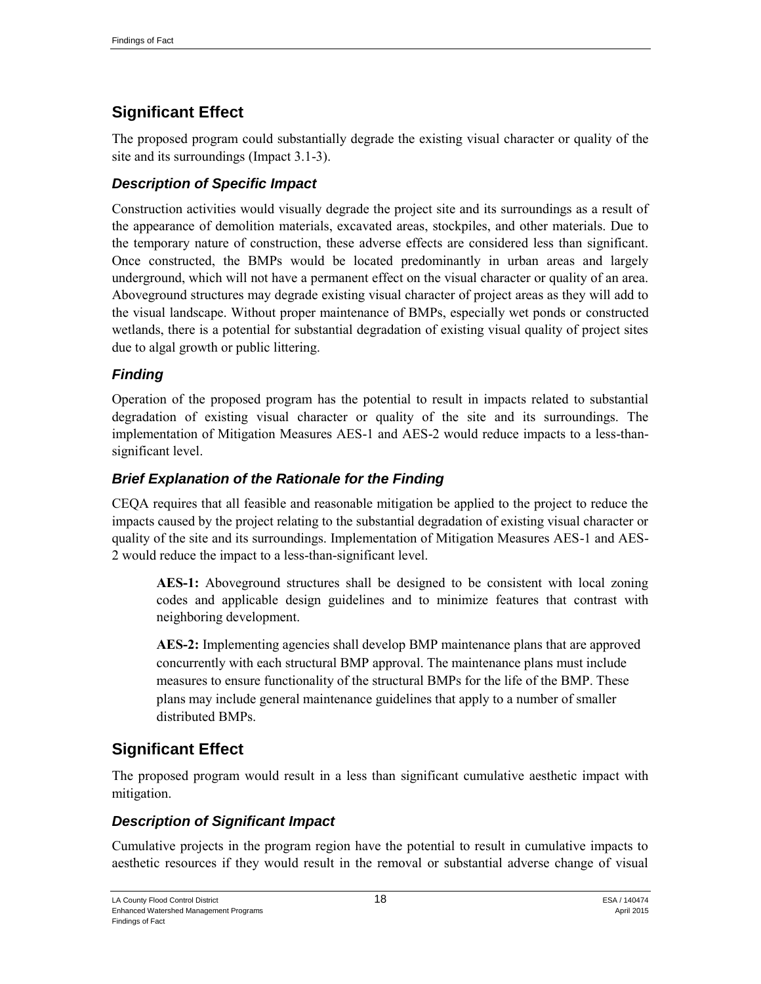## **Significant Effect**

The proposed program could substantially degrade the existing visual character or quality of the site and its surroundings (Impact 3.1-3).

### *Description of Specific Impact*

Construction activities would visually degrade the project site and its surroundings as a result of the appearance of demolition materials, excavated areas, stockpiles, and other materials. Due to the temporary nature of construction, these adverse effects are considered less than significant. Once constructed, the BMPs would be located predominantly in urban areas and largely underground, which will not have a permanent effect on the visual character or quality of an area. Aboveground structures may degrade existing visual character of project areas as they will add to the visual landscape. Without proper maintenance of BMPs, especially wet ponds or constructed wetlands, there is a potential for substantial degradation of existing visual quality of project sites due to algal growth or public littering.

#### *Finding*

Operation of the proposed program has the potential to result in impacts related to substantial degradation of existing visual character or quality of the site and its surroundings. The implementation of Mitigation Measures AES-1 and AES-2 would reduce impacts to a less-thansignificant level.

#### *Brief Explanation of the Rationale for the Finding*

CEQA requires that all feasible and reasonable mitigation be applied to the project to reduce the impacts caused by the project relating to the substantial degradation of existing visual character or quality of the site and its surroundings. Implementation of Mitigation Measures AES-1 and AES-2 would reduce the impact to a less-than-significant level.

**AES-1:** Aboveground structures shall be designed to be consistent with local zoning codes and applicable design guidelines and to minimize features that contrast with neighboring development.

**AES-2:** Implementing agencies shall develop BMP maintenance plans that are approved concurrently with each structural BMP approval. The maintenance plans must include measures to ensure functionality of the structural BMPs for the life of the BMP. These plans may include general maintenance guidelines that apply to a number of smaller distributed BMPs.

## **Significant Effect**

The proposed program would result in a less than significant cumulative aesthetic impact with mitigation.

## *Description of Significant Impact*

Cumulative projects in the program region have the potential to result in cumulative impacts to aesthetic resources if they would result in the removal or substantial adverse change of visual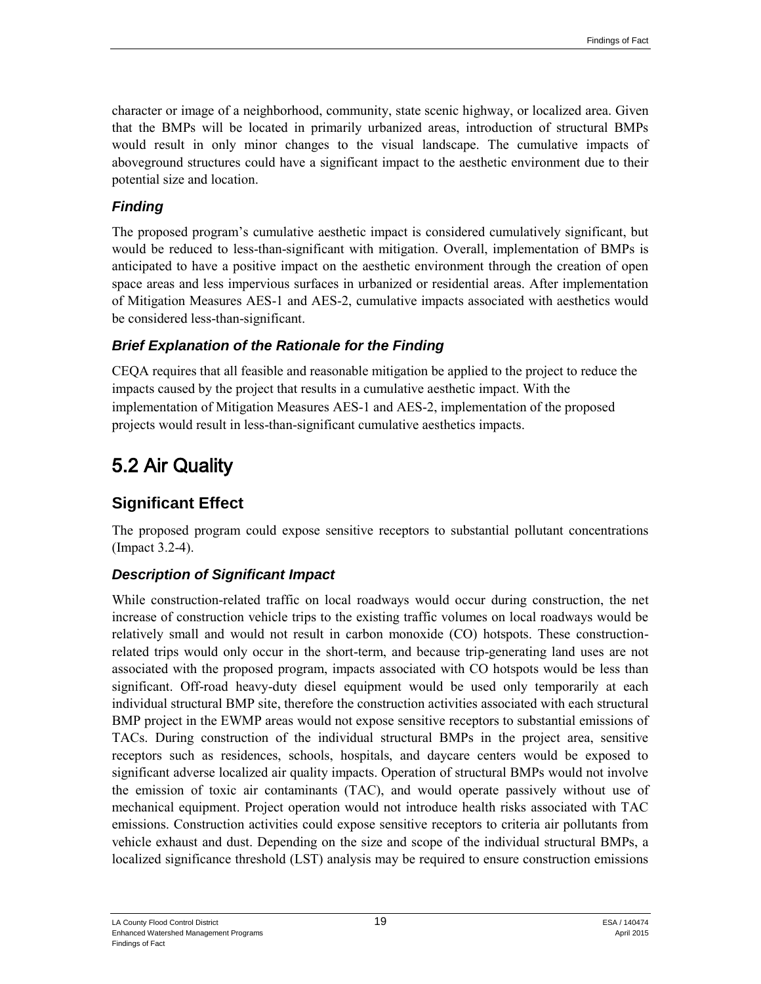character or image of a neighborhood, community, state scenic highway, or localized area. Given that the BMPs will be located in primarily urbanized areas, introduction of structural BMPs would result in only minor changes to the visual landscape. The cumulative impacts of aboveground structures could have a significant impact to the aesthetic environment due to their potential size and location.

#### *Finding*

The proposed program's cumulative aesthetic impact is considered cumulatively significant, but would be reduced to less-than-significant with mitigation. Overall, implementation of BMPs is anticipated to have a positive impact on the aesthetic environment through the creation of open space areas and less impervious surfaces in urbanized or residential areas. After implementation of Mitigation Measures AES-1 and AES-2, cumulative impacts associated with aesthetics would be considered less-than-significant.

#### *Brief Explanation of the Rationale for the Finding*

CEQA requires that all feasible and reasonable mitigation be applied to the project to reduce the impacts caused by the project that results in a cumulative aesthetic impact. With the implementation of Mitigation Measures AES-1 and AES-2, implementation of the proposed projects would result in less-than-significant cumulative aesthetics impacts.

# 5.2 Air Quality

## **Significant Effect**

The proposed program could expose sensitive receptors to substantial pollutant concentrations (Impact 3.2-4).

#### *Description of Significant Impact*

While construction-related traffic on local roadways would occur during construction, the net increase of construction vehicle trips to the existing traffic volumes on local roadways would be relatively small and would not result in carbon monoxide (CO) hotspots. These constructionrelated trips would only occur in the short-term, and because trip-generating land uses are not associated with the proposed program, impacts associated with CO hotspots would be less than significant. Off-road heavy-duty diesel equipment would be used only temporarily at each individual structural BMP site, therefore the construction activities associated with each structural BMP project in the EWMP areas would not expose sensitive receptors to substantial emissions of TACs. During construction of the individual structural BMPs in the project area, sensitive receptors such as residences, schools, hospitals, and daycare centers would be exposed to significant adverse localized air quality impacts. Operation of structural BMPs would not involve the emission of toxic air contaminants (TAC), and would operate passively without use of mechanical equipment. Project operation would not introduce health risks associated with TAC emissions. Construction activities could expose sensitive receptors to criteria air pollutants from vehicle exhaust and dust. Depending on the size and scope of the individual structural BMPs, a localized significance threshold (LST) analysis may be required to ensure construction emissions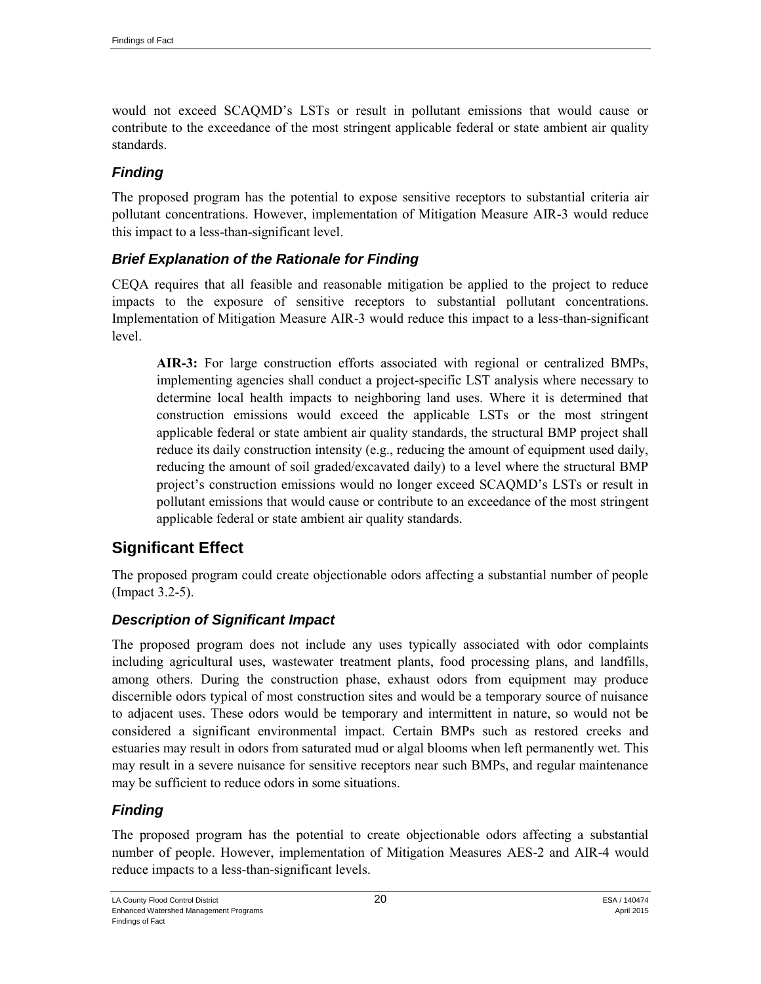would not exceed SCAQMD's LSTs or result in pollutant emissions that would cause or contribute to the exceedance of the most stringent applicable federal or state ambient air quality standards.

### *Finding*

The proposed program has the potential to expose sensitive receptors to substantial criteria air pollutant concentrations. However, implementation of Mitigation Measure AIR-3 would reduce this impact to a less-than-significant level.

#### *Brief Explanation of the Rationale for Finding*

CEQA requires that all feasible and reasonable mitigation be applied to the project to reduce impacts to the exposure of sensitive receptors to substantial pollutant concentrations. Implementation of Mitigation Measure AIR-3 would reduce this impact to a less-than-significant level.

**AIR-3:** For large construction efforts associated with regional or centralized BMPs, implementing agencies shall conduct a project-specific LST analysis where necessary to determine local health impacts to neighboring land uses. Where it is determined that construction emissions would exceed the applicable LSTs or the most stringent applicable federal or state ambient air quality standards, the structural BMP project shall reduce its daily construction intensity (e.g., reducing the amount of equipment used daily, reducing the amount of soil graded/excavated daily) to a level where the structural BMP project's construction emissions would no longer exceed SCAQMD's LSTs or result in pollutant emissions that would cause or contribute to an exceedance of the most stringent applicable federal or state ambient air quality standards.

## **Significant Effect**

The proposed program could create objectionable odors affecting a substantial number of people (Impact 3.2-5).

#### *Description of Significant Impact*

The proposed program does not include any uses typically associated with odor complaints including agricultural uses, wastewater treatment plants, food processing plans, and landfills, among others. During the construction phase, exhaust odors from equipment may produce discernible odors typical of most construction sites and would be a temporary source of nuisance to adjacent uses. These odors would be temporary and intermittent in nature, so would not be considered a significant environmental impact. Certain BMPs such as restored creeks and estuaries may result in odors from saturated mud or algal blooms when left permanently wet. This may result in a severe nuisance for sensitive receptors near such BMPs, and regular maintenance may be sufficient to reduce odors in some situations.

#### *Finding*

The proposed program has the potential to create objectionable odors affecting a substantial number of people. However, implementation of Mitigation Measures AES-2 and AIR-4 would reduce impacts to a less-than-significant levels.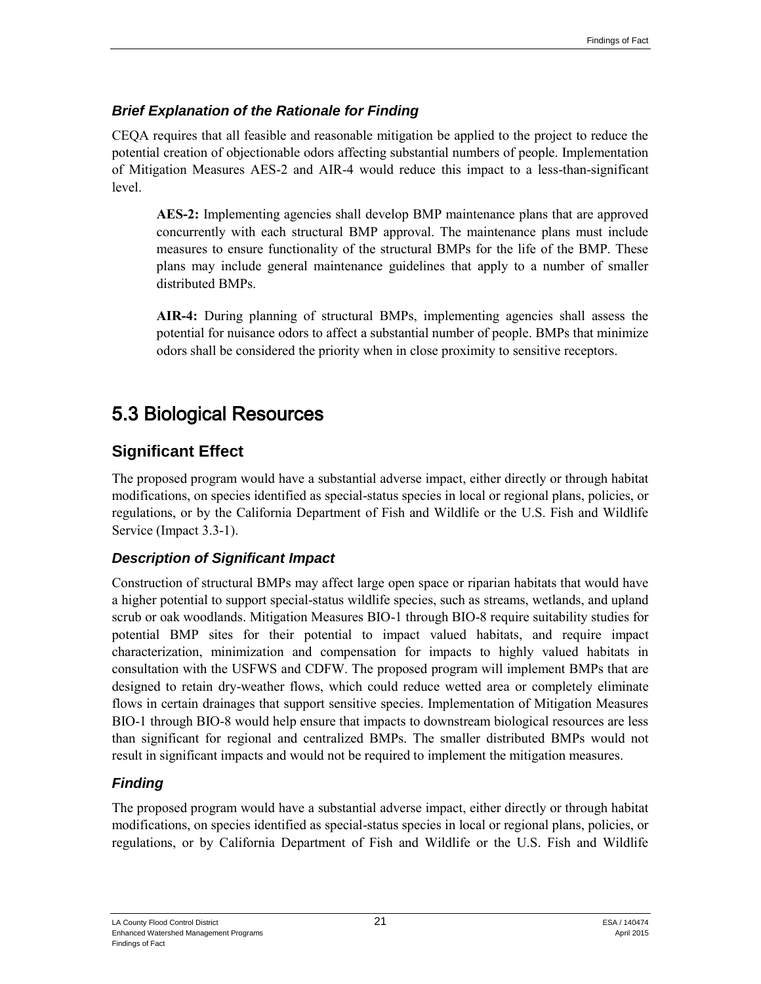#### *Brief Explanation of the Rationale for Finding*

CEQA requires that all feasible and reasonable mitigation be applied to the project to reduce the potential creation of objectionable odors affecting substantial numbers of people. Implementation of Mitigation Measures AES-2 and AIR-4 would reduce this impact to a less-than-significant level.

**AES-2:** Implementing agencies shall develop BMP maintenance plans that are approved concurrently with each structural BMP approval. The maintenance plans must include measures to ensure functionality of the structural BMPs for the life of the BMP. These plans may include general maintenance guidelines that apply to a number of smaller distributed BMPs.

**AIR-4:** During planning of structural BMPs, implementing agencies shall assess the potential for nuisance odors to affect a substantial number of people. BMPs that minimize odors shall be considered the priority when in close proximity to sensitive receptors.

# 5.3 Biological Resources

## **Significant Effect**

The proposed program would have a substantial adverse impact, either directly or through habitat modifications, on species identified as special-status species in local or regional plans, policies, or regulations, or by the California Department of Fish and Wildlife or the U.S. Fish and Wildlife Service (Impact 3.3-1).

## *Description of Significant Impact*

Construction of structural BMPs may affect large open space or riparian habitats that would have a higher potential to support special-status wildlife species, such as streams, wetlands, and upland scrub or oak woodlands. Mitigation Measures BIO-1 through BIO-8 require suitability studies for potential BMP sites for their potential to impact valued habitats, and require impact characterization, minimization and compensation for impacts to highly valued habitats in consultation with the USFWS and CDFW. The proposed program will implement BMPs that are designed to retain dry-weather flows, which could reduce wetted area or completely eliminate flows in certain drainages that support sensitive species. Implementation of Mitigation Measures BIO-1 through BIO-8 would help ensure that impacts to downstream biological resources are less than significant for regional and centralized BMPs. The smaller distributed BMPs would not result in significant impacts and would not be required to implement the mitigation measures.

## *Finding*

The proposed program would have a substantial adverse impact, either directly or through habitat modifications, on species identified as special-status species in local or regional plans, policies, or regulations, or by California Department of Fish and Wildlife or the U.S. Fish and Wildlife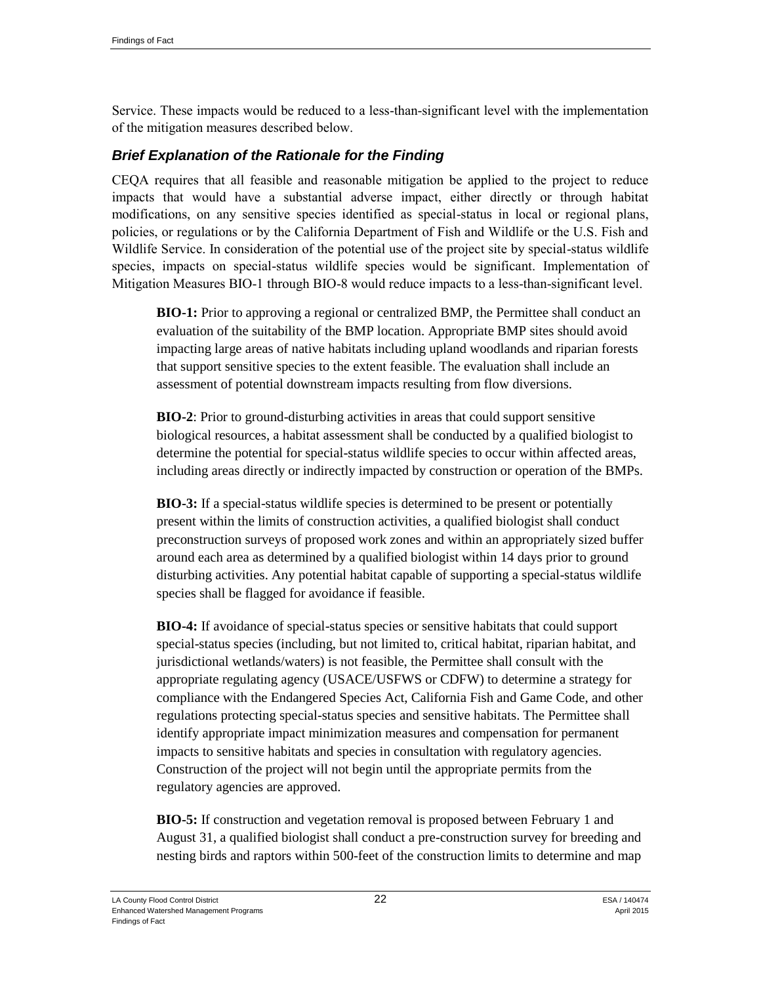Service. These impacts would be reduced to a less-than-significant level with the implementation of the mitigation measures described below.

#### *Brief Explanation of the Rationale for the Finding*

CEQA requires that all feasible and reasonable mitigation be applied to the project to reduce impacts that would have a substantial adverse impact, either directly or through habitat modifications, on any sensitive species identified as special-status in local or regional plans, policies, or regulations or by the California Department of Fish and Wildlife or the U.S. Fish and Wildlife Service. In consideration of the potential use of the project site by special-status wildlife species, impacts on special-status wildlife species would be significant. Implementation of Mitigation Measures BIO-1 through BIO-8 would reduce impacts to a less-than-significant level.

**BIO-1:** Prior to approving a regional or centralized BMP, the Permittee shall conduct an evaluation of the suitability of the BMP location. Appropriate BMP sites should avoid impacting large areas of native habitats including upland woodlands and riparian forests that support sensitive species to the extent feasible. The evaluation shall include an assessment of potential downstream impacts resulting from flow diversions.

**BIO-2**: Prior to ground-disturbing activities in areas that could support sensitive biological resources, a habitat assessment shall be conducted by a qualified biologist to determine the potential for special-status wildlife species to occur within affected areas, including areas directly or indirectly impacted by construction or operation of the BMPs.

**BIO-3:** If a special-status wildlife species is determined to be present or potentially present within the limits of construction activities, a qualified biologist shall conduct preconstruction surveys of proposed work zones and within an appropriately sized buffer around each area as determined by a qualified biologist within 14 days prior to ground disturbing activities. Any potential habitat capable of supporting a special-status wildlife species shall be flagged for avoidance if feasible.

**BIO-4:** If avoidance of special-status species or sensitive habitats that could support special-status species (including, but not limited to, critical habitat, riparian habitat, and jurisdictional wetlands/waters) is not feasible, the Permittee shall consult with the appropriate regulating agency (USACE/USFWS or CDFW) to determine a strategy for compliance with the Endangered Species Act, California Fish and Game Code, and other regulations protecting special-status species and sensitive habitats. The Permittee shall identify appropriate impact minimization measures and compensation for permanent impacts to sensitive habitats and species in consultation with regulatory agencies. Construction of the project will not begin until the appropriate permits from the regulatory agencies are approved.

**BIO-5:** If construction and vegetation removal is proposed between February 1 and August 31, a qualified biologist shall conduct a pre-construction survey for breeding and nesting birds and raptors within 500-feet of the construction limits to determine and map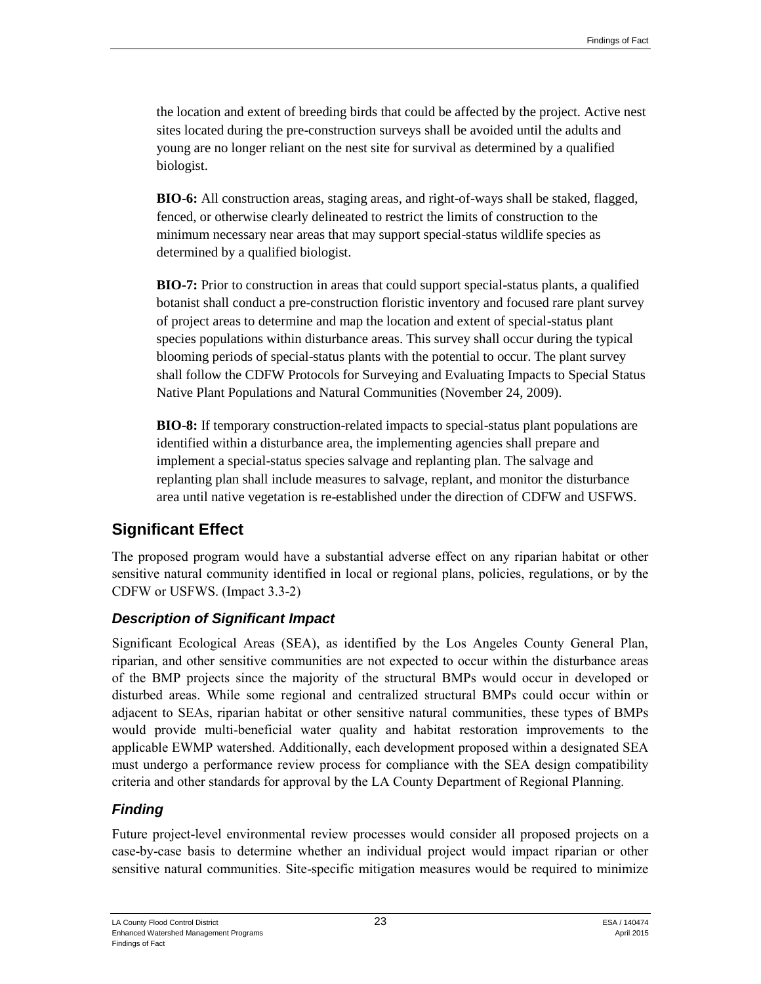the location and extent of breeding birds that could be affected by the project. Active nest sites located during the pre-construction surveys shall be avoided until the adults and young are no longer reliant on the nest site for survival as determined by a qualified biologist.

**BIO-6:** All construction areas, staging areas, and right-of-ways shall be staked, flagged, fenced, or otherwise clearly delineated to restrict the limits of construction to the minimum necessary near areas that may support special-status wildlife species as determined by a qualified biologist.

**BIO-7:** Prior to construction in areas that could support special-status plants, a qualified botanist shall conduct a pre-construction floristic inventory and focused rare plant survey of project areas to determine and map the location and extent of special-status plant species populations within disturbance areas. This survey shall occur during the typical blooming periods of special-status plants with the potential to occur. The plant survey shall follow the CDFW Protocols for Surveying and Evaluating Impacts to Special Status Native Plant Populations and Natural Communities (November 24, 2009).

**BIO-8:** If temporary construction-related impacts to special-status plant populations are identified within a disturbance area, the implementing agencies shall prepare and implement a special-status species salvage and replanting plan. The salvage and replanting plan shall include measures to salvage, replant, and monitor the disturbance area until native vegetation is re-established under the direction of CDFW and USFWS.

## **Significant Effect**

The proposed program would have a substantial adverse effect on any riparian habitat or other sensitive natural community identified in local or regional plans, policies, regulations, or by the CDFW or USFWS. (Impact 3.3-2)

## *Description of Significant Impact*

Significant Ecological Areas (SEA), as identified by the Los Angeles County General Plan, riparian, and other sensitive communities are not expected to occur within the disturbance areas of the BMP projects since the majority of the structural BMPs would occur in developed or disturbed areas. While some regional and centralized structural BMPs could occur within or adjacent to SEAs, riparian habitat or other sensitive natural communities, these types of BMPs would provide multi-beneficial water quality and habitat restoration improvements to the applicable EWMP watershed. Additionally, each development proposed within a designated SEA must undergo a performance review process for compliance with the SEA design compatibility criteria and other standards for approval by the LA County Department of Regional Planning.

## *Finding*

Future project-level environmental review processes would consider all proposed projects on a case-by-case basis to determine whether an individual project would impact riparian or other sensitive natural communities. Site-specific mitigation measures would be required to minimize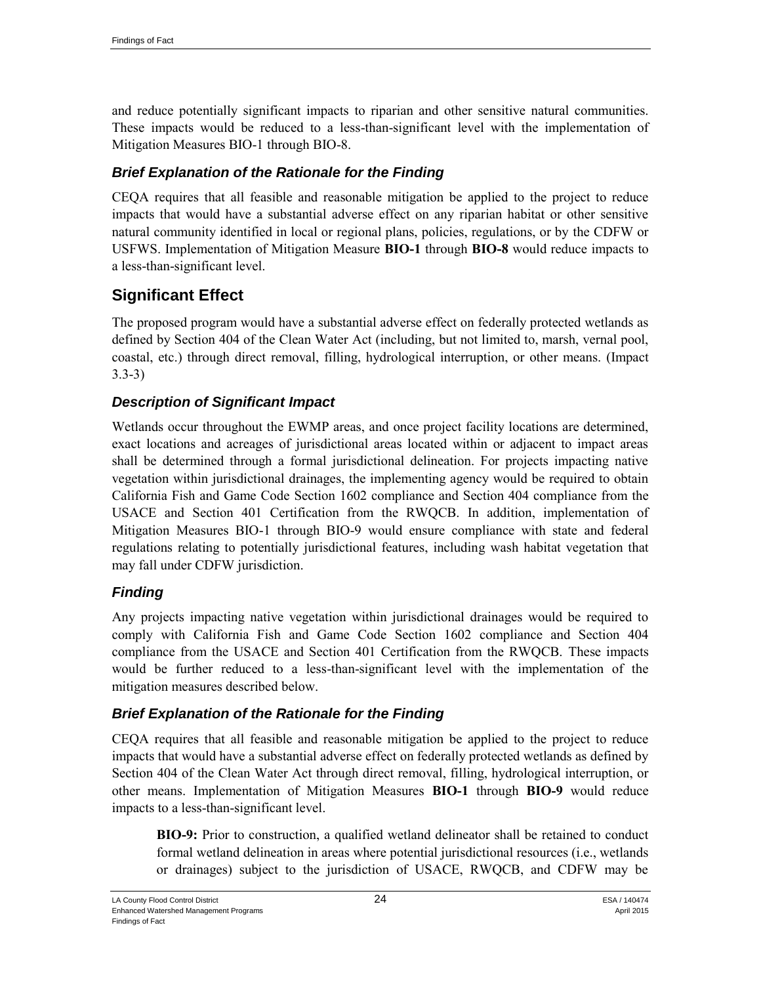and reduce potentially significant impacts to riparian and other sensitive natural communities. These impacts would be reduced to a less-than-significant level with the implementation of Mitigation Measures BIO-1 through BIO-8.

#### *Brief Explanation of the Rationale for the Finding*

CEQA requires that all feasible and reasonable mitigation be applied to the project to reduce impacts that would have a substantial adverse effect on any riparian habitat or other sensitive natural community identified in local or regional plans, policies, regulations, or by the CDFW or USFWS. Implementation of Mitigation Measure **BIO-1** through **BIO-8** would reduce impacts to a less-than-significant level.

## **Significant Effect**

The proposed program would have a substantial adverse effect on federally protected wetlands as defined by Section 404 of the Clean Water Act (including, but not limited to, marsh, vernal pool, coastal, etc.) through direct removal, filling, hydrological interruption, or other means. (Impact 3.3-3)

#### *Description of Significant Impact*

Wetlands occur throughout the EWMP areas, and once project facility locations are determined, exact locations and acreages of jurisdictional areas located within or adjacent to impact areas shall be determined through a formal jurisdictional delineation. For projects impacting native vegetation within jurisdictional drainages, the implementing agency would be required to obtain California Fish and Game Code Section 1602 compliance and Section 404 compliance from the USACE and Section 401 Certification from the RWQCB. In addition, implementation of Mitigation Measures BIO-1 through BIO-9 would ensure compliance with state and federal regulations relating to potentially jurisdictional features, including wash habitat vegetation that may fall under CDFW jurisdiction.

#### *Finding*

Any projects impacting native vegetation within jurisdictional drainages would be required to comply with California Fish and Game Code Section 1602 compliance and Section 404 compliance from the USACE and Section 401 Certification from the RWQCB. These impacts would be further reduced to a less-than-significant level with the implementation of the mitigation measures described below.

#### *Brief Explanation of the Rationale for the Finding*

CEQA requires that all feasible and reasonable mitigation be applied to the project to reduce impacts that would have a substantial adverse effect on federally protected wetlands as defined by Section 404 of the Clean Water Act through direct removal, filling, hydrological interruption, or other means. Implementation of Mitigation Measures **BIO-1** through **BIO-9** would reduce impacts to a less-than-significant level.

**BIO-9:** Prior to construction, a qualified wetland delineator shall be retained to conduct formal wetland delineation in areas where potential jurisdictional resources (i.e., wetlands or drainages) subject to the jurisdiction of USACE, RWQCB, and CDFW may be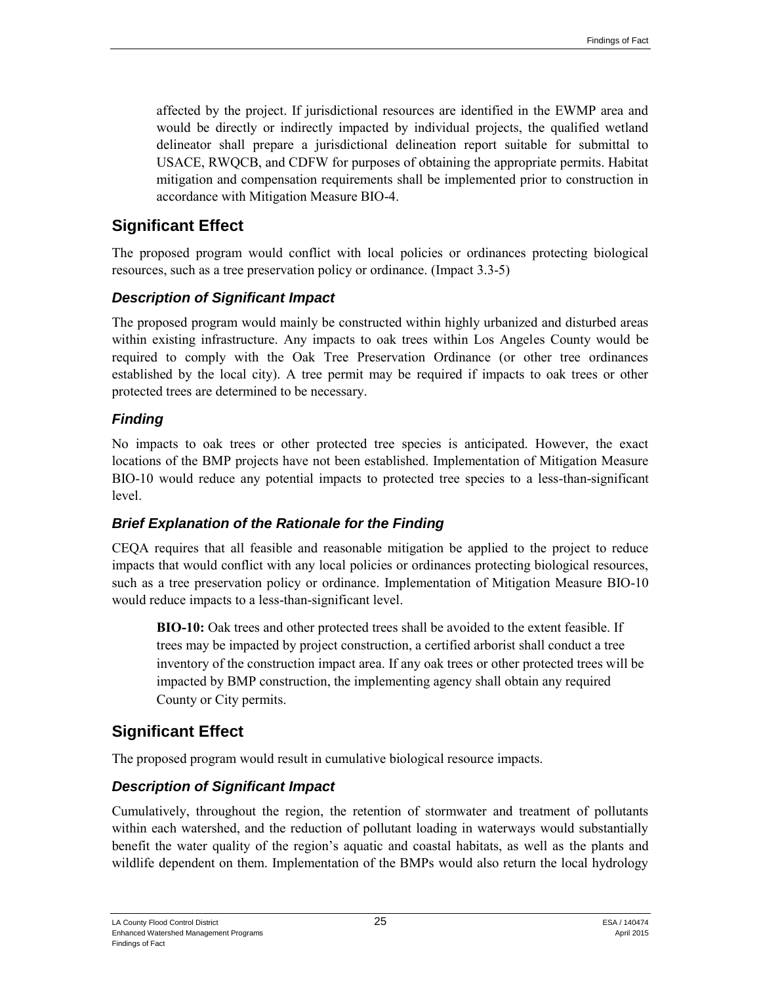affected by the project. If jurisdictional resources are identified in the EWMP area and would be directly or indirectly impacted by individual projects, the qualified wetland delineator shall prepare a jurisdictional delineation report suitable for submittal to USACE, RWQCB, and CDFW for purposes of obtaining the appropriate permits. Habitat mitigation and compensation requirements shall be implemented prior to construction in accordance with Mitigation Measure BIO-4.

## **Significant Effect**

The proposed program would conflict with local policies or ordinances protecting biological resources, such as a tree preservation policy or ordinance. (Impact 3.3-5)

#### *Description of Significant Impact*

The proposed program would mainly be constructed within highly urbanized and disturbed areas within existing infrastructure. Any impacts to oak trees within Los Angeles County would be required to comply with the Oak Tree Preservation Ordinance (or other tree ordinances established by the local city). A tree permit may be required if impacts to oak trees or other protected trees are determined to be necessary.

#### *Finding*

No impacts to oak trees or other protected tree species is anticipated. However, the exact locations of the BMP projects have not been established. Implementation of Mitigation Measure BIO-10 would reduce any potential impacts to protected tree species to a less-than-significant level.

#### *Brief Explanation of the Rationale for the Finding*

CEQA requires that all feasible and reasonable mitigation be applied to the project to reduce impacts that would conflict with any local policies or ordinances protecting biological resources, such as a tree preservation policy or ordinance. Implementation of Mitigation Measure BIO-10 would reduce impacts to a less-than-significant level.

**BIO-10:** Oak trees and other protected trees shall be avoided to the extent feasible. If trees may be impacted by project construction, a certified arborist shall conduct a tree inventory of the construction impact area. If any oak trees or other protected trees will be impacted by BMP construction, the implementing agency shall obtain any required County or City permits.

## **Significant Effect**

The proposed program would result in cumulative biological resource impacts.

## *Description of Significant Impact*

Cumulatively, throughout the region, the retention of stormwater and treatment of pollutants within each watershed, and the reduction of pollutant loading in waterways would substantially benefit the water quality of the region's aquatic and coastal habitats, as well as the plants and wildlife dependent on them. Implementation of the BMPs would also return the local hydrology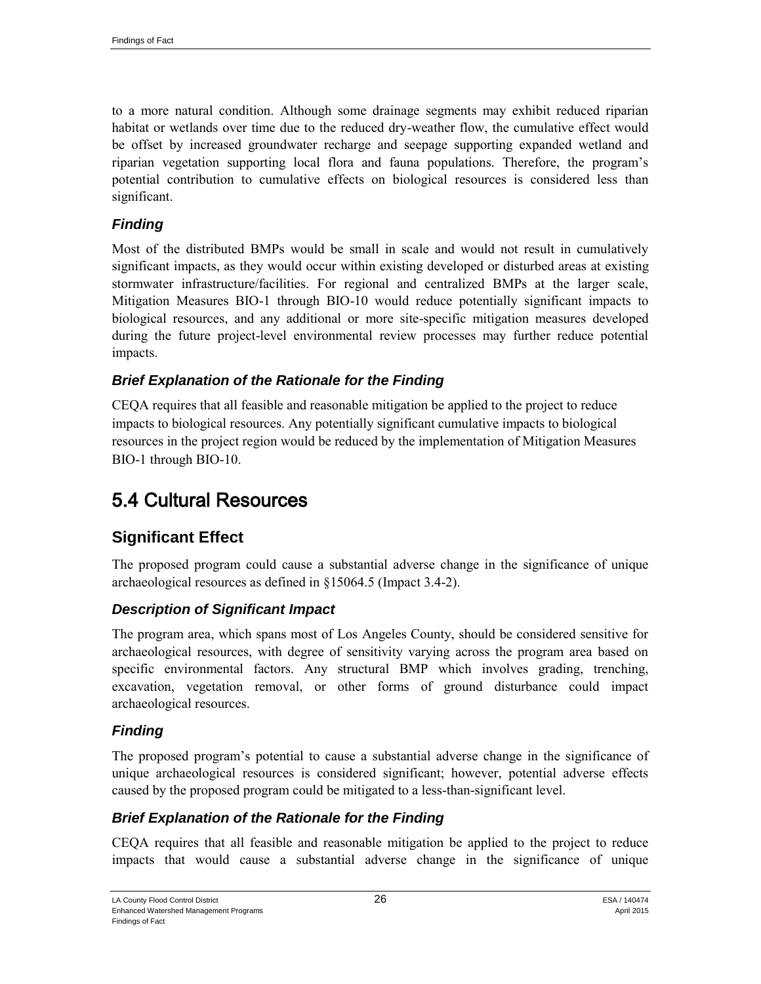to a more natural condition. Although some drainage segments may exhibit reduced riparian habitat or wetlands over time due to the reduced dry-weather flow, the cumulative effect would be offset by increased groundwater recharge and seepage supporting expanded wetland and riparian vegetation supporting local flora and fauna populations. Therefore, the program's potential contribution to cumulative effects on biological resources is considered less than significant.

#### *Finding*

Most of the distributed BMPs would be small in scale and would not result in cumulatively significant impacts, as they would occur within existing developed or disturbed areas at existing stormwater infrastructure/facilities. For regional and centralized BMPs at the larger scale, Mitigation Measures BIO-1 through BIO-10 would reduce potentially significant impacts to biological resources, and any additional or more site-specific mitigation measures developed during the future project-level environmental review processes may further reduce potential impacts.

#### *Brief Explanation of the Rationale for the Finding*

CEQA requires that all feasible and reasonable mitigation be applied to the project to reduce impacts to biological resources. Any potentially significant cumulative impacts to biological resources in the project region would be reduced by the implementation of Mitigation Measures BIO-1 through BIO-10.

# 5.4 Cultural Resources

## **Significant Effect**

The proposed program could cause a substantial adverse change in the significance of unique archaeological resources as defined in §15064.5 (Impact 3.4-2).

#### *Description of Significant Impact*

The program area, which spans most of Los Angeles County, should be considered sensitive for archaeological resources, with degree of sensitivity varying across the program area based on specific environmental factors. Any structural BMP which involves grading, trenching, excavation, vegetation removal, or other forms of ground disturbance could impact archaeological resources.

#### *Finding*

The proposed program's potential to cause a substantial adverse change in the significance of unique archaeological resources is considered significant; however, potential adverse effects caused by the proposed program could be mitigated to a less-than-significant level.

#### *Brief Explanation of the Rationale for the Finding*

CEQA requires that all feasible and reasonable mitigation be applied to the project to reduce impacts that would cause a substantial adverse change in the significance of unique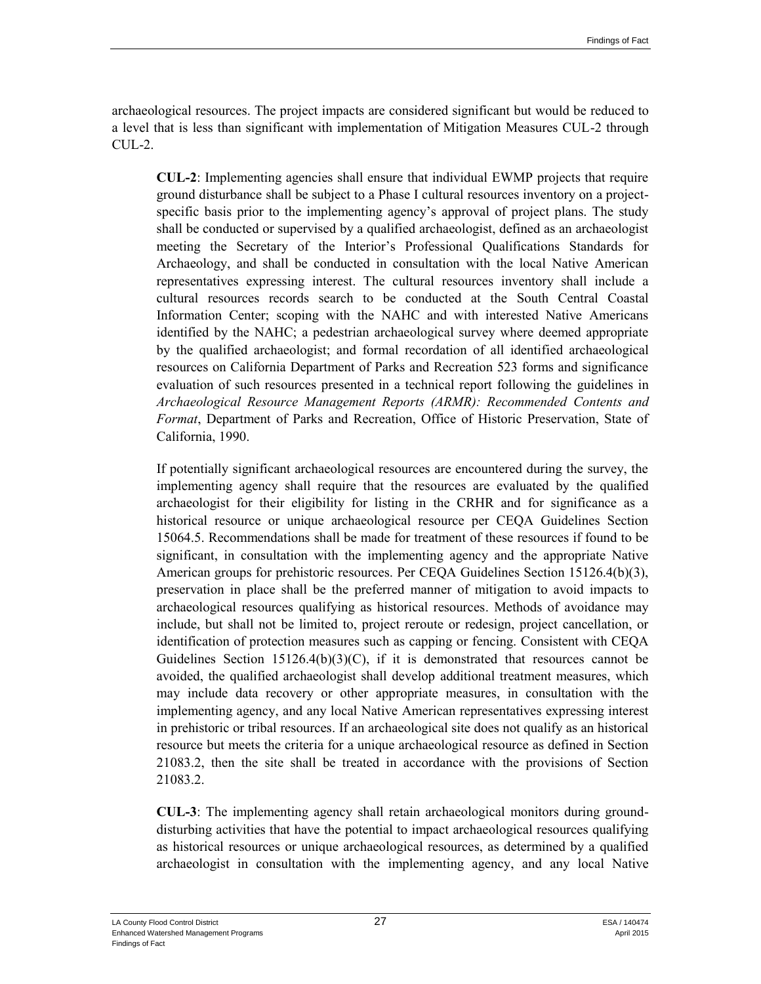archaeological resources. The project impacts are considered significant but would be reduced to a level that is less than significant with implementation of Mitigation Measures CUL-2 through  $CUL-2$ .

**CUL-2**: Implementing agencies shall ensure that individual EWMP projects that require ground disturbance shall be subject to a Phase I cultural resources inventory on a projectspecific basis prior to the implementing agency's approval of project plans. The study shall be conducted or supervised by a qualified archaeologist, defined as an archaeologist meeting the Secretary of the Interior's Professional Qualifications Standards for Archaeology, and shall be conducted in consultation with the local Native American representatives expressing interest. The cultural resources inventory shall include a cultural resources records search to be conducted at the South Central Coastal Information Center; scoping with the NAHC and with interested Native Americans identified by the NAHC; a pedestrian archaeological survey where deemed appropriate by the qualified archaeologist; and formal recordation of all identified archaeological resources on California Department of Parks and Recreation 523 forms and significance evaluation of such resources presented in a technical report following the guidelines in *Archaeological Resource Management Reports (ARMR): Recommended Contents and Format*, Department of Parks and Recreation, Office of Historic Preservation, State of California, 1990.

If potentially significant archaeological resources are encountered during the survey, the implementing agency shall require that the resources are evaluated by the qualified archaeologist for their eligibility for listing in the CRHR and for significance as a historical resource or unique archaeological resource per CEQA Guidelines Section 15064.5. Recommendations shall be made for treatment of these resources if found to be significant, in consultation with the implementing agency and the appropriate Native American groups for prehistoric resources. Per CEQA Guidelines Section 15126.4(b)(3), preservation in place shall be the preferred manner of mitigation to avoid impacts to archaeological resources qualifying as historical resources. Methods of avoidance may include, but shall not be limited to, project reroute or redesign, project cancellation, or identification of protection measures such as capping or fencing. Consistent with CEQA Guidelines Section  $15126.4(b)(3)(C)$ , if it is demonstrated that resources cannot be avoided, the qualified archaeologist shall develop additional treatment measures, which may include data recovery or other appropriate measures, in consultation with the implementing agency, and any local Native American representatives expressing interest in prehistoric or tribal resources. If an archaeological site does not qualify as an historical resource but meets the criteria for a unique archaeological resource as defined in Section 21083.2, then the site shall be treated in accordance with the provisions of Section 21083.2.

**CUL-3**: The implementing agency shall retain archaeological monitors during grounddisturbing activities that have the potential to impact archaeological resources qualifying as historical resources or unique archaeological resources, as determined by a qualified archaeologist in consultation with the implementing agency, and any local Native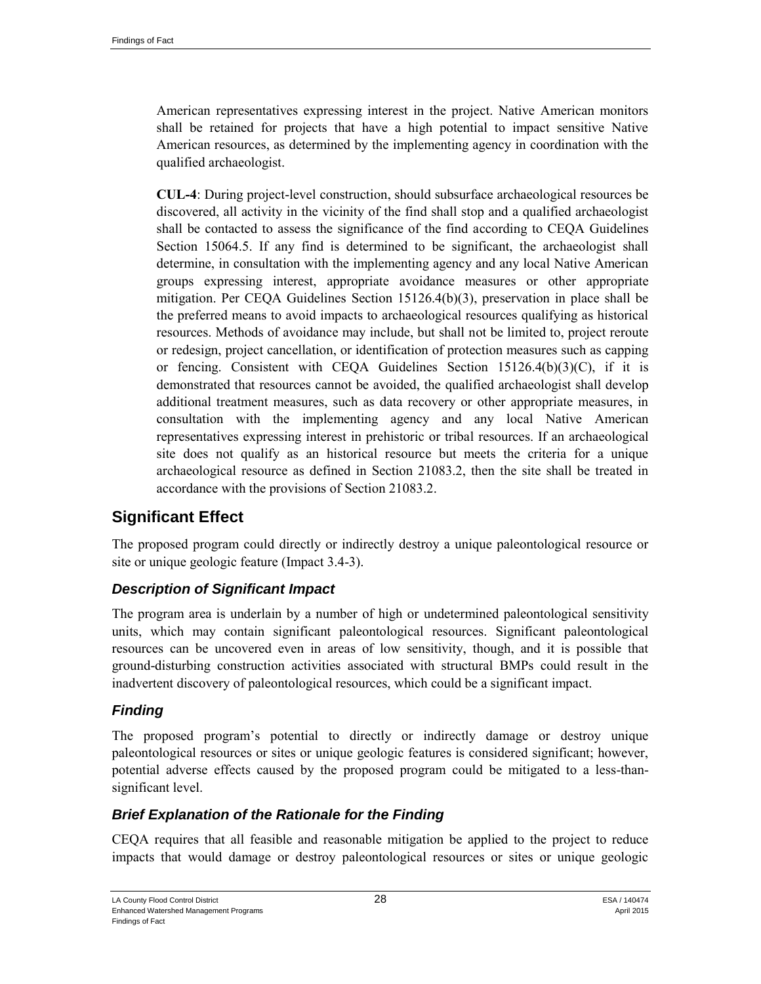American representatives expressing interest in the project. Native American monitors shall be retained for projects that have a high potential to impact sensitive Native American resources, as determined by the implementing agency in coordination with the qualified archaeologist.

**CUL-4**: During project-level construction, should subsurface archaeological resources be discovered, all activity in the vicinity of the find shall stop and a qualified archaeologist shall be contacted to assess the significance of the find according to CEQA Guidelines Section 15064.5. If any find is determined to be significant, the archaeologist shall determine, in consultation with the implementing agency and any local Native American groups expressing interest, appropriate avoidance measures or other appropriate mitigation. Per CEQA Guidelines Section 15126.4(b)(3), preservation in place shall be the preferred means to avoid impacts to archaeological resources qualifying as historical resources. Methods of avoidance may include, but shall not be limited to, project reroute or redesign, project cancellation, or identification of protection measures such as capping or fencing. Consistent with CEQA Guidelines Section  $15126.4(b)(3)(C)$ , if it is demonstrated that resources cannot be avoided, the qualified archaeologist shall develop additional treatment measures, such as data recovery or other appropriate measures, in consultation with the implementing agency and any local Native American representatives expressing interest in prehistoric or tribal resources. If an archaeological site does not qualify as an historical resource but meets the criteria for a unique archaeological resource as defined in Section 21083.2, then the site shall be treated in accordance with the provisions of Section 21083.2.

## **Significant Effect**

The proposed program could directly or indirectly destroy a unique paleontological resource or site or unique geologic feature (Impact 3.4-3).

#### *Description of Significant Impact*

The program area is underlain by a number of high or undetermined paleontological sensitivity units, which may contain significant paleontological resources. Significant paleontological resources can be uncovered even in areas of low sensitivity, though, and it is possible that ground-disturbing construction activities associated with structural BMPs could result in the inadvertent discovery of paleontological resources, which could be a significant impact.

#### *Finding*

The proposed program's potential to directly or indirectly damage or destroy unique paleontological resources or sites or unique geologic features is considered significant; however, potential adverse effects caused by the proposed program could be mitigated to a less-thansignificant level.

#### *Brief Explanation of the Rationale for the Finding*

CEQA requires that all feasible and reasonable mitigation be applied to the project to reduce impacts that would damage or destroy paleontological resources or sites or unique geologic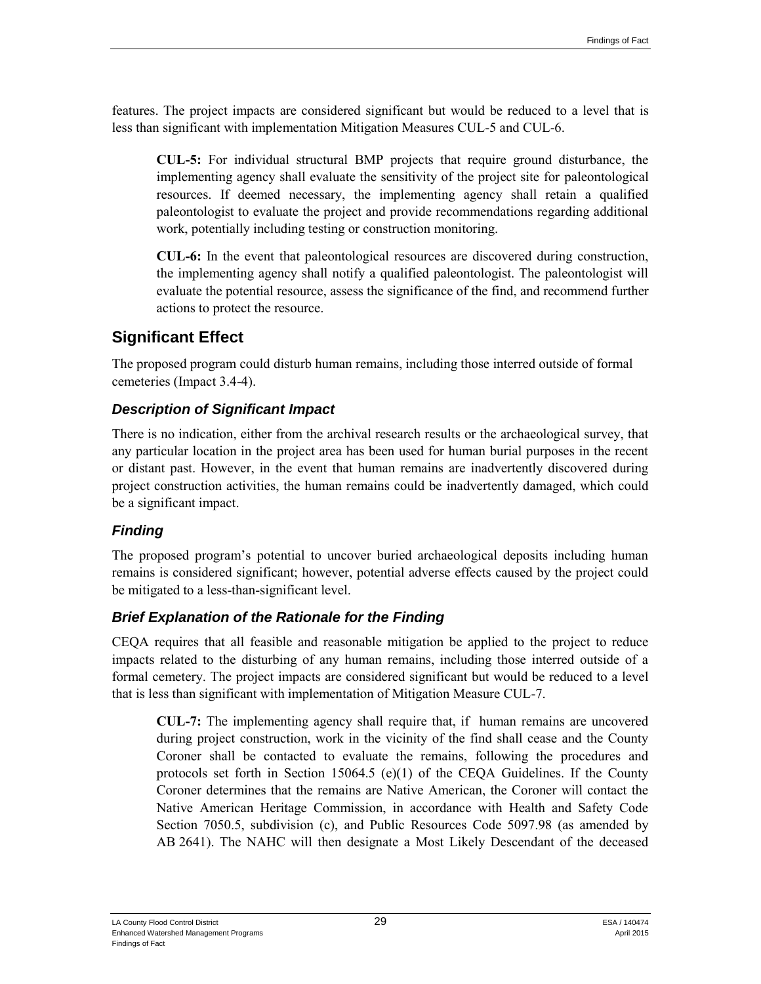features. The project impacts are considered significant but would be reduced to a level that is less than significant with implementation Mitigation Measures CUL-5 and CUL-6.

**CUL-5:** For individual structural BMP projects that require ground disturbance, the implementing agency shall evaluate the sensitivity of the project site for paleontological resources. If deemed necessary, the implementing agency shall retain a qualified paleontologist to evaluate the project and provide recommendations regarding additional work, potentially including testing or construction monitoring.

**CUL-6:** In the event that paleontological resources are discovered during construction, the implementing agency shall notify a qualified paleontologist. The paleontologist will evaluate the potential resource, assess the significance of the find, and recommend further actions to protect the resource.

## **Significant Effect**

The proposed program could disturb human remains, including those interred outside of formal cemeteries (Impact 3.4-4).

## *Description of Significant Impact*

There is no indication, either from the archival research results or the archaeological survey, that any particular location in the project area has been used for human burial purposes in the recent or distant past. However, in the event that human remains are inadvertently discovered during project construction activities, the human remains could be inadvertently damaged, which could be a significant impact.

## *Finding*

The proposed program's potential to uncover buried archaeological deposits including human remains is considered significant; however, potential adverse effects caused by the project could be mitigated to a less-than-significant level.

## *Brief Explanation of the Rationale for the Finding*

CEQA requires that all feasible and reasonable mitigation be applied to the project to reduce impacts related to the disturbing of any human remains, including those interred outside of a formal cemetery. The project impacts are considered significant but would be reduced to a level that is less than significant with implementation of Mitigation Measure CUL-7.

**CUL-7:** The implementing agency shall require that, if human remains are uncovered during project construction, work in the vicinity of the find shall cease and the County Coroner shall be contacted to evaluate the remains, following the procedures and protocols set forth in Section 15064.5 (e)(1) of the CEQA Guidelines. If the County Coroner determines that the remains are Native American, the Coroner will contact the Native American Heritage Commission, in accordance with Health and Safety Code Section 7050.5, subdivision (c), and Public Resources Code 5097.98 (as amended by AB 2641). The NAHC will then designate a Most Likely Descendant of the deceased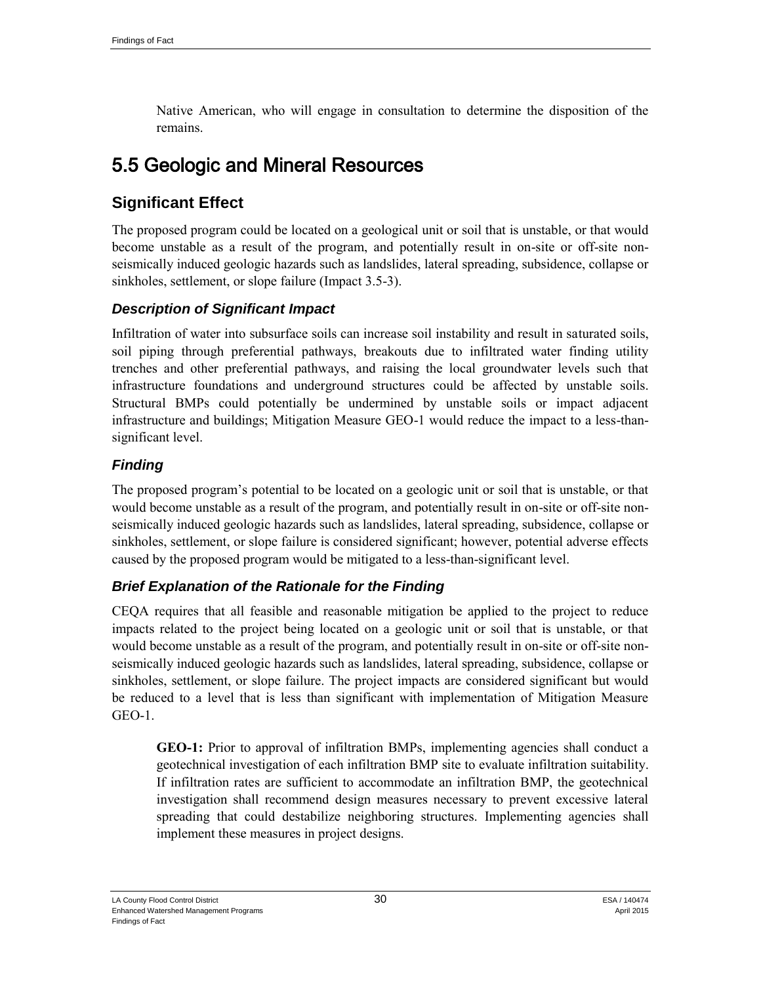Native American, who will engage in consultation to determine the disposition of the remains.

## 5.5 Geologic and Mineral Resources

## **Significant Effect**

The proposed program could be located on a geological unit or soil that is unstable, or that would become unstable as a result of the program, and potentially result in on-site or off-site nonseismically induced geologic hazards such as landslides, lateral spreading, subsidence, collapse or sinkholes, settlement, or slope failure (Impact 3.5-3).

#### *Description of Significant Impact*

Infiltration of water into subsurface soils can increase soil instability and result in saturated soils, soil piping through preferential pathways, breakouts due to infiltrated water finding utility trenches and other preferential pathways, and raising the local groundwater levels such that infrastructure foundations and underground structures could be affected by unstable soils. Structural BMPs could potentially be undermined by unstable soils or impact adjacent infrastructure and buildings; Mitigation Measure GEO-1 would reduce the impact to a less-thansignificant level.

#### *Finding*

The proposed program's potential to be located on a geologic unit or soil that is unstable, or that would become unstable as a result of the program, and potentially result in on-site or off-site nonseismically induced geologic hazards such as landslides, lateral spreading, subsidence, collapse or sinkholes, settlement, or slope failure is considered significant; however, potential adverse effects caused by the proposed program would be mitigated to a less-than-significant level.

#### *Brief Explanation of the Rationale for the Finding*

CEQA requires that all feasible and reasonable mitigation be applied to the project to reduce impacts related to the project being located on a geologic unit or soil that is unstable, or that would become unstable as a result of the program, and potentially result in on-site or off-site nonseismically induced geologic hazards such as landslides, lateral spreading, subsidence, collapse or sinkholes, settlement, or slope failure. The project impacts are considered significant but would be reduced to a level that is less than significant with implementation of Mitigation Measure GEO-1.

**GEO-1:** Prior to approval of infiltration BMPs, implementing agencies shall conduct a geotechnical investigation of each infiltration BMP site to evaluate infiltration suitability. If infiltration rates are sufficient to accommodate an infiltration BMP, the geotechnical investigation shall recommend design measures necessary to prevent excessive lateral spreading that could destabilize neighboring structures. Implementing agencies shall implement these measures in project designs.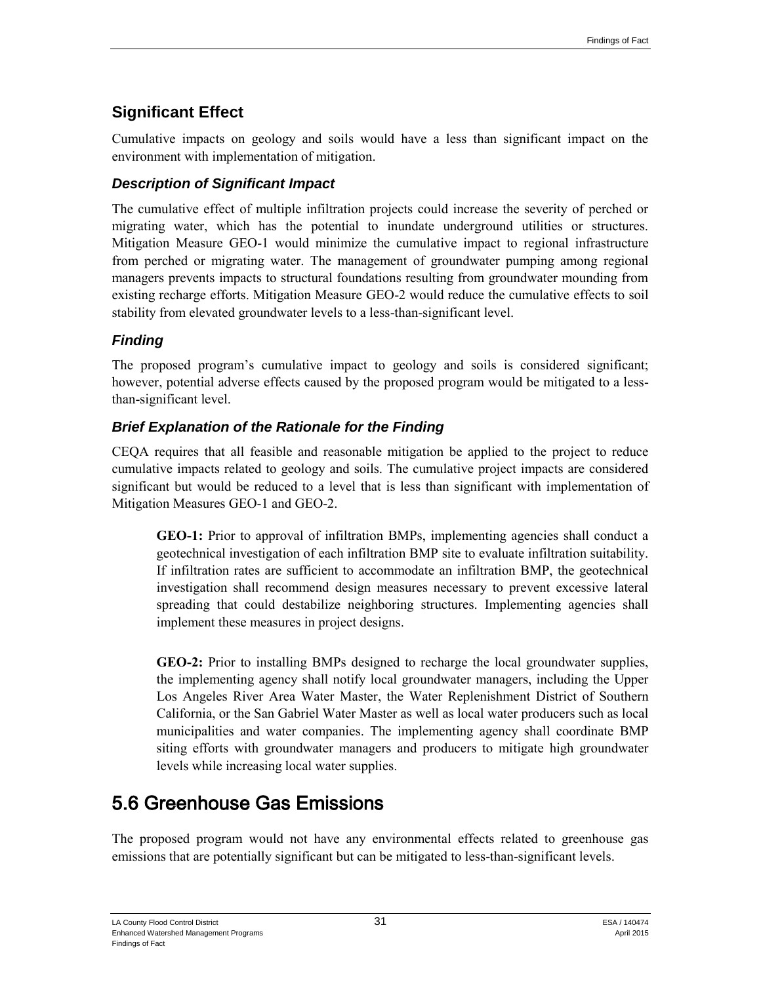## **Significant Effect**

Cumulative impacts on geology and soils would have a less than significant impact on the environment with implementation of mitigation.

## *Description of Significant Impact*

The cumulative effect of multiple infiltration projects could increase the severity of perched or migrating water, which has the potential to inundate underground utilities or structures. Mitigation Measure GEO-1 would minimize the cumulative impact to regional infrastructure from perched or migrating water. The management of groundwater pumping among regional managers prevents impacts to structural foundations resulting from groundwater mounding from existing recharge efforts. Mitigation Measure GEO-2 would reduce the cumulative effects to soil stability from elevated groundwater levels to a less-than-significant level.

## *Finding*

The proposed program's cumulative impact to geology and soils is considered significant; however, potential adverse effects caused by the proposed program would be mitigated to a lessthan-significant level.

## *Brief Explanation of the Rationale for the Finding*

CEQA requires that all feasible and reasonable mitigation be applied to the project to reduce cumulative impacts related to geology and soils. The cumulative project impacts are considered significant but would be reduced to a level that is less than significant with implementation of Mitigation Measures GEO-1 and GEO-2.

**GEO-1:** Prior to approval of infiltration BMPs, implementing agencies shall conduct a geotechnical investigation of each infiltration BMP site to evaluate infiltration suitability. If infiltration rates are sufficient to accommodate an infiltration BMP, the geotechnical investigation shall recommend design measures necessary to prevent excessive lateral spreading that could destabilize neighboring structures. Implementing agencies shall implement these measures in project designs.

**GEO-2:** Prior to installing BMPs designed to recharge the local groundwater supplies, the implementing agency shall notify local groundwater managers, including the Upper Los Angeles River Area Water Master, the Water Replenishment District of Southern California, or the San Gabriel Water Master as well as local water producers such as local municipalities and water companies. The implementing agency shall coordinate BMP siting efforts with groundwater managers and producers to mitigate high groundwater levels while increasing local water supplies.

# 5.6 Greenhouse Gas Emissions

The proposed program would not have any environmental effects related to greenhouse gas emissions that are potentially significant but can be mitigated to less-than-significant levels.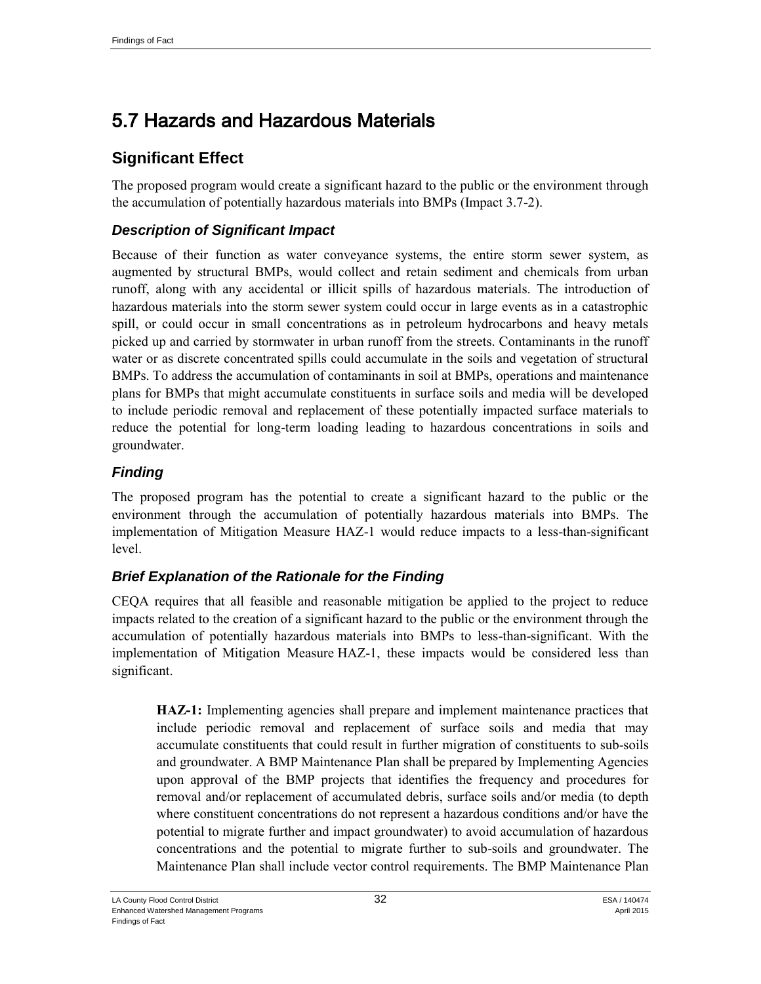# 5.7 Hazards and Hazardous Materials

## **Significant Effect**

The proposed program would create a significant hazard to the public or the environment through the accumulation of potentially hazardous materials into BMPs (Impact 3.7-2).

## *Description of Significant Impact*

Because of their function as water conveyance systems, the entire storm sewer system, as augmented by structural BMPs, would collect and retain sediment and chemicals from urban runoff, along with any accidental or illicit spills of hazardous materials. The introduction of hazardous materials into the storm sewer system could occur in large events as in a catastrophic spill, or could occur in small concentrations as in petroleum hydrocarbons and heavy metals picked up and carried by stormwater in urban runoff from the streets. Contaminants in the runoff water or as discrete concentrated spills could accumulate in the soils and vegetation of structural BMPs. To address the accumulation of contaminants in soil at BMPs, operations and maintenance plans for BMPs that might accumulate constituents in surface soils and media will be developed to include periodic removal and replacement of these potentially impacted surface materials to reduce the potential for long-term loading leading to hazardous concentrations in soils and groundwater.

## *Finding*

The proposed program has the potential to create a significant hazard to the public or the environment through the accumulation of potentially hazardous materials into BMPs. The implementation of Mitigation Measure HAZ-1 would reduce impacts to a less-than-significant level.

#### *Brief Explanation of the Rationale for the Finding*

CEQA requires that all feasible and reasonable mitigation be applied to the project to reduce impacts related to the creation of a significant hazard to the public or the environment through the accumulation of potentially hazardous materials into BMPs to less-than-significant. With the implementation of Mitigation Measure HAZ-1, these impacts would be considered less than significant.

**HAZ-1:** Implementing agencies shall prepare and implement maintenance practices that include periodic removal and replacement of surface soils and media that may accumulate constituents that could result in further migration of constituents to sub-soils and groundwater. A BMP Maintenance Plan shall be prepared by Implementing Agencies upon approval of the BMP projects that identifies the frequency and procedures for removal and/or replacement of accumulated debris, surface soils and/or media (to depth where constituent concentrations do not represent a hazardous conditions and/or have the potential to migrate further and impact groundwater) to avoid accumulation of hazardous concentrations and the potential to migrate further to sub-soils and groundwater. The Maintenance Plan shall include vector control requirements. The BMP Maintenance Plan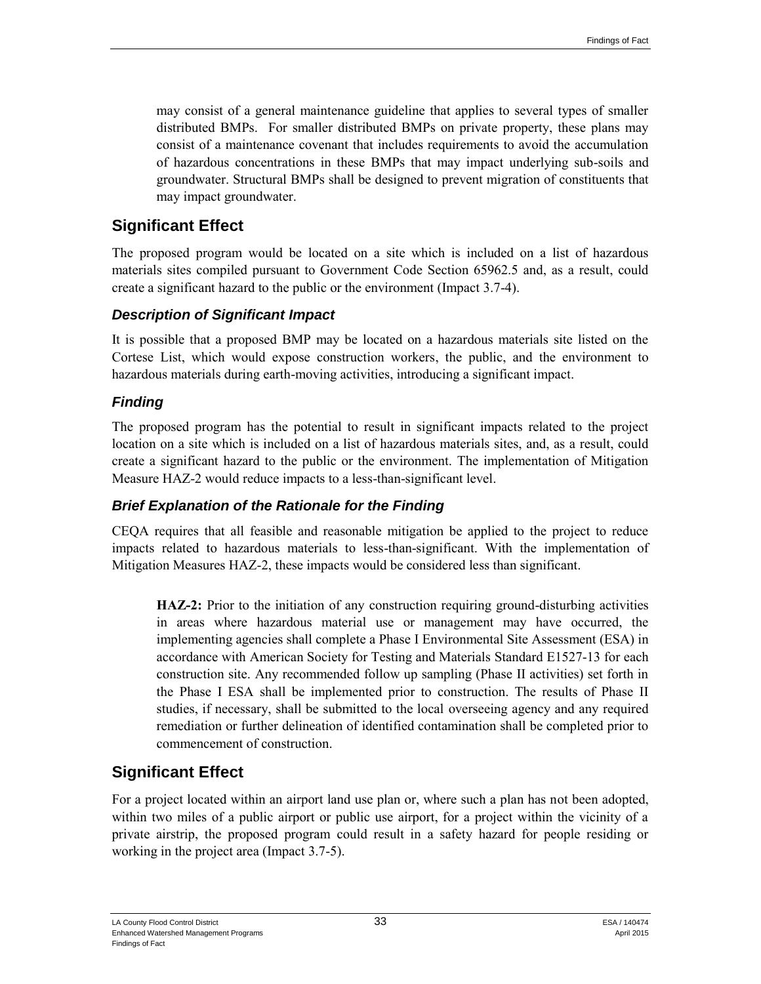may consist of a general maintenance guideline that applies to several types of smaller distributed BMPs. For smaller distributed BMPs on private property, these plans may consist of a maintenance covenant that includes requirements to avoid the accumulation of hazardous concentrations in these BMPs that may impact underlying sub-soils and groundwater. Structural BMPs shall be designed to prevent migration of constituents that may impact groundwater.

## **Significant Effect**

The proposed program would be located on a site which is included on a list of hazardous materials sites compiled pursuant to Government Code Section 65962.5 and, as a result, could create a significant hazard to the public or the environment (Impact 3.7-4).

#### *Description of Significant Impact*

It is possible that a proposed BMP may be located on a hazardous materials site listed on the Cortese List, which would expose construction workers, the public, and the environment to hazardous materials during earth-moving activities, introducing a significant impact.

## *Finding*

The proposed program has the potential to result in significant impacts related to the project location on a site which is included on a list of hazardous materials sites, and, as a result, could create a significant hazard to the public or the environment. The implementation of Mitigation Measure HAZ-2 would reduce impacts to a less-than-significant level.

#### *Brief Explanation of the Rationale for the Finding*

CEQA requires that all feasible and reasonable mitigation be applied to the project to reduce impacts related to hazardous materials to less-than-significant. With the implementation of Mitigation Measures HAZ-2, these impacts would be considered less than significant.

**HAZ-2:** Prior to the initiation of any construction requiring ground-disturbing activities in areas where hazardous material use or management may have occurred, the implementing agencies shall complete a Phase I Environmental Site Assessment (ESA) in accordance with American Society for Testing and Materials Standard E1527-13 for each construction site. Any recommended follow up sampling (Phase II activities) set forth in the Phase I ESA shall be implemented prior to construction. The results of Phase II studies, if necessary, shall be submitted to the local overseeing agency and any required remediation or further delineation of identified contamination shall be completed prior to commencement of construction.

## **Significant Effect**

For a project located within an airport land use plan or, where such a plan has not been adopted, within two miles of a public airport or public use airport, for a project within the vicinity of a private airstrip, the proposed program could result in a safety hazard for people residing or working in the project area (Impact 3.7-5).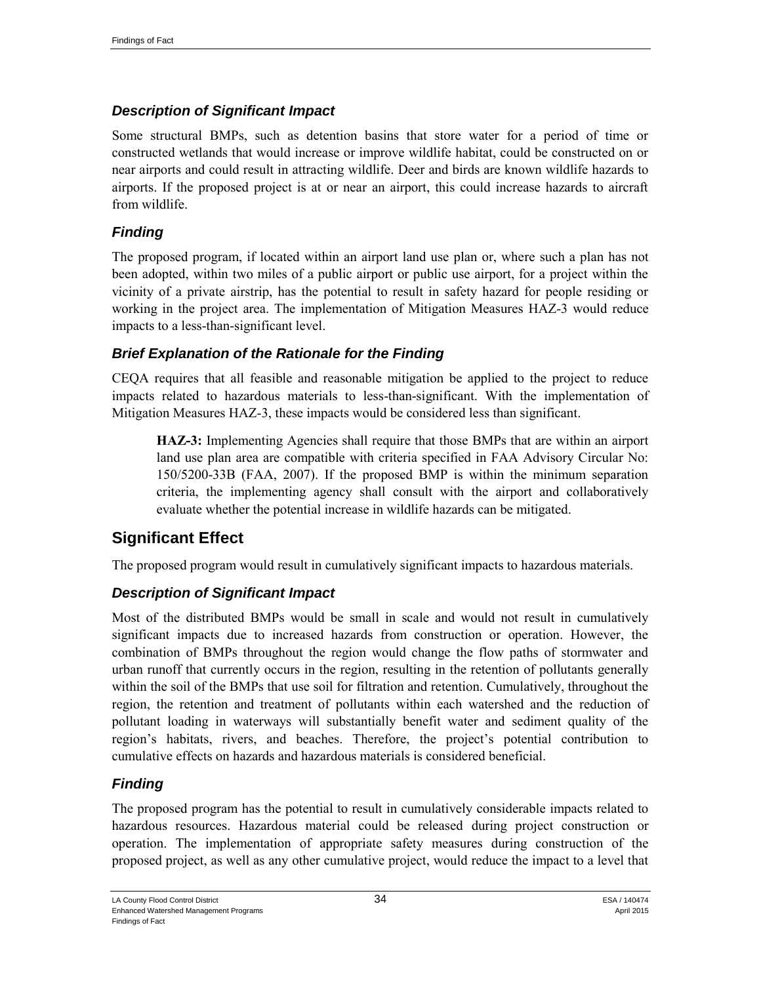#### *Description of Significant Impact*

Some structural BMPs, such as detention basins that store water for a period of time or constructed wetlands that would increase or improve wildlife habitat, could be constructed on or near airports and could result in attracting wildlife. Deer and birds are known wildlife hazards to airports. If the proposed project is at or near an airport, this could increase hazards to aircraft from wildlife.

#### *Finding*

The proposed program, if located within an airport land use plan or, where such a plan has not been adopted, within two miles of a public airport or public use airport, for a project within the vicinity of a private airstrip, has the potential to result in safety hazard for people residing or working in the project area. The implementation of Mitigation Measures HAZ-3 would reduce impacts to a less-than-significant level.

#### *Brief Explanation of the Rationale for the Finding*

CEQA requires that all feasible and reasonable mitigation be applied to the project to reduce impacts related to hazardous materials to less-than-significant. With the implementation of Mitigation Measures HAZ-3, these impacts would be considered less than significant.

**HAZ-3:** Implementing Agencies shall require that those BMPs that are within an airport land use plan area are compatible with criteria specified in FAA Advisory Circular No: 150/5200-33B (FAA, 2007). If the proposed BMP is within the minimum separation criteria, the implementing agency shall consult with the airport and collaboratively evaluate whether the potential increase in wildlife hazards can be mitigated.

## **Significant Effect**

The proposed program would result in cumulatively significant impacts to hazardous materials.

#### *Description of Significant Impact*

Most of the distributed BMPs would be small in scale and would not result in cumulatively significant impacts due to increased hazards from construction or operation. However, the combination of BMPs throughout the region would change the flow paths of stormwater and urban runoff that currently occurs in the region, resulting in the retention of pollutants generally within the soil of the BMPs that use soil for filtration and retention. Cumulatively, throughout the region, the retention and treatment of pollutants within each watershed and the reduction of pollutant loading in waterways will substantially benefit water and sediment quality of the region's habitats, rivers, and beaches. Therefore, the project's potential contribution to cumulative effects on hazards and hazardous materials is considered beneficial.

#### *Finding*

The proposed program has the potential to result in cumulatively considerable impacts related to hazardous resources. Hazardous material could be released during project construction or operation. The implementation of appropriate safety measures during construction of the proposed project, as well as any other cumulative project, would reduce the impact to a level that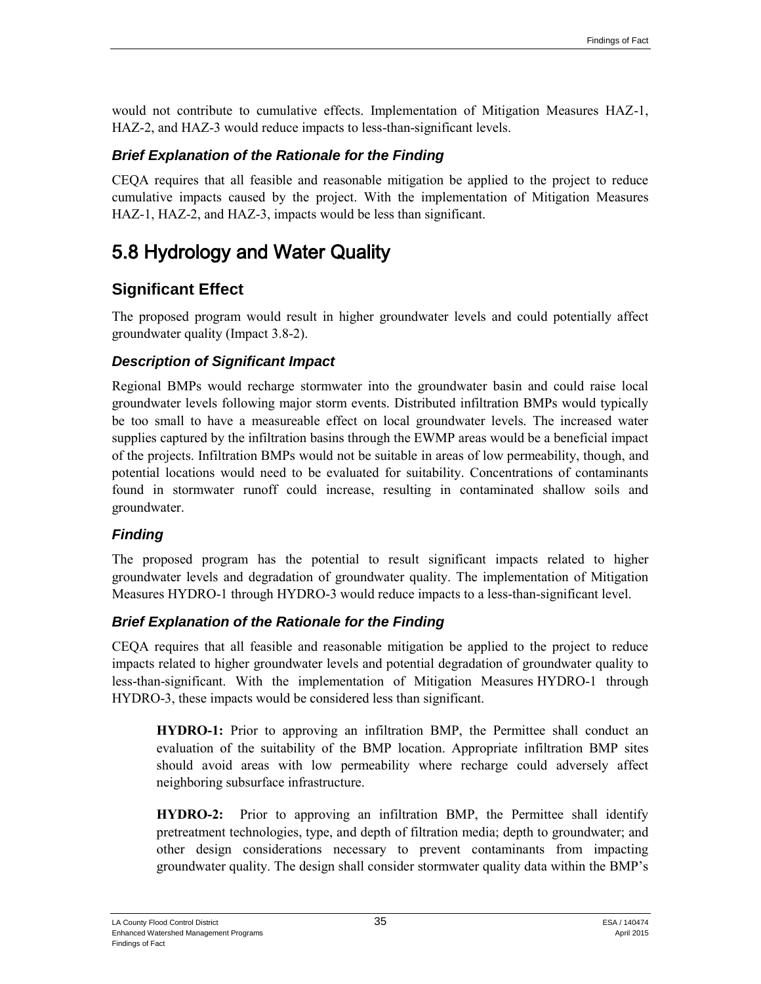would not contribute to cumulative effects. Implementation of Mitigation Measures HAZ-1, HAZ-2, and HAZ-3 would reduce impacts to less-than-significant levels.

#### *Brief Explanation of the Rationale for the Finding*

CEQA requires that all feasible and reasonable mitigation be applied to the project to reduce cumulative impacts caused by the project. With the implementation of Mitigation Measures HAZ-1, HAZ-2, and HAZ-3, impacts would be less than significant.

# 5.8 Hydrology and Water Quality

## **Significant Effect**

The proposed program would result in higher groundwater levels and could potentially affect groundwater quality (Impact 3.8-2).

#### *Description of Significant Impact*

Regional BMPs would recharge stormwater into the groundwater basin and could raise local groundwater levels following major storm events. Distributed infiltration BMPs would typically be too small to have a measureable effect on local groundwater levels. The increased water supplies captured by the infiltration basins through the EWMP areas would be a beneficial impact of the projects. Infiltration BMPs would not be suitable in areas of low permeability, though, and potential locations would need to be evaluated for suitability. Concentrations of contaminants found in stormwater runoff could increase, resulting in contaminated shallow soils and groundwater.

#### *Finding*

The proposed program has the potential to result significant impacts related to higher groundwater levels and degradation of groundwater quality. The implementation of Mitigation Measures HYDRO-1 through HYDRO-3 would reduce impacts to a less-than-significant level.

#### *Brief Explanation of the Rationale for the Finding*

CEQA requires that all feasible and reasonable mitigation be applied to the project to reduce impacts related to higher groundwater levels and potential degradation of groundwater quality to less-than-significant. With the implementation of Mitigation Measures HYDRO-1 through HYDRO-3, these impacts would be considered less than significant.

**HYDRO-1:** Prior to approving an infiltration BMP, the Permittee shall conduct an evaluation of the suitability of the BMP location. Appropriate infiltration BMP sites should avoid areas with low permeability where recharge could adversely affect neighboring subsurface infrastructure.

**HYDRO-2:** Prior to approving an infiltration BMP, the Permittee shall identify pretreatment technologies, type, and depth of filtration media; depth to groundwater; and other design considerations necessary to prevent contaminants from impacting groundwater quality. The design shall consider stormwater quality data within the BMP's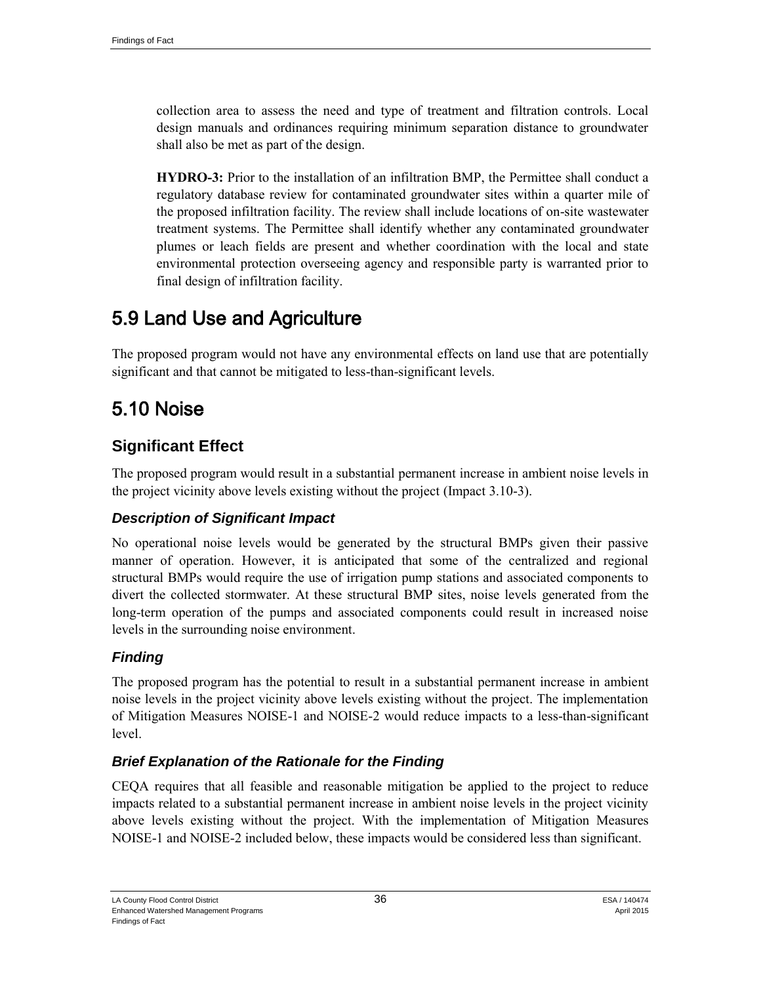collection area to assess the need and type of treatment and filtration controls. Local design manuals and ordinances requiring minimum separation distance to groundwater shall also be met as part of the design.

**HYDRO-3:** Prior to the installation of an infiltration BMP, the Permittee shall conduct a regulatory database review for contaminated groundwater sites within a quarter mile of the proposed infiltration facility. The review shall include locations of on-site wastewater treatment systems. The Permittee shall identify whether any contaminated groundwater plumes or leach fields are present and whether coordination with the local and state environmental protection overseeing agency and responsible party is warranted prior to final design of infiltration facility.

# 5.9 Land Use and Agriculture

The proposed program would not have any environmental effects on land use that are potentially significant and that cannot be mitigated to less-than-significant levels.

# 5.10 Noise

## **Significant Effect**

The proposed program would result in a substantial permanent increase in ambient noise levels in the project vicinity above levels existing without the project (Impact 3.10-3).

#### *Description of Significant Impact*

No operational noise levels would be generated by the structural BMPs given their passive manner of operation. However, it is anticipated that some of the centralized and regional structural BMPs would require the use of irrigation pump stations and associated components to divert the collected stormwater. At these structural BMP sites, noise levels generated from the long-term operation of the pumps and associated components could result in increased noise levels in the surrounding noise environment.

## *Finding*

The proposed program has the potential to result in a substantial permanent increase in ambient noise levels in the project vicinity above levels existing without the project. The implementation of Mitigation Measures NOISE-1 and NOISE-2 would reduce impacts to a less-than-significant level.

#### *Brief Explanation of the Rationale for the Finding*

CEQA requires that all feasible and reasonable mitigation be applied to the project to reduce impacts related to a substantial permanent increase in ambient noise levels in the project vicinity above levels existing without the project. With the implementation of Mitigation Measures NOISE-1 and NOISE-2 included below, these impacts would be considered less than significant.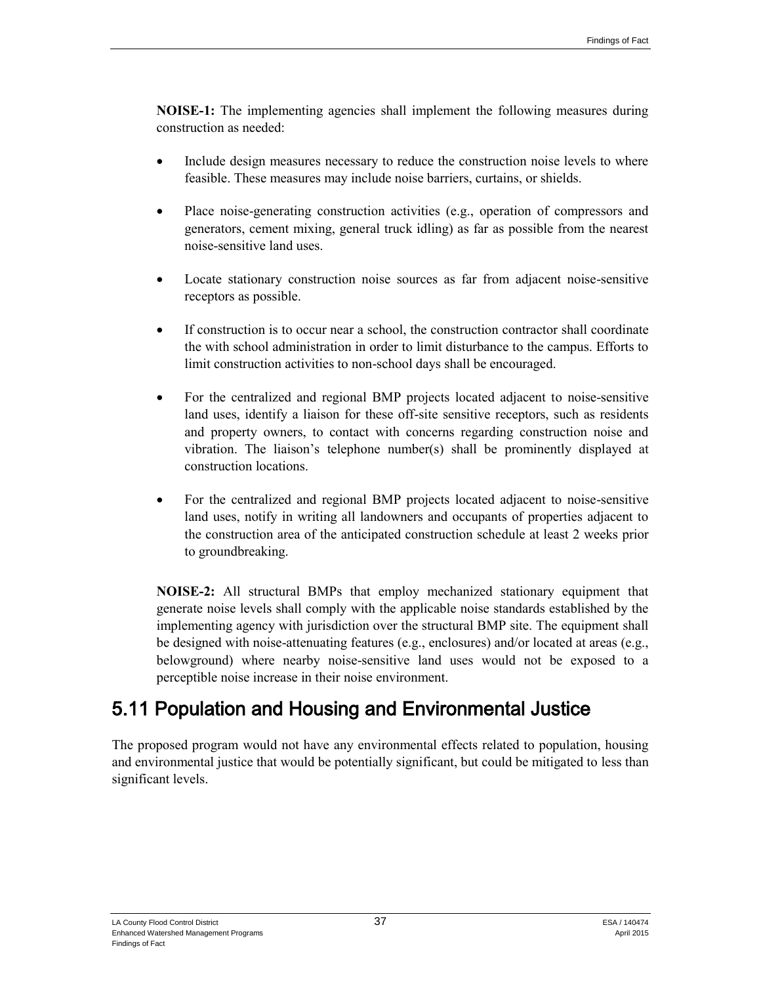**NOISE-1:** The implementing agencies shall implement the following measures during construction as needed:

- Include design measures necessary to reduce the construction noise levels to where feasible. These measures may include noise barriers, curtains, or shields.
- Place noise-generating construction activities (e.g., operation of compressors and generators, cement mixing, general truck idling) as far as possible from the nearest noise-sensitive land uses.
- Locate stationary construction noise sources as far from adjacent noise-sensitive receptors as possible.
- If construction is to occur near a school, the construction contractor shall coordinate the with school administration in order to limit disturbance to the campus. Efforts to limit construction activities to non-school days shall be encouraged.
- For the centralized and regional BMP projects located adjacent to noise-sensitive land uses, identify a liaison for these off-site sensitive receptors, such as residents and property owners, to contact with concerns regarding construction noise and vibration. The liaison's telephone number(s) shall be prominently displayed at construction locations.
- For the centralized and regional BMP projects located adjacent to noise-sensitive land uses, notify in writing all landowners and occupants of properties adjacent to the construction area of the anticipated construction schedule at least 2 weeks prior to groundbreaking.

**NOISE-2:** All structural BMPs that employ mechanized stationary equipment that generate noise levels shall comply with the applicable noise standards established by the implementing agency with jurisdiction over the structural BMP site. The equipment shall be designed with noise-attenuating features (e.g., enclosures) and/or located at areas (e.g., belowground) where nearby noise-sensitive land uses would not be exposed to a perceptible noise increase in their noise environment.

# 5.11 Population and Housing and Environmental Justice

The proposed program would not have any environmental effects related to population, housing and environmental justice that would be potentially significant, but could be mitigated to less than significant levels.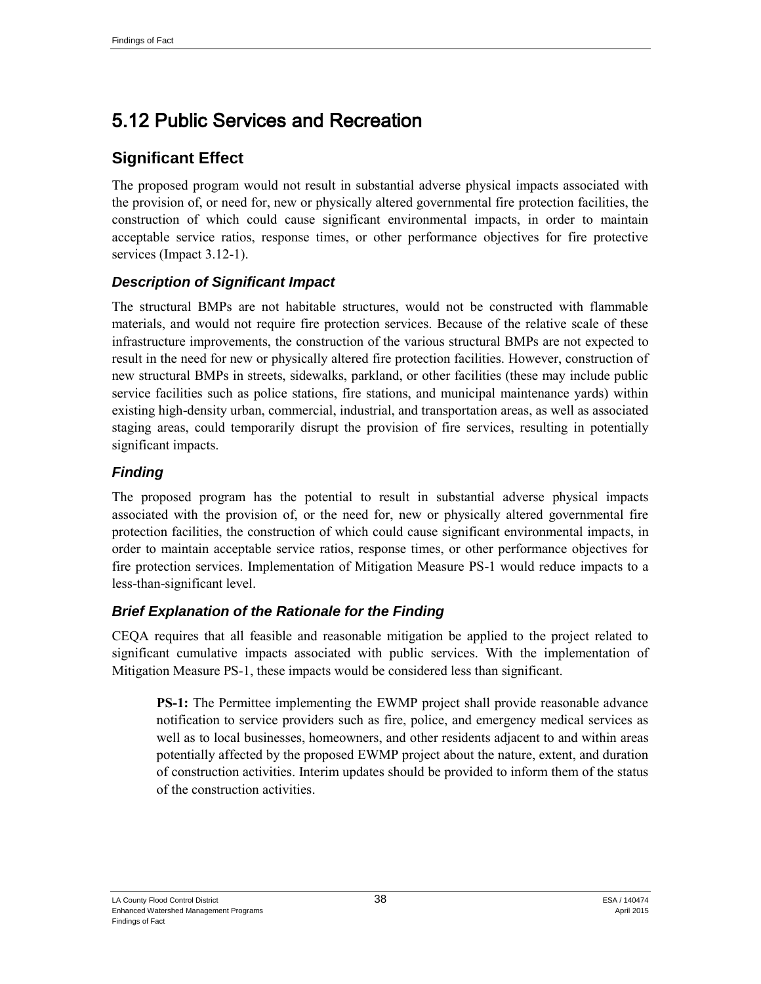# 5.12 Public Services and Recreation

## **Significant Effect**

The proposed program would not result in substantial adverse physical impacts associated with the provision of, or need for, new or physically altered governmental fire protection facilities, the construction of which could cause significant environmental impacts, in order to maintain acceptable service ratios, response times, or other performance objectives for fire protective services (Impact 3.12-1).

#### *Description of Significant Impact*

The structural BMPs are not habitable structures, would not be constructed with flammable materials, and would not require fire protection services. Because of the relative scale of these infrastructure improvements, the construction of the various structural BMPs are not expected to result in the need for new or physically altered fire protection facilities. However, construction of new structural BMPs in streets, sidewalks, parkland, or other facilities (these may include public service facilities such as police stations, fire stations, and municipal maintenance yards) within existing high-density urban, commercial, industrial, and transportation areas, as well as associated staging areas, could temporarily disrupt the provision of fire services, resulting in potentially significant impacts.

#### *Finding*

The proposed program has the potential to result in substantial adverse physical impacts associated with the provision of, or the need for, new or physically altered governmental fire protection facilities, the construction of which could cause significant environmental impacts, in order to maintain acceptable service ratios, response times, or other performance objectives for fire protection services. Implementation of Mitigation Measure PS-1 would reduce impacts to a less-than-significant level.

#### *Brief Explanation of the Rationale for the Finding*

CEQA requires that all feasible and reasonable mitigation be applied to the project related to significant cumulative impacts associated with public services. With the implementation of Mitigation Measure PS-1, these impacts would be considered less than significant.

**PS-1:** The Permittee implementing the EWMP project shall provide reasonable advance notification to service providers such as fire, police, and emergency medical services as well as to local businesses, homeowners, and other residents adjacent to and within areas potentially affected by the proposed EWMP project about the nature, extent, and duration of construction activities. Interim updates should be provided to inform them of the status of the construction activities.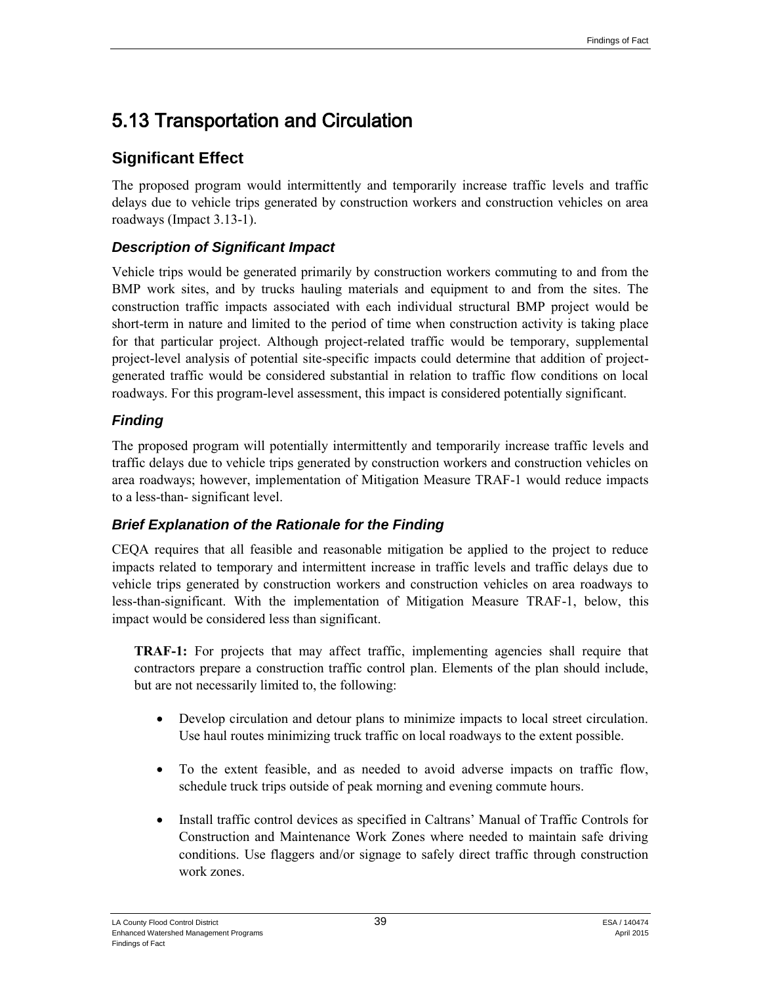# 5.13 Transportation and Circulation

## **Significant Effect**

The proposed program would intermittently and temporarily increase traffic levels and traffic delays due to vehicle trips generated by construction workers and construction vehicles on area roadways (Impact 3.13-1).

## *Description of Significant Impact*

Vehicle trips would be generated primarily by construction workers commuting to and from the BMP work sites, and by trucks hauling materials and equipment to and from the sites. The construction traffic impacts associated with each individual structural BMP project would be short-term in nature and limited to the period of time when construction activity is taking place for that particular project. Although project-related traffic would be temporary, supplemental project-level analysis of potential site-specific impacts could determine that addition of projectgenerated traffic would be considered substantial in relation to traffic flow conditions on local roadways. For this program-level assessment, this impact is considered potentially significant.

## *Finding*

The proposed program will potentially intermittently and temporarily increase traffic levels and traffic delays due to vehicle trips generated by construction workers and construction vehicles on area roadways; however, implementation of Mitigation Measure TRAF-1 would reduce impacts to a less-than- significant level.

## *Brief Explanation of the Rationale for the Finding*

CEQA requires that all feasible and reasonable mitigation be applied to the project to reduce impacts related to temporary and intermittent increase in traffic levels and traffic delays due to vehicle trips generated by construction workers and construction vehicles on area roadways to less-than-significant. With the implementation of Mitigation Measure TRAF-1, below, this impact would be considered less than significant.

**TRAF-1:** For projects that may affect traffic, implementing agencies shall require that contractors prepare a construction traffic control plan. Elements of the plan should include, but are not necessarily limited to, the following:

- Develop circulation and detour plans to minimize impacts to local street circulation. Use haul routes minimizing truck traffic on local roadways to the extent possible.
- To the extent feasible, and as needed to avoid adverse impacts on traffic flow, schedule truck trips outside of peak morning and evening commute hours.
- Install traffic control devices as specified in Caltrans' Manual of Traffic Controls for Construction and Maintenance Work Zones where needed to maintain safe driving conditions. Use flaggers and/or signage to safely direct traffic through construction work zones.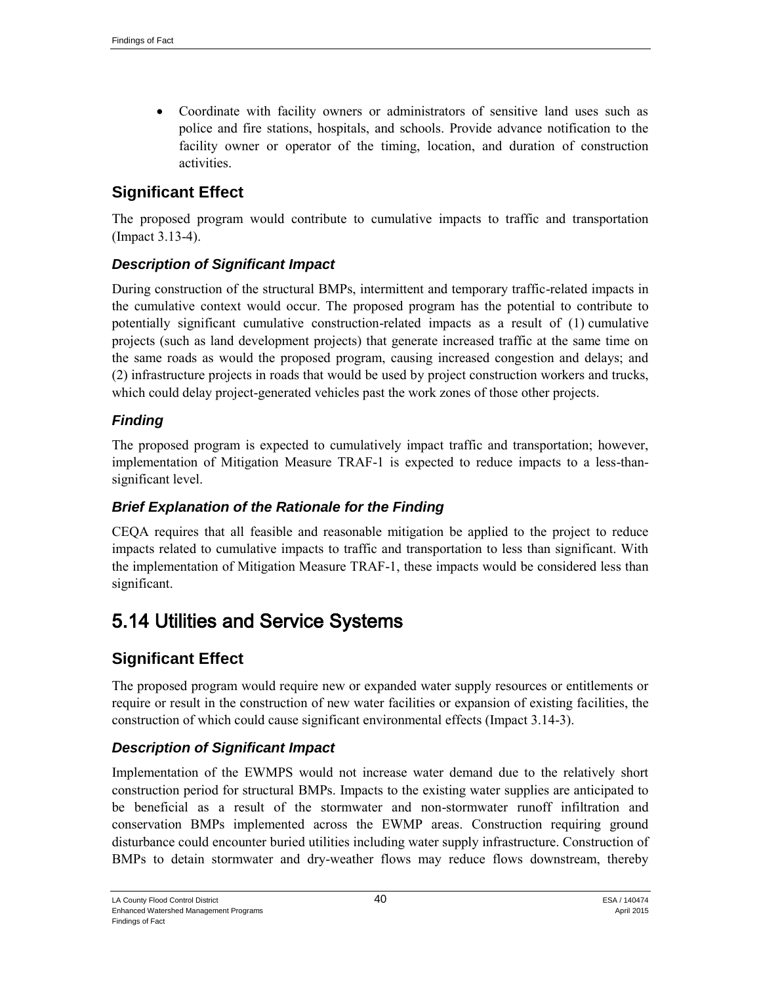Coordinate with facility owners or administrators of sensitive land uses such as police and fire stations, hospitals, and schools. Provide advance notification to the facility owner or operator of the timing, location, and duration of construction activities.

## **Significant Effect**

The proposed program would contribute to cumulative impacts to traffic and transportation (Impact 3.13-4).

#### *Description of Significant Impact*

During construction of the structural BMPs, intermittent and temporary traffic-related impacts in the cumulative context would occur. The proposed program has the potential to contribute to potentially significant cumulative construction-related impacts as a result of (1) cumulative projects (such as land development projects) that generate increased traffic at the same time on the same roads as would the proposed program, causing increased congestion and delays; and (2) infrastructure projects in roads that would be used by project construction workers and trucks, which could delay project-generated vehicles past the work zones of those other projects.

#### *Finding*

The proposed program is expected to cumulatively impact traffic and transportation; however, implementation of Mitigation Measure TRAF-1 is expected to reduce impacts to a less-thansignificant level.

#### *Brief Explanation of the Rationale for the Finding*

CEQA requires that all feasible and reasonable mitigation be applied to the project to reduce impacts related to cumulative impacts to traffic and transportation to less than significant. With the implementation of Mitigation Measure TRAF-1, these impacts would be considered less than significant.

## 5.14 Utilities and Service Systems

## **Significant Effect**

The proposed program would require new or expanded water supply resources or entitlements or require or result in the construction of new water facilities or expansion of existing facilities, the construction of which could cause significant environmental effects (Impact 3.14-3).

#### *Description of Significant Impact*

Implementation of the EWMPS would not increase water demand due to the relatively short construction period for structural BMPs. Impacts to the existing water supplies are anticipated to be beneficial as a result of the stormwater and non-stormwater runoff infiltration and conservation BMPs implemented across the EWMP areas. Construction requiring ground disturbance could encounter buried utilities including water supply infrastructure. Construction of BMPs to detain stormwater and dry-weather flows may reduce flows downstream, thereby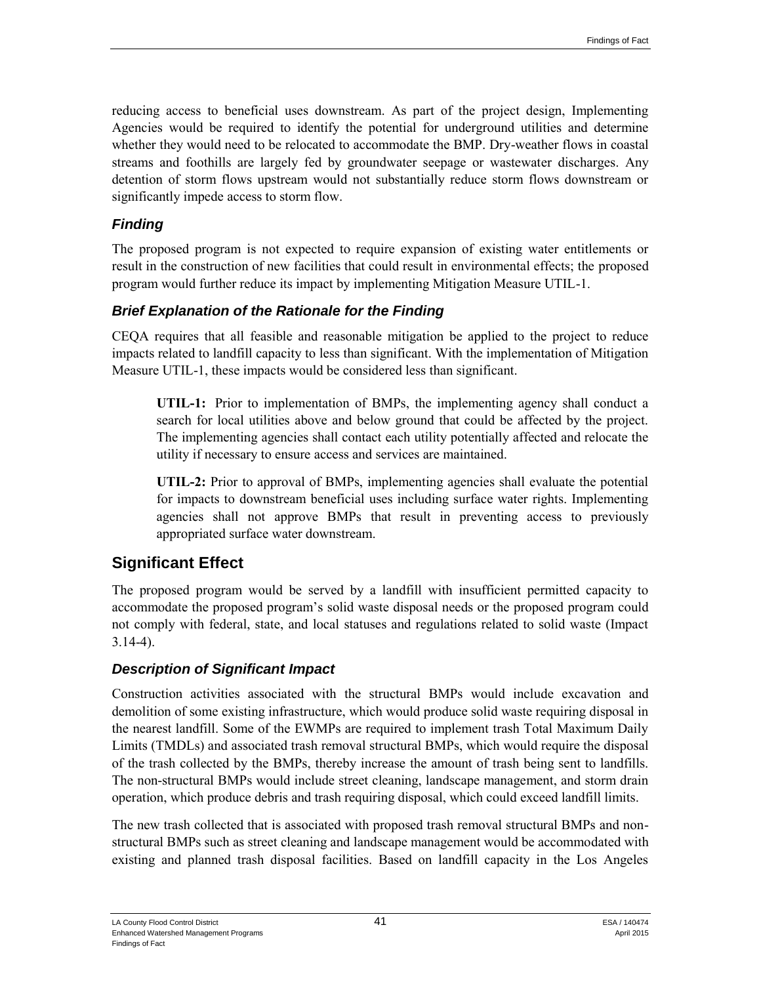reducing access to beneficial uses downstream. As part of the project design, Implementing Agencies would be required to identify the potential for underground utilities and determine whether they would need to be relocated to accommodate the BMP. Dry-weather flows in coastal streams and foothills are largely fed by groundwater seepage or wastewater discharges. Any detention of storm flows upstream would not substantially reduce storm flows downstream or significantly impede access to storm flow.

#### *Finding*

The proposed program is not expected to require expansion of existing water entitlements or result in the construction of new facilities that could result in environmental effects; the proposed program would further reduce its impact by implementing Mitigation Measure UTIL-1.

#### *Brief Explanation of the Rationale for the Finding*

CEQA requires that all feasible and reasonable mitigation be applied to the project to reduce impacts related to landfill capacity to less than significant. With the implementation of Mitigation Measure UTIL-1, these impacts would be considered less than significant.

**UTIL-1:** Prior to implementation of BMPs, the implementing agency shall conduct a search for local utilities above and below ground that could be affected by the project. The implementing agencies shall contact each utility potentially affected and relocate the utility if necessary to ensure access and services are maintained.

**UTIL-2:** Prior to approval of BMPs, implementing agencies shall evaluate the potential for impacts to downstream beneficial uses including surface water rights. Implementing agencies shall not approve BMPs that result in preventing access to previously appropriated surface water downstream.

## **Significant Effect**

The proposed program would be served by a landfill with insufficient permitted capacity to accommodate the proposed program's solid waste disposal needs or the proposed program could not comply with federal, state, and local statuses and regulations related to solid waste (Impact 3.14-4).

## *Description of Significant Impact*

Construction activities associated with the structural BMPs would include excavation and demolition of some existing infrastructure, which would produce solid waste requiring disposal in the nearest landfill. Some of the EWMPs are required to implement trash Total Maximum Daily Limits (TMDLs) and associated trash removal structural BMPs, which would require the disposal of the trash collected by the BMPs, thereby increase the amount of trash being sent to landfills. The non-structural BMPs would include street cleaning, landscape management, and storm drain operation, which produce debris and trash requiring disposal, which could exceed landfill limits.

The new trash collected that is associated with proposed trash removal structural BMPs and nonstructural BMPs such as street cleaning and landscape management would be accommodated with existing and planned trash disposal facilities. Based on landfill capacity in the Los Angeles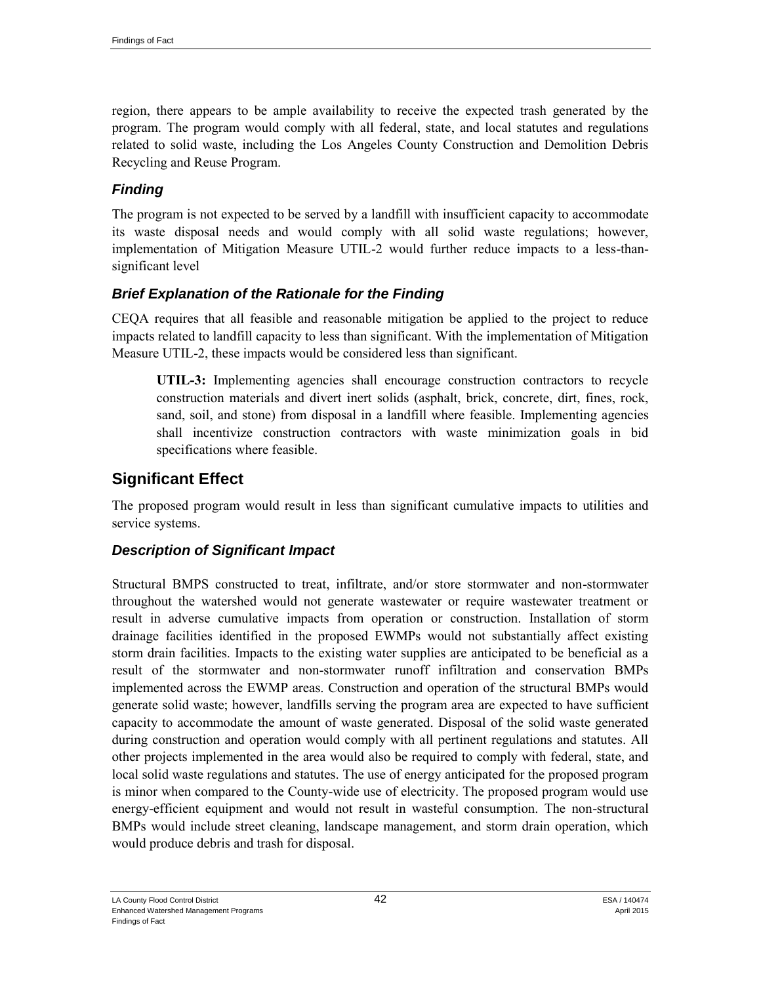region, there appears to be ample availability to receive the expected trash generated by the program. The program would comply with all federal, state, and local statutes and regulations related to solid waste, including the Los Angeles County Construction and Demolition Debris Recycling and Reuse Program.

#### *Finding*

The program is not expected to be served by a landfill with insufficient capacity to accommodate its waste disposal needs and would comply with all solid waste regulations; however, implementation of Mitigation Measure UTIL-2 would further reduce impacts to a less-thansignificant level

#### *Brief Explanation of the Rationale for the Finding*

CEQA requires that all feasible and reasonable mitigation be applied to the project to reduce impacts related to landfill capacity to less than significant. With the implementation of Mitigation Measure UTIL-2, these impacts would be considered less than significant.

**UTIL-3:** Implementing agencies shall encourage construction contractors to recycle construction materials and divert inert solids (asphalt, brick, concrete, dirt, fines, rock, sand, soil, and stone) from disposal in a landfill where feasible. Implementing agencies shall incentivize construction contractors with waste minimization goals in bid specifications where feasible.

## **Significant Effect**

The proposed program would result in less than significant cumulative impacts to utilities and service systems.

#### *Description of Significant Impact*

Structural BMPS constructed to treat, infiltrate, and/or store stormwater and non-stormwater throughout the watershed would not generate wastewater or require wastewater treatment or result in adverse cumulative impacts from operation or construction. Installation of storm drainage facilities identified in the proposed EWMPs would not substantially affect existing storm drain facilities. Impacts to the existing water supplies are anticipated to be beneficial as a result of the stormwater and non-stormwater runoff infiltration and conservation BMPs implemented across the EWMP areas. Construction and operation of the structural BMPs would generate solid waste; however, landfills serving the program area are expected to have sufficient capacity to accommodate the amount of waste generated. Disposal of the solid waste generated during construction and operation would comply with all pertinent regulations and statutes. All other projects implemented in the area would also be required to comply with federal, state, and local solid waste regulations and statutes. The use of energy anticipated for the proposed program is minor when compared to the County-wide use of electricity. The proposed program would use energy-efficient equipment and would not result in wasteful consumption. The non-structural BMPs would include street cleaning, landscape management, and storm drain operation, which would produce debris and trash for disposal.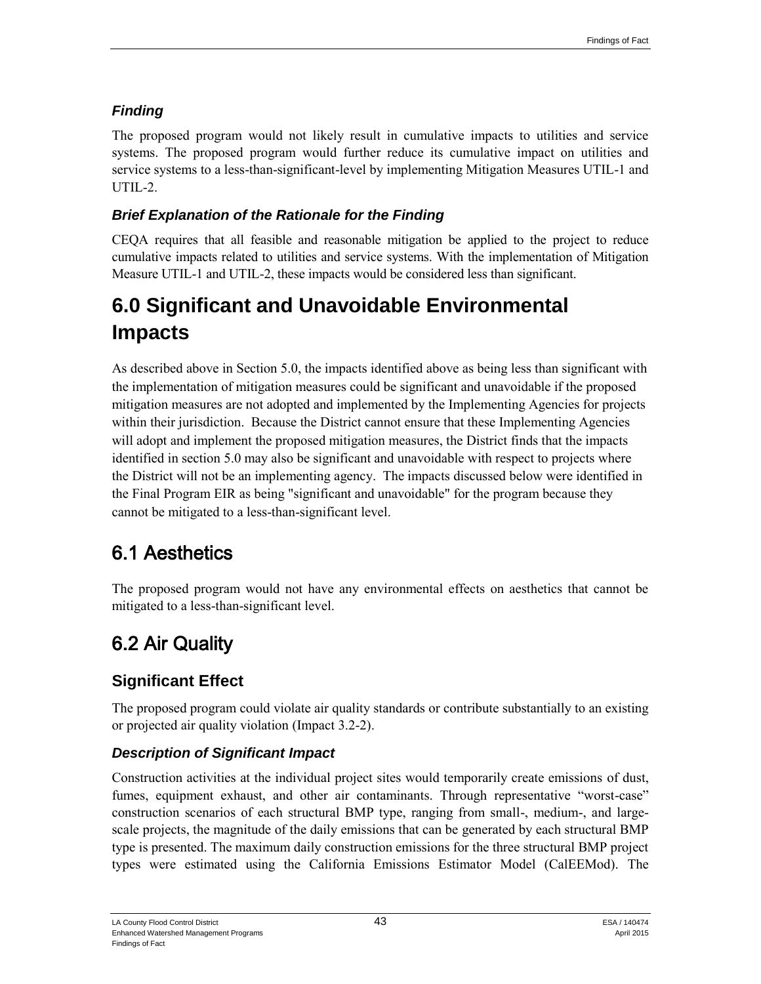## *Finding*

The proposed program would not likely result in cumulative impacts to utilities and service systems. The proposed program would further reduce its cumulative impact on utilities and service systems to a less-than-significant-level by implementing Mitigation Measures UTIL-1 and UTIL-2.

## *Brief Explanation of the Rationale for the Finding*

CEQA requires that all feasible and reasonable mitigation be applied to the project to reduce cumulative impacts related to utilities and service systems. With the implementation of Mitigation Measure UTIL-1 and UTIL-2, these impacts would be considered less than significant.

# **6.0 Significant and Unavoidable Environmental Impacts**

As described above in Section 5.0, the impacts identified above as being less than significant with the implementation of mitigation measures could be significant and unavoidable if the proposed mitigation measures are not adopted and implemented by the Implementing Agencies for projects within their jurisdiction. Because the District cannot ensure that these Implementing Agencies will adopt and implement the proposed mitigation measures, the District finds that the impacts identified in section 5.0 may also be significant and unavoidable with respect to projects where the District will not be an implementing agency. The impacts discussed below were identified in the Final Program EIR as being "significant and unavoidable" for the program because they cannot be mitigated to a less-than-significant level.

# 6.1 Aesthetics

The proposed program would not have any environmental effects on aesthetics that cannot be mitigated to a less-than-significant level.

# 6.2 Air Quality

## **Significant Effect**

The proposed program could violate air quality standards or contribute substantially to an existing or projected air quality violation (Impact 3.2-2).

## *Description of Significant Impact*

Construction activities at the individual project sites would temporarily create emissions of dust, fumes, equipment exhaust, and other air contaminants. Through representative "worst-case" construction scenarios of each structural BMP type, ranging from small-, medium-, and largescale projects, the magnitude of the daily emissions that can be generated by each structural BMP type is presented. The maximum daily construction emissions for the three structural BMP project types were estimated using the California Emissions Estimator Model (CalEEMod). The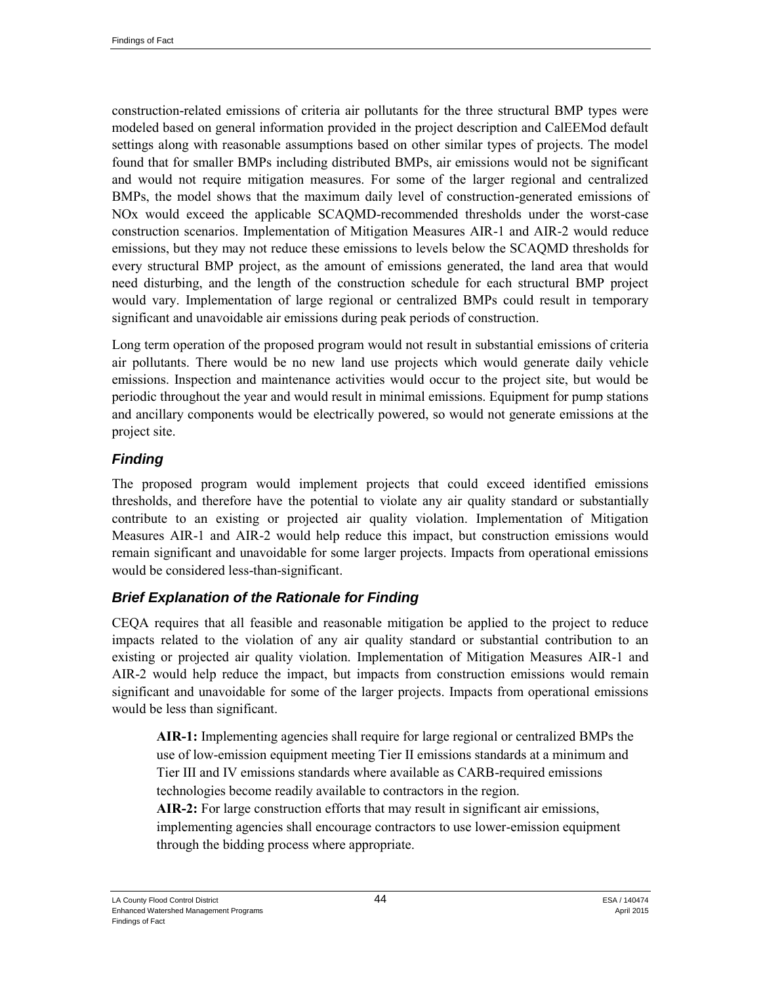construction-related emissions of criteria air pollutants for the three structural BMP types were modeled based on general information provided in the project description and CalEEMod default settings along with reasonable assumptions based on other similar types of projects. The model found that for smaller BMPs including distributed BMPs, air emissions would not be significant and would not require mitigation measures. For some of the larger regional and centralized BMPs, the model shows that the maximum daily level of construction-generated emissions of NOx would exceed the applicable SCAQMD-recommended thresholds under the worst-case construction scenarios. Implementation of Mitigation Measures AIR-1 and AIR-2 would reduce emissions, but they may not reduce these emissions to levels below the SCAQMD thresholds for every structural BMP project, as the amount of emissions generated, the land area that would need disturbing, and the length of the construction schedule for each structural BMP project would vary. Implementation of large regional or centralized BMPs could result in temporary significant and unavoidable air emissions during peak periods of construction.

Long term operation of the proposed program would not result in substantial emissions of criteria air pollutants. There would be no new land use projects which would generate daily vehicle emissions. Inspection and maintenance activities would occur to the project site, but would be periodic throughout the year and would result in minimal emissions. Equipment for pump stations and ancillary components would be electrically powered, so would not generate emissions at the project site.

#### *Finding*

The proposed program would implement projects that could exceed identified emissions thresholds, and therefore have the potential to violate any air quality standard or substantially contribute to an existing or projected air quality violation. Implementation of Mitigation Measures AIR-1 and AIR-2 would help reduce this impact, but construction emissions would remain significant and unavoidable for some larger projects. Impacts from operational emissions would be considered less-than-significant.

## *Brief Explanation of the Rationale for Finding*

CEQA requires that all feasible and reasonable mitigation be applied to the project to reduce impacts related to the violation of any air quality standard or substantial contribution to an existing or projected air quality violation. Implementation of Mitigation Measures AIR-1 and AIR-2 would help reduce the impact, but impacts from construction emissions would remain significant and unavoidable for some of the larger projects. Impacts from operational emissions would be less than significant.

**AIR-1:** Implementing agencies shall require for large regional or centralized BMPs the use of low-emission equipment meeting Tier II emissions standards at a minimum and Tier III and IV emissions standards where available as CARB-required emissions technologies become readily available to contractors in the region.

**AIR-2:** For large construction efforts that may result in significant air emissions, implementing agencies shall encourage contractors to use lower-emission equipment through the bidding process where appropriate.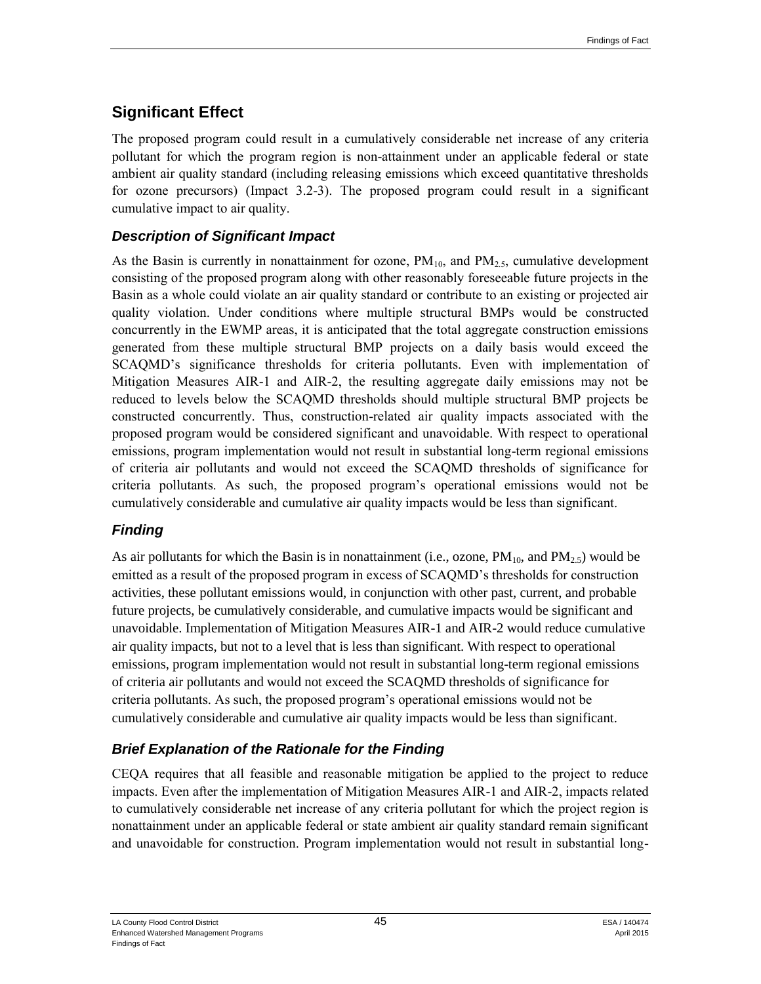## **Significant Effect**

The proposed program could result in a cumulatively considerable net increase of any criteria pollutant for which the program region is non-attainment under an applicable federal or state ambient air quality standard (including releasing emissions which exceed quantitative thresholds for ozone precursors) (Impact 3.2-3). The proposed program could result in a significant cumulative impact to air quality.

#### *Description of Significant Impact*

As the Basin is currently in nonattainment for ozone,  $PM_{10}$  and  $PM_{2.5}$ , cumulative development consisting of the proposed program along with other reasonably foreseeable future projects in the Basin as a whole could violate an air quality standard or contribute to an existing or projected air quality violation. Under conditions where multiple structural BMPs would be constructed concurrently in the EWMP areas, it is anticipated that the total aggregate construction emissions generated from these multiple structural BMP projects on a daily basis would exceed the SCAQMD's significance thresholds for criteria pollutants. Even with implementation of Mitigation Measures AIR-1 and AIR-2, the resulting aggregate daily emissions may not be reduced to levels below the SCAQMD thresholds should multiple structural BMP projects be constructed concurrently. Thus, construction-related air quality impacts associated with the proposed program would be considered significant and unavoidable. With respect to operational emissions, program implementation would not result in substantial long-term regional emissions of criteria air pollutants and would not exceed the SCAQMD thresholds of significance for criteria pollutants. As such, the proposed program's operational emissions would not be cumulatively considerable and cumulative air quality impacts would be less than significant.

## *Finding*

As air pollutants for which the Basin is in nonattainment (i.e., ozone,  $PM_{10}$ , and  $PM_{2.5}$ ) would be emitted as a result of the proposed program in excess of SCAQMD's thresholds for construction activities, these pollutant emissions would, in conjunction with other past, current, and probable future projects, be cumulatively considerable, and cumulative impacts would be significant and unavoidable. Implementation of Mitigation Measures AIR-1 and AIR-2 would reduce cumulative air quality impacts, but not to a level that is less than significant. With respect to operational emissions, program implementation would not result in substantial long-term regional emissions of criteria air pollutants and would not exceed the SCAQMD thresholds of significance for criteria pollutants. As such, the proposed program's operational emissions would not be cumulatively considerable and cumulative air quality impacts would be less than significant.

## *Brief Explanation of the Rationale for the Finding*

CEQA requires that all feasible and reasonable mitigation be applied to the project to reduce impacts. Even after the implementation of Mitigation Measures AIR-1 and AIR-2, impacts related to cumulatively considerable net increase of any criteria pollutant for which the project region is nonattainment under an applicable federal or state ambient air quality standard remain significant and unavoidable for construction. Program implementation would not result in substantial long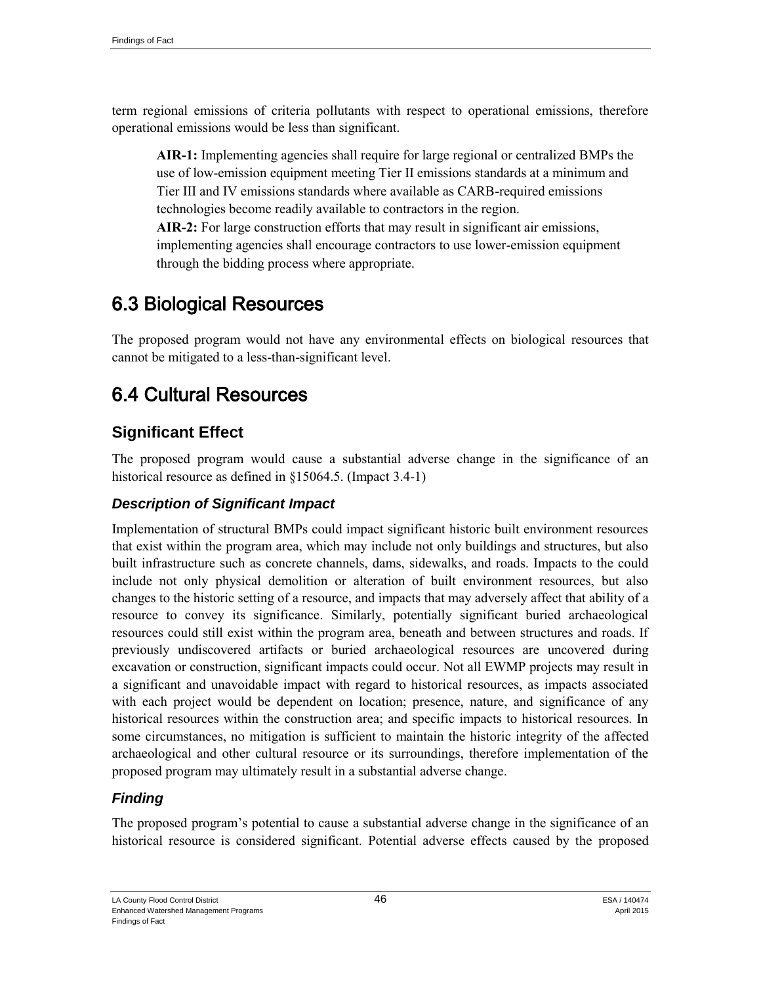term regional emissions of criteria pollutants with respect to operational emissions, therefore operational emissions would be less than significant.

**AIR-1:** Implementing agencies shall require for large regional or centralized BMPs the use of low-emission equipment meeting Tier II emissions standards at a minimum and Tier III and IV emissions standards where available as CARB-required emissions technologies become readily available to contractors in the region.

**AIR-2:** For large construction efforts that may result in significant air emissions, implementing agencies shall encourage contractors to use lower-emission equipment through the bidding process where appropriate.

# 6.3 Biological Resources

The proposed program would not have any environmental effects on biological resources that cannot be mitigated to a less-than-significant level.

# 6.4 Cultural Resources

## **Significant Effect**

The proposed program would cause a substantial adverse change in the significance of an historical resource as defined in §15064.5. (Impact 3.4-1)

#### *Description of Significant Impact*

Implementation of structural BMPs could impact significant historic built environment resources that exist within the program area, which may include not only buildings and structures, but also built infrastructure such as concrete channels, dams, sidewalks, and roads. Impacts to the could include not only physical demolition or alteration of built environment resources, but also changes to the historic setting of a resource, and impacts that may adversely affect that ability of a resource to convey its significance. Similarly, potentially significant buried archaeological resources could still exist within the program area, beneath and between structures and roads. If previously undiscovered artifacts or buried archaeological resources are uncovered during excavation or construction, significant impacts could occur. Not all EWMP projects may result in a significant and unavoidable impact with regard to historical resources, as impacts associated with each project would be dependent on location; presence, nature, and significance of any historical resources within the construction area; and specific impacts to historical resources. In some circumstances, no mitigation is sufficient to maintain the historic integrity of the affected archaeological and other cultural resource or its surroundings, therefore implementation of the proposed program may ultimately result in a substantial adverse change.

## *Finding*

The proposed program's potential to cause a substantial adverse change in the significance of an historical resource is considered significant. Potential adverse effects caused by the proposed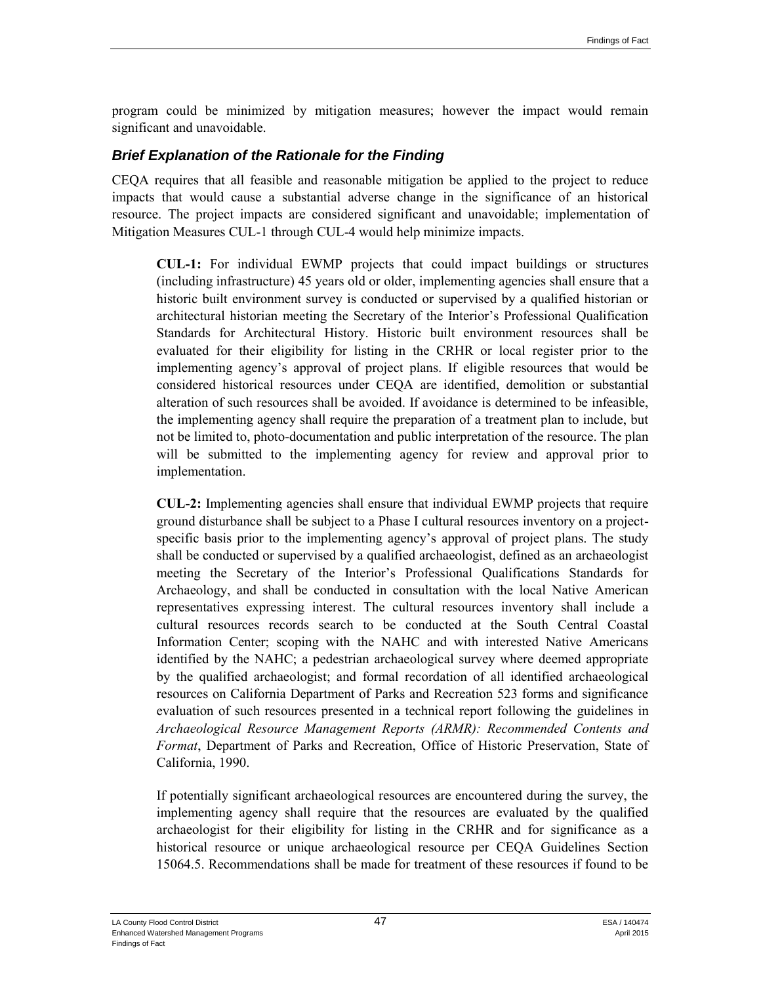program could be minimized by mitigation measures; however the impact would remain significant and unavoidable.

#### *Brief Explanation of the Rationale for the Finding*

CEQA requires that all feasible and reasonable mitigation be applied to the project to reduce impacts that would cause a substantial adverse change in the significance of an historical resource. The project impacts are considered significant and unavoidable; implementation of Mitigation Measures CUL-1 through CUL-4 would help minimize impacts.

**CUL-1:** For individual EWMP projects that could impact buildings or structures (including infrastructure) 45 years old or older, implementing agencies shall ensure that a historic built environment survey is conducted or supervised by a qualified historian or architectural historian meeting the Secretary of the Interior's Professional Qualification Standards for Architectural History. Historic built environment resources shall be evaluated for their eligibility for listing in the CRHR or local register prior to the implementing agency's approval of project plans. If eligible resources that would be considered historical resources under CEQA are identified, demolition or substantial alteration of such resources shall be avoided. If avoidance is determined to be infeasible, the implementing agency shall require the preparation of a treatment plan to include, but not be limited to, photo-documentation and public interpretation of the resource. The plan will be submitted to the implementing agency for review and approval prior to implementation.

**CUL-2:** Implementing agencies shall ensure that individual EWMP projects that require ground disturbance shall be subject to a Phase I cultural resources inventory on a projectspecific basis prior to the implementing agency's approval of project plans. The study shall be conducted or supervised by a qualified archaeologist, defined as an archaeologist meeting the Secretary of the Interior's Professional Qualifications Standards for Archaeology, and shall be conducted in consultation with the local Native American representatives expressing interest. The cultural resources inventory shall include a cultural resources records search to be conducted at the South Central Coastal Information Center; scoping with the NAHC and with interested Native Americans identified by the NAHC; a pedestrian archaeological survey where deemed appropriate by the qualified archaeologist; and formal recordation of all identified archaeological resources on California Department of Parks and Recreation 523 forms and significance evaluation of such resources presented in a technical report following the guidelines in *Archaeological Resource Management Reports (ARMR): Recommended Contents and Format*, Department of Parks and Recreation, Office of Historic Preservation, State of California, 1990.

If potentially significant archaeological resources are encountered during the survey, the implementing agency shall require that the resources are evaluated by the qualified archaeologist for their eligibility for listing in the CRHR and for significance as a historical resource or unique archaeological resource per CEQA Guidelines Section 15064.5. Recommendations shall be made for treatment of these resources if found to be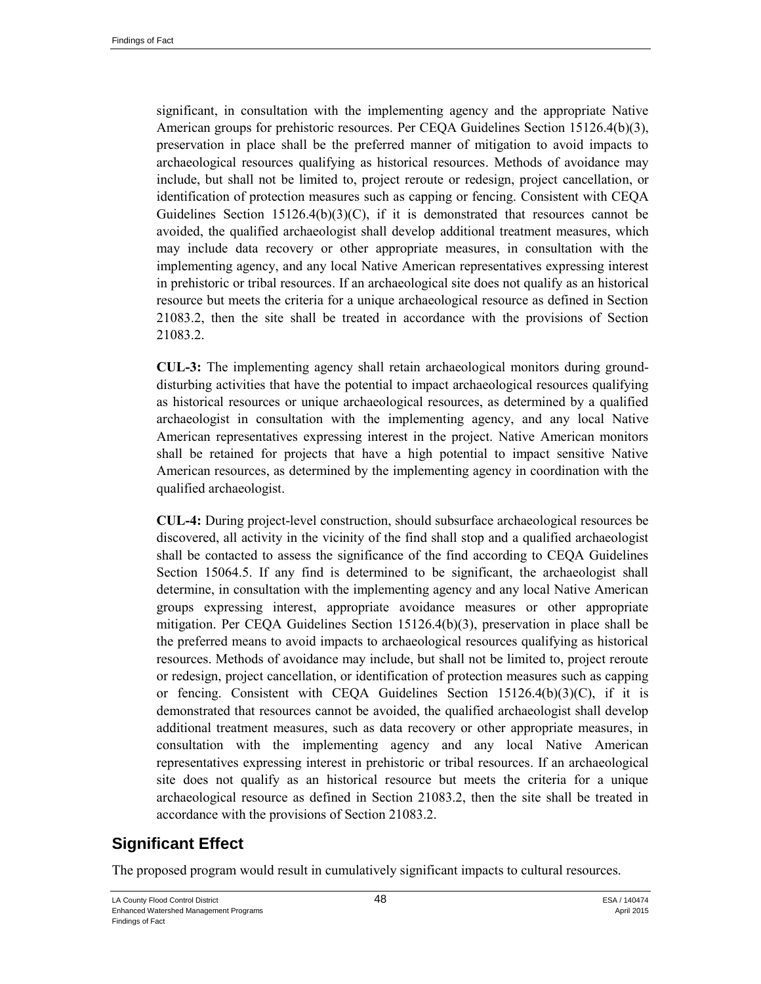significant, in consultation with the implementing agency and the appropriate Native American groups for prehistoric resources. Per CEQA Guidelines Section 15126.4(b)(3), preservation in place shall be the preferred manner of mitigation to avoid impacts to archaeological resources qualifying as historical resources. Methods of avoidance may include, but shall not be limited to, project reroute or redesign, project cancellation, or identification of protection measures such as capping or fencing. Consistent with CEQA Guidelines Section  $15126.4(b)(3)(C)$ , if it is demonstrated that resources cannot be avoided, the qualified archaeologist shall develop additional treatment measures, which may include data recovery or other appropriate measures, in consultation with the implementing agency, and any local Native American representatives expressing interest in prehistoric or tribal resources. If an archaeological site does not qualify as an historical resource but meets the criteria for a unique archaeological resource as defined in Section 21083.2, then the site shall be treated in accordance with the provisions of Section 21083.2.

**CUL-3:** The implementing agency shall retain archaeological monitors during grounddisturbing activities that have the potential to impact archaeological resources qualifying as historical resources or unique archaeological resources, as determined by a qualified archaeologist in consultation with the implementing agency, and any local Native American representatives expressing interest in the project. Native American monitors shall be retained for projects that have a high potential to impact sensitive Native American resources, as determined by the implementing agency in coordination with the qualified archaeologist.

**CUL-4:** During project-level construction, should subsurface archaeological resources be discovered, all activity in the vicinity of the find shall stop and a qualified archaeologist shall be contacted to assess the significance of the find according to CEQA Guidelines Section 15064.5. If any find is determined to be significant, the archaeologist shall determine, in consultation with the implementing agency and any local Native American groups expressing interest, appropriate avoidance measures or other appropriate mitigation. Per CEQA Guidelines Section 15126.4(b)(3), preservation in place shall be the preferred means to avoid impacts to archaeological resources qualifying as historical resources. Methods of avoidance may include, but shall not be limited to, project reroute or redesign, project cancellation, or identification of protection measures such as capping or fencing. Consistent with CEQA Guidelines Section  $15126.4(b)(3)(C)$ , if it is demonstrated that resources cannot be avoided, the qualified archaeologist shall develop additional treatment measures, such as data recovery or other appropriate measures, in consultation with the implementing agency and any local Native American representatives expressing interest in prehistoric or tribal resources. If an archaeological site does not qualify as an historical resource but meets the criteria for a unique archaeological resource as defined in Section 21083.2, then the site shall be treated in accordance with the provisions of Section 21083.2.

## **Significant Effect**

The proposed program would result in cumulatively significant impacts to cultural resources.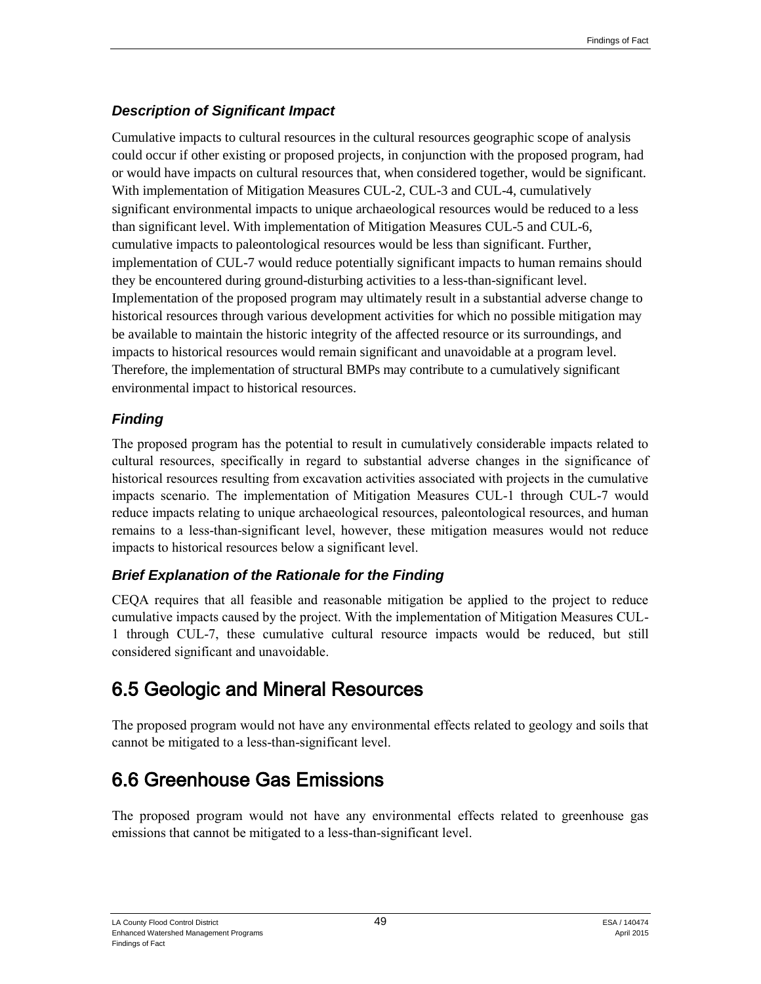## *Description of Significant Impact*

Cumulative impacts to cultural resources in the cultural resources geographic scope of analysis could occur if other existing or proposed projects, in conjunction with the proposed program, had or would have impacts on cultural resources that, when considered together, would be significant. With implementation of Mitigation Measures CUL-2, CUL-3 and CUL-4, cumulatively significant environmental impacts to unique archaeological resources would be reduced to a less than significant level. With implementation of Mitigation Measures CUL-5 and CUL-6, cumulative impacts to paleontological resources would be less than significant. Further, implementation of CUL-7 would reduce potentially significant impacts to human remains should they be encountered during ground-disturbing activities to a less-than-significant level. Implementation of the proposed program may ultimately result in a substantial adverse change to historical resources through various development activities for which no possible mitigation may be available to maintain the historic integrity of the affected resource or its surroundings, and impacts to historical resources would remain significant and unavoidable at a program level. Therefore, the implementation of structural BMPs may contribute to a cumulatively significant environmental impact to historical resources.

## *Finding*

The proposed program has the potential to result in cumulatively considerable impacts related to cultural resources, specifically in regard to substantial adverse changes in the significance of historical resources resulting from excavation activities associated with projects in the cumulative impacts scenario. The implementation of Mitigation Measures CUL-1 through CUL-7 would reduce impacts relating to unique archaeological resources, paleontological resources, and human remains to a less-than-significant level, however, these mitigation measures would not reduce impacts to historical resources below a significant level.

## *Brief Explanation of the Rationale for the Finding*

CEQA requires that all feasible and reasonable mitigation be applied to the project to reduce cumulative impacts caused by the project. With the implementation of Mitigation Measures CUL-1 through CUL-7, these cumulative cultural resource impacts would be reduced, but still considered significant and unavoidable.

# 6.5 Geologic and Mineral Resources

The proposed program would not have any environmental effects related to geology and soils that cannot be mitigated to a less-than-significant level.

# 6.6 Greenhouse Gas Emissions

The proposed program would not have any environmental effects related to greenhouse gas emissions that cannot be mitigated to a less-than-significant level.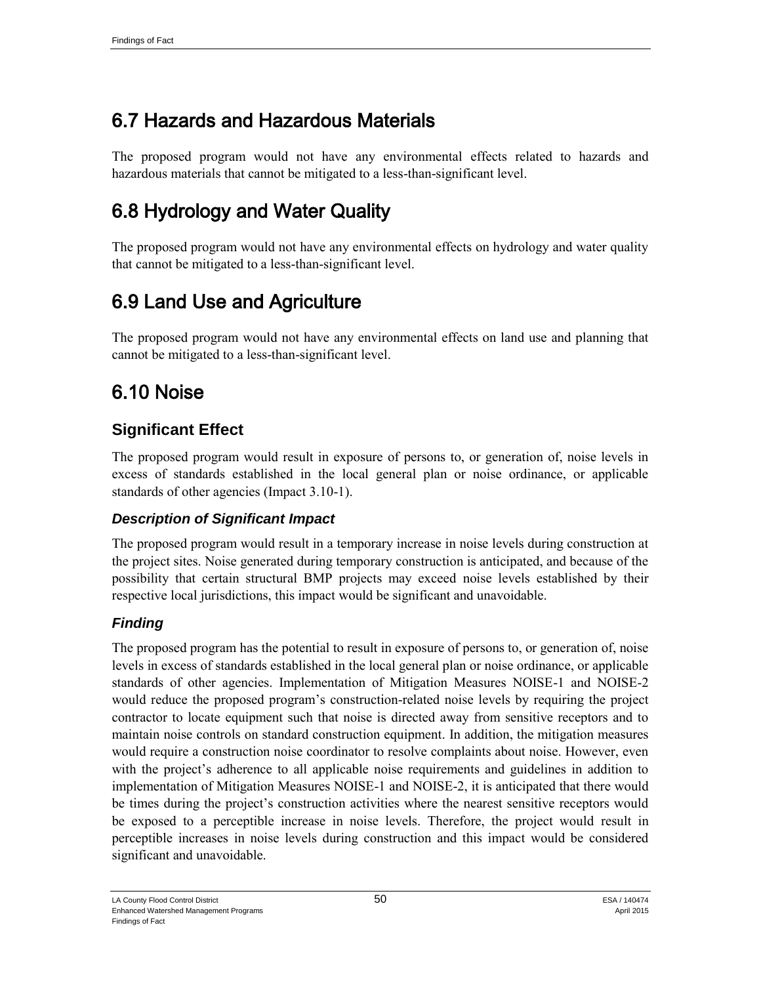# 6.7 Hazards and Hazardous Materials

The proposed program would not have any environmental effects related to hazards and hazardous materials that cannot be mitigated to a less-than-significant level.

# 6.8 Hydrology and Water Quality

The proposed program would not have any environmental effects on hydrology and water quality that cannot be mitigated to a less-than-significant level.

# 6.9 Land Use and Agriculture

The proposed program would not have any environmental effects on land use and planning that cannot be mitigated to a less-than-significant level.

# 6.10 Noise

## **Significant Effect**

The proposed program would result in exposure of persons to, or generation of, noise levels in excess of standards established in the local general plan or noise ordinance, or applicable standards of other agencies (Impact 3.10-1).

## *Description of Significant Impact*

The proposed program would result in a temporary increase in noise levels during construction at the project sites. Noise generated during temporary construction is anticipated, and because of the possibility that certain structural BMP projects may exceed noise levels established by their respective local jurisdictions, this impact would be significant and unavoidable.

## *Finding*

The proposed program has the potential to result in exposure of persons to, or generation of, noise levels in excess of standards established in the local general plan or noise ordinance, or applicable standards of other agencies. Implementation of Mitigation Measures NOISE-1 and NOISE-2 would reduce the proposed program's construction-related noise levels by requiring the project contractor to locate equipment such that noise is directed away from sensitive receptors and to maintain noise controls on standard construction equipment. In addition, the mitigation measures would require a construction noise coordinator to resolve complaints about noise. However, even with the project's adherence to all applicable noise requirements and guidelines in addition to implementation of Mitigation Measures NOISE-1 and NOISE-2, it is anticipated that there would be times during the project's construction activities where the nearest sensitive receptors would be exposed to a perceptible increase in noise levels. Therefore, the project would result in perceptible increases in noise levels during construction and this impact would be considered significant and unavoidable.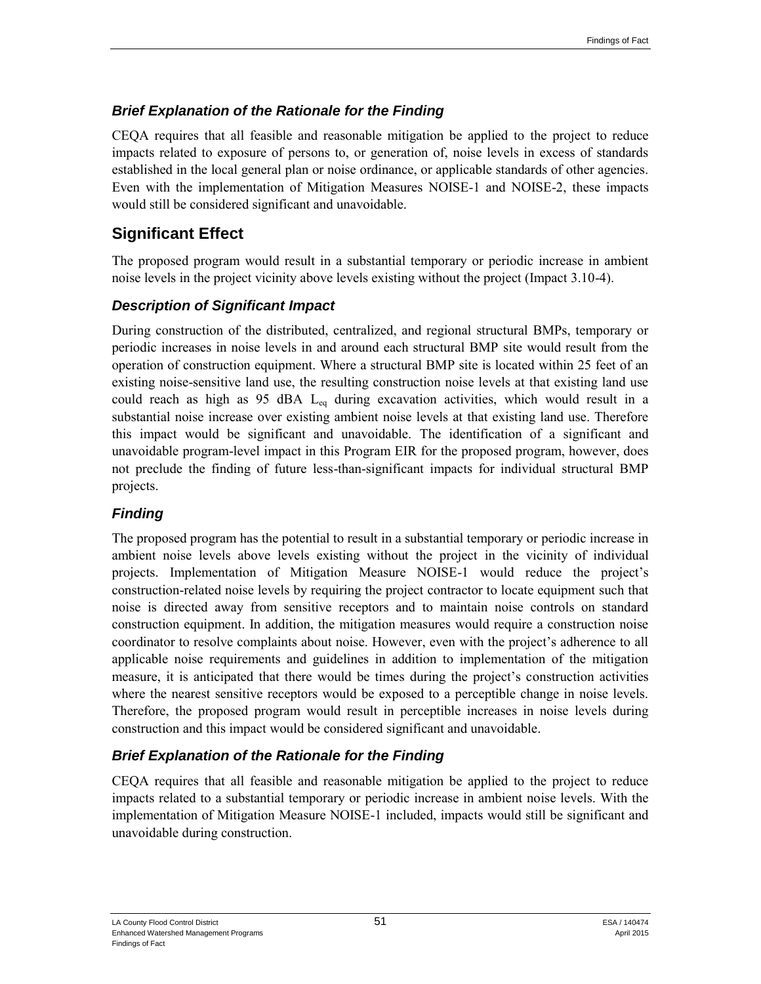#### *Brief Explanation of the Rationale for the Finding*

CEQA requires that all feasible and reasonable mitigation be applied to the project to reduce impacts related to exposure of persons to, or generation of, noise levels in excess of standards established in the local general plan or noise ordinance, or applicable standards of other agencies. Even with the implementation of Mitigation Measures NOISE-1 and NOISE-2, these impacts would still be considered significant and unavoidable.

## **Significant Effect**

The proposed program would result in a substantial temporary or periodic increase in ambient noise levels in the project vicinity above levels existing without the project (Impact 3.10-4).

#### *Description of Significant Impact*

During construction of the distributed, centralized, and regional structural BMPs, temporary or periodic increases in noise levels in and around each structural BMP site would result from the operation of construction equipment. Where a structural BMP site is located within 25 feet of an existing noise-sensitive land use, the resulting construction noise levels at that existing land use could reach as high as 95 dBA  $L_{eq}$  during excavation activities, which would result in a substantial noise increase over existing ambient noise levels at that existing land use. Therefore this impact would be significant and unavoidable. The identification of a significant and unavoidable program-level impact in this Program EIR for the proposed program, however, does not preclude the finding of future less-than-significant impacts for individual structural BMP projects.

#### *Finding*

The proposed program has the potential to result in a substantial temporary or periodic increase in ambient noise levels above levels existing without the project in the vicinity of individual projects. Implementation of Mitigation Measure NOISE-1 would reduce the project's construction-related noise levels by requiring the project contractor to locate equipment such that noise is directed away from sensitive receptors and to maintain noise controls on standard construction equipment. In addition, the mitigation measures would require a construction noise coordinator to resolve complaints about noise. However, even with the project's adherence to all applicable noise requirements and guidelines in addition to implementation of the mitigation measure, it is anticipated that there would be times during the project's construction activities where the nearest sensitive receptors would be exposed to a perceptible change in noise levels. Therefore, the proposed program would result in perceptible increases in noise levels during construction and this impact would be considered significant and unavoidable.

#### *Brief Explanation of the Rationale for the Finding*

CEQA requires that all feasible and reasonable mitigation be applied to the project to reduce impacts related to a substantial temporary or periodic increase in ambient noise levels. With the implementation of Mitigation Measure NOISE-1 included, impacts would still be significant and unavoidable during construction.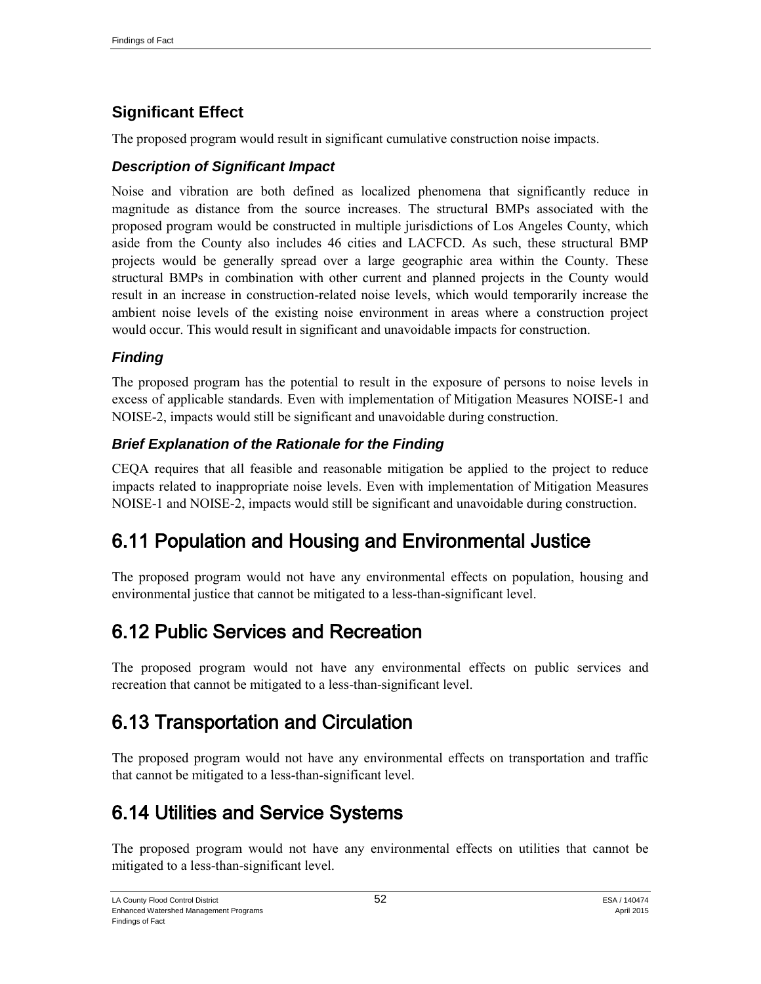## **Significant Effect**

The proposed program would result in significant cumulative construction noise impacts.

#### *Description of Significant Impact*

Noise and vibration are both defined as localized phenomena that significantly reduce in magnitude as distance from the source increases. The structural BMPs associated with the proposed program would be constructed in multiple jurisdictions of Los Angeles County, which aside from the County also includes 46 cities and LACFCD. As such, these structural BMP projects would be generally spread over a large geographic area within the County. These structural BMPs in combination with other current and planned projects in the County would result in an increase in construction-related noise levels, which would temporarily increase the ambient noise levels of the existing noise environment in areas where a construction project would occur. This would result in significant and unavoidable impacts for construction.

## *Finding*

The proposed program has the potential to result in the exposure of persons to noise levels in excess of applicable standards. Even with implementation of Mitigation Measures NOISE-1 and NOISE-2, impacts would still be significant and unavoidable during construction.

## *Brief Explanation of the Rationale for the Finding*

CEQA requires that all feasible and reasonable mitigation be applied to the project to reduce impacts related to inappropriate noise levels. Even with implementation of Mitigation Measures NOISE-1 and NOISE-2, impacts would still be significant and unavoidable during construction.

# 6.11 Population and Housing and Environmental Justice

The proposed program would not have any environmental effects on population, housing and environmental justice that cannot be mitigated to a less-than-significant level.

# 6.12 Public Services and Recreation

The proposed program would not have any environmental effects on public services and recreation that cannot be mitigated to a less-than-significant level.

# 6.13 Transportation and Circulation

The proposed program would not have any environmental effects on transportation and traffic that cannot be mitigated to a less-than-significant level.

# 6.14 Utilities and Service Systems

The proposed program would not have any environmental effects on utilities that cannot be mitigated to a less-than-significant level.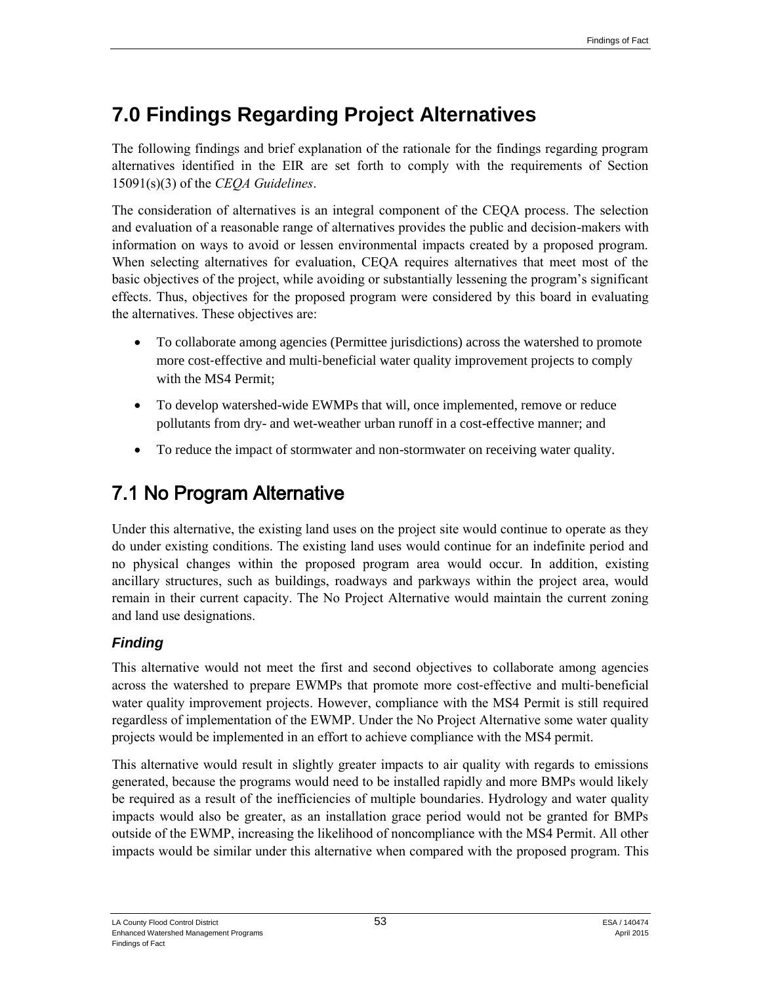# **7.0 Findings Regarding Project Alternatives**

The following findings and brief explanation of the rationale for the findings regarding program alternatives identified in the EIR are set forth to comply with the requirements of Section 15091(s)(3) of the *CEQA Guidelines*.

The consideration of alternatives is an integral component of the CEQA process. The selection and evaluation of a reasonable range of alternatives provides the public and decision-makers with information on ways to avoid or lessen environmental impacts created by a proposed program. When selecting alternatives for evaluation, CEQA requires alternatives that meet most of the basic objectives of the project, while avoiding or substantially lessening the program's significant effects. Thus, objectives for the proposed program were considered by this board in evaluating the alternatives. These objectives are:

- To collaborate among agencies (Permittee jurisdictions) across the watershed to promote more cost-effective and multi-beneficial water quality improvement projects to comply with the MS4 Permit;
- To develop watershed-wide EWMPs that will, once implemented, remove or reduce pollutants from dry- and wet-weather urban runoff in a cost-effective manner; and
- To reduce the impact of stormwater and non-stormwater on receiving water quality.

# 7.1 No Program Alternative

Under this alternative, the existing land uses on the project site would continue to operate as they do under existing conditions. The existing land uses would continue for an indefinite period and no physical changes within the proposed program area would occur. In addition, existing ancillary structures, such as buildings, roadways and parkways within the project area, would remain in their current capacity. The No Project Alternative would maintain the current zoning and land use designations.

## *Finding*

This alternative would not meet the first and second objectives to collaborate among agencies across the watershed to prepare EWMPs that promote more cost‐effective and multi‐beneficial water quality improvement projects. However, compliance with the MS4 Permit is still required regardless of implementation of the EWMP. Under the No Project Alternative some water quality projects would be implemented in an effort to achieve compliance with the MS4 permit.

This alternative would result in slightly greater impacts to air quality with regards to emissions generated, because the programs would need to be installed rapidly and more BMPs would likely be required as a result of the inefficiencies of multiple boundaries. Hydrology and water quality impacts would also be greater, as an installation grace period would not be granted for BMPs outside of the EWMP, increasing the likelihood of noncompliance with the MS4 Permit. All other impacts would be similar under this alternative when compared with the proposed program. This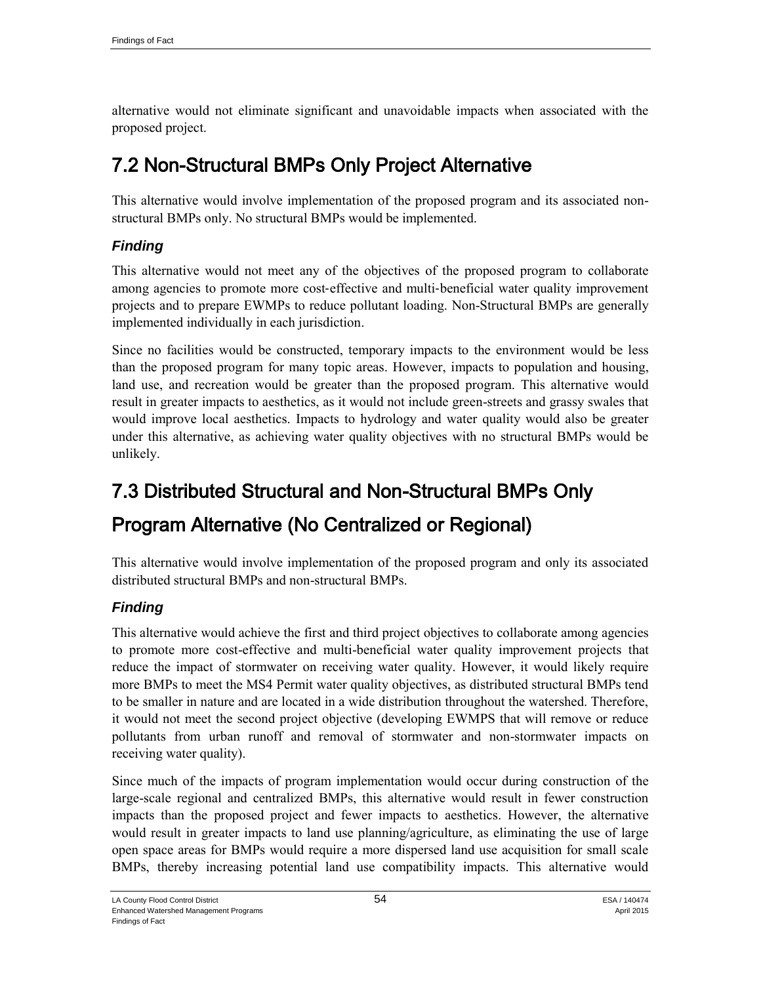alternative would not eliminate significant and unavoidable impacts when associated with the proposed project.

# 7.2 Non-Structural BMPs Only Project Alternative

This alternative would involve implementation of the proposed program and its associated nonstructural BMPs only. No structural BMPs would be implemented.

## *Finding*

This alternative would not meet any of the objectives of the proposed program to collaborate among agencies to promote more cost-effective and multi-beneficial water quality improvement projects and to prepare EWMPs to reduce pollutant loading. Non-Structural BMPs are generally implemented individually in each jurisdiction.

Since no facilities would be constructed, temporary impacts to the environment would be less than the proposed program for many topic areas. However, impacts to population and housing, land use, and recreation would be greater than the proposed program. This alternative would result in greater impacts to aesthetics, as it would not include green-streets and grassy swales that would improve local aesthetics. Impacts to hydrology and water quality would also be greater under this alternative, as achieving water quality objectives with no structural BMPs would be unlikely.

# 7.3 Distributed Structural and Non-Structural BMPs Only Program Alternative (No Centralized or Regional)

This alternative would involve implementation of the proposed program and only its associated distributed structural BMPs and non-structural BMPs.

## *Finding*

This alternative would achieve the first and third project objectives to collaborate among agencies to promote more cost-effective and multi-beneficial water quality improvement projects that reduce the impact of stormwater on receiving water quality. However, it would likely require more BMPs to meet the MS4 Permit water quality objectives, as distributed structural BMPs tend to be smaller in nature and are located in a wide distribution throughout the watershed. Therefore, it would not meet the second project objective (developing EWMPS that will remove or reduce pollutants from urban runoff and removal of stormwater and non-stormwater impacts on receiving water quality).

Since much of the impacts of program implementation would occur during construction of the large-scale regional and centralized BMPs, this alternative would result in fewer construction impacts than the proposed project and fewer impacts to aesthetics. However, the alternative would result in greater impacts to land use planning/agriculture, as eliminating the use of large open space areas for BMPs would require a more dispersed land use acquisition for small scale BMPs, thereby increasing potential land use compatibility impacts. This alternative would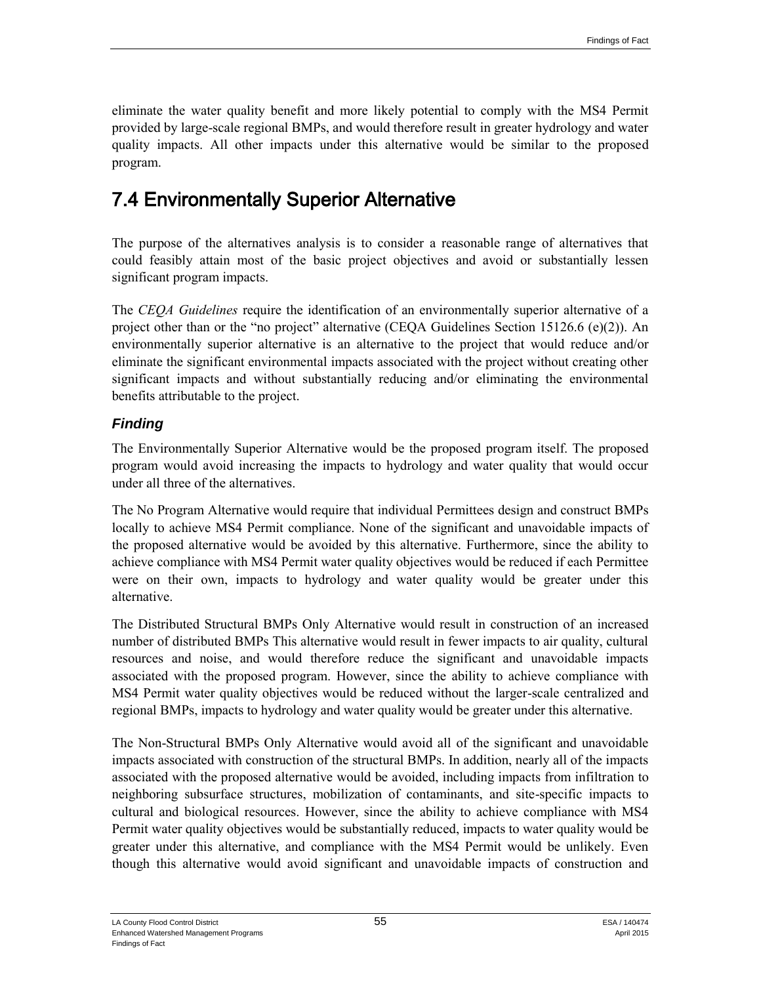eliminate the water quality benefit and more likely potential to comply with the MS4 Permit provided by large-scale regional BMPs, and would therefore result in greater hydrology and water quality impacts. All other impacts under this alternative would be similar to the proposed program.

# 7.4 Environmentally Superior Alternative

The purpose of the alternatives analysis is to consider a reasonable range of alternatives that could feasibly attain most of the basic project objectives and avoid or substantially lessen significant program impacts.

The *CEQA Guidelines* require the identification of an environmentally superior alternative of a project other than or the "no project" alternative (CEQA Guidelines Section 15126.6 (e)(2)). An environmentally superior alternative is an alternative to the project that would reduce and/or eliminate the significant environmental impacts associated with the project without creating other significant impacts and without substantially reducing and/or eliminating the environmental benefits attributable to the project.

#### *Finding*

The Environmentally Superior Alternative would be the proposed program itself. The proposed program would avoid increasing the impacts to hydrology and water quality that would occur under all three of the alternatives.

The No Program Alternative would require that individual Permittees design and construct BMPs locally to achieve MS4 Permit compliance. None of the significant and unavoidable impacts of the proposed alternative would be avoided by this alternative. Furthermore, since the ability to achieve compliance with MS4 Permit water quality objectives would be reduced if each Permittee were on their own, impacts to hydrology and water quality would be greater under this alternative.

The Distributed Structural BMPs Only Alternative would result in construction of an increased number of distributed BMPs This alternative would result in fewer impacts to air quality, cultural resources and noise, and would therefore reduce the significant and unavoidable impacts associated with the proposed program. However, since the ability to achieve compliance with MS4 Permit water quality objectives would be reduced without the larger-scale centralized and regional BMPs, impacts to hydrology and water quality would be greater under this alternative.

The Non-Structural BMPs Only Alternative would avoid all of the significant and unavoidable impacts associated with construction of the structural BMPs. In addition, nearly all of the impacts associated with the proposed alternative would be avoided, including impacts from infiltration to neighboring subsurface structures, mobilization of contaminants, and site-specific impacts to cultural and biological resources. However, since the ability to achieve compliance with MS4 Permit water quality objectives would be substantially reduced, impacts to water quality would be greater under this alternative, and compliance with the MS4 Permit would be unlikely. Even though this alternative would avoid significant and unavoidable impacts of construction and